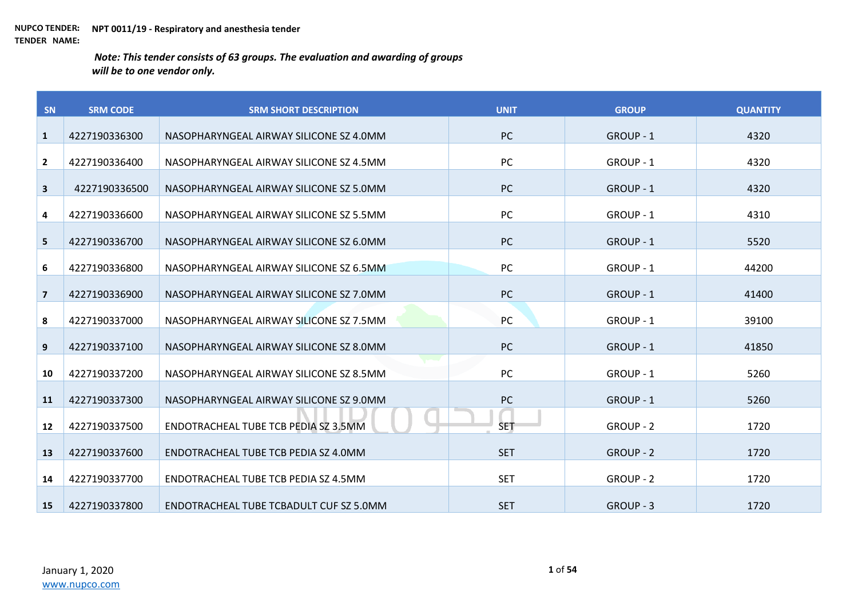| SN                      | <b>SRM CODE</b> | <b>SRM SHORT DESCRIPTION</b>            | <b>UNIT</b> | <b>GROUP</b>     | <b>QUANTITY</b> |
|-------------------------|-----------------|-----------------------------------------|-------------|------------------|-----------------|
| $\mathbf{1}$            | 4227190336300   | NASOPHARYNGEAL AIRWAY SILICONE SZ 4.0MM | <b>PC</b>   | GROUP - 1        | 4320            |
| $\mathbf{2}$            | 4227190336400   | NASOPHARYNGEAL AIRWAY SILICONE SZ 4.5MM | PC          | GROUP - 1        | 4320            |
| $\overline{\mathbf{3}}$ | 4227190336500   | NASOPHARYNGEAL AIRWAY SILICONE SZ 5.0MM | <b>PC</b>   | GROUP - 1        | 4320            |
| 4                       | 4227190336600   | NASOPHARYNGEAL AIRWAY SILICONE SZ 5.5MM | <b>PC</b>   | GROUP - 1        | 4310            |
| 5                       | 4227190336700   | NASOPHARYNGEAL AIRWAY SILICONE SZ 6.0MM | <b>PC</b>   | GROUP - 1        | 5520            |
| 6                       | 4227190336800   | NASOPHARYNGEAL AIRWAY SILICONE SZ 6.5MM | PC          | GROUP - 1        | 44200           |
| $\overline{7}$          | 4227190336900   | NASOPHARYNGEAL AIRWAY SILICONE SZ 7.0MM | <b>PC</b>   | GROUP - 1        | 41400           |
| 8                       | 4227190337000   | NASOPHARYNGEAL AIRWAY SILICONE SZ 7.5MM | PC          | GROUP - 1        | 39100           |
| 9                       | 4227190337100   | NASOPHARYNGEAL AIRWAY SILICONE SZ 8.0MM | <b>PC</b>   | <b>GROUP - 1</b> | 41850           |
| 10                      | 4227190337200   | NASOPHARYNGEAL AIRWAY SILICONE SZ 8.5MM | <b>PC</b>   | GROUP - 1        | 5260            |
| 11                      | 4227190337300   | NASOPHARYNGEAL AIRWAY SILICONE SZ 9.0MM | <b>PC</b>   | GROUP - 1        | 5260            |
| 12 <sup>2</sup>         | 4227190337500   | ENDOTRACHEAL TUBE TCB PEDIA SZ 3.5MM    | <b>SET</b>  | <b>GROUP - 2</b> | 1720            |
| 13                      | 4227190337600   | ENDOTRACHEAL TUBE TCB PEDIA SZ 4.0MM    | <b>SET</b>  | GROUP - 2        | 1720            |
| 14                      | 4227190337700   | ENDOTRACHEAL TUBE TCB PEDIA SZ 4.5MM    | <b>SET</b>  | <b>GROUP - 2</b> | 1720            |
| 15                      | 4227190337800   | ENDOTRACHEAL TUBE TCBADULT CUF SZ 5.0MM | <b>SET</b>  | GROUP - 3        | 1720            |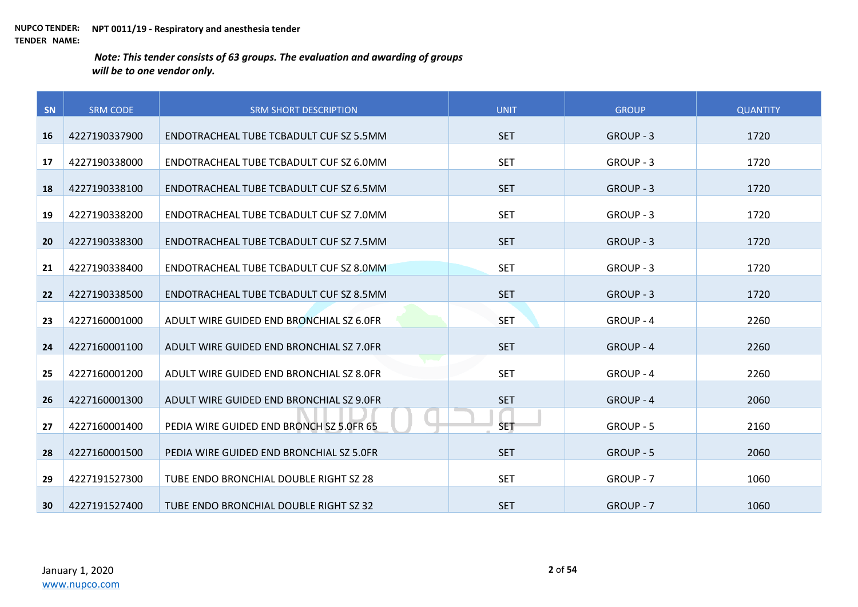| SN | <b>SRM CODE</b> | <b>SRM SHORT DESCRIPTION</b>             | <b>UNIT</b> | <b>GROUP</b>     | <b>QUANTITY</b> |
|----|-----------------|------------------------------------------|-------------|------------------|-----------------|
| 16 | 4227190337900   | ENDOTRACHEAL TUBE TCBADULT CUF SZ 5.5MM  | <b>SET</b>  | GROUP - 3        | 1720            |
|    |                 |                                          |             |                  |                 |
| 17 | 4227190338000   | ENDOTRACHEAL TUBE TCBADULT CUF SZ 6.0MM  | <b>SET</b>  | GROUP - 3        | 1720            |
| 18 | 4227190338100   | ENDOTRACHEAL TUBE TCBADULT CUF SZ 6.5MM  | <b>SET</b>  | GROUP - 3        | 1720            |
| 19 | 4227190338200   | ENDOTRACHEAL TUBE TCBADULT CUF SZ 7.0MM  | <b>SET</b>  | GROUP - 3        | 1720            |
| 20 | 4227190338300   | ENDOTRACHEAL TUBE TCBADULT CUF SZ 7.5MM  | <b>SET</b>  | GROUP - 3        | 1720            |
| 21 | 4227190338400   | ENDOTRACHEAL TUBE TCBADULT CUF SZ 8.0MM  | <b>SET</b>  | GROUP - 3        | 1720            |
| 22 | 4227190338500   | ENDOTRACHEAL TUBE TCBADULT CUF SZ 8.5MM  | <b>SET</b>  | GROUP - 3        | 1720            |
| 23 | 4227160001000   | ADULT WIRE GUIDED END BRONCHIAL SZ 6.0FR | <b>SET</b>  | GROUP - 4        | 2260            |
| 24 | 4227160001100   | ADULT WIRE GUIDED END BRONCHIAL SZ 7.0FR | <b>SET</b>  | <b>GROUP - 4</b> | 2260            |
| 25 | 4227160001200   | ADULT WIRE GUIDED END BRONCHIAL SZ 8.0FR | <b>SET</b>  | GROUP - 4        | 2260            |
| 26 | 4227160001300   | ADULT WIRE GUIDED END BRONCHIAL SZ 9.0FR | <b>SET</b>  | GROUP - 4        | 2060            |
| 27 | 4227160001400   | PEDIA WIRE GUIDED END BRONCH SZ 5.0FR 65 | <b>SET</b>  | <b>GROUP - 5</b> | 2160            |
| 28 | 4227160001500   | PEDIA WIRE GUIDED END BRONCHIAL SZ 5.0FR | <b>SET</b>  | GROUP - 5        | 2060            |
| 29 | 4227191527300   | TUBE ENDO BRONCHIAL DOUBLE RIGHT SZ 28   | <b>SET</b>  | GROUP - 7        | 1060            |
| 30 | 4227191527400   | TUBE ENDO BRONCHIAL DOUBLE RIGHT SZ 32   | <b>SET</b>  | GROUP - 7        | 1060            |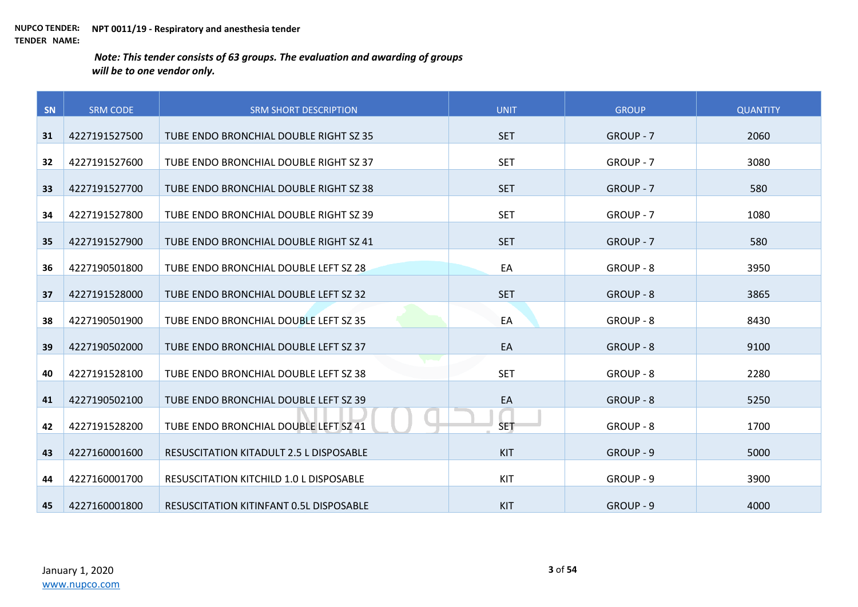| SN | <b>SRM CODE</b> | <b>SRM SHORT DESCRIPTION</b>                   | <b>UNIT</b> | <b>GROUP</b>     | <b>QUANTITY</b> |
|----|-----------------|------------------------------------------------|-------------|------------------|-----------------|
|    |                 |                                                |             |                  |                 |
| 31 | 4227191527500   | TUBE ENDO BRONCHIAL DOUBLE RIGHT SZ 35         | <b>SET</b>  | GROUP - 7        | 2060            |
| 32 | 4227191527600   | TUBE ENDO BRONCHIAL DOUBLE RIGHT SZ 37         | <b>SET</b>  | GROUP - 7        | 3080            |
|    |                 |                                                |             |                  |                 |
| 33 | 4227191527700   | TUBE ENDO BRONCHIAL DOUBLE RIGHT SZ 38         | <b>SET</b>  | GROUP - 7        | 580             |
| 34 | 4227191527800   | TUBE ENDO BRONCHIAL DOUBLE RIGHT SZ 39         | <b>SET</b>  | GROUP - 7        | 1080            |
|    |                 |                                                |             |                  |                 |
| 35 | 4227191527900   | TUBE ENDO BRONCHIAL DOUBLE RIGHT SZ 41         | <b>SET</b>  | GROUP - 7        | 580             |
| 36 | 4227190501800   | TUBE ENDO BRONCHIAL DOUBLE LEFT SZ 28          | EA          | GROUP - 8        | 3950            |
|    |                 |                                                |             |                  |                 |
| 37 | 4227191528000   | TUBE ENDO BRONCHIAL DOUBLE LEFT SZ 32          | <b>SET</b>  | <b>GROUP - 8</b> | 3865            |
| 38 | 4227190501900   | TUBE ENDO BRONCHIAL DOUBLE LEFT SZ 35          | EA          | GROUP - 8        | 8430            |
|    |                 |                                                |             |                  |                 |
| 39 | 4227190502000   | TUBE ENDO BRONCHIAL DOUBLE LEFT SZ 37          | EA          | <b>GROUP - 8</b> | 9100            |
|    |                 |                                                |             |                  |                 |
| 40 | 4227191528100   | TUBE ENDO BRONCHIAL DOUBLE LEFT SZ 38          | <b>SET</b>  | GROUP - 8        | 2280            |
| 41 | 4227190502100   | TUBE ENDO BRONCHIAL DOUBLE LEFT SZ 39          | EA          | GROUP - 8        | 5250            |
|    |                 |                                                |             |                  |                 |
| 42 | 4227191528200   | TUBE ENDO BRONCHIAL DOUBLE LEFT SZ 41          | <b>SET</b>  | GROUP - 8        | 1700            |
| 43 | 4227160001600   | <b>RESUSCITATION KITADULT 2.5 L DISPOSABLE</b> | <b>KIT</b>  | GROUP - 9        | 5000            |
|    |                 |                                                |             |                  |                 |
| 44 | 4227160001700   | RESUSCITATION KITCHILD 1.0 L DISPOSABLE        | KIT         | GROUP - 9        | 3900            |
| 45 | 4227160001800   | <b>RESUSCITATION KITINFANT 0.5L DISPOSABLE</b> | <b>KIT</b>  | GROUP - 9        | 4000            |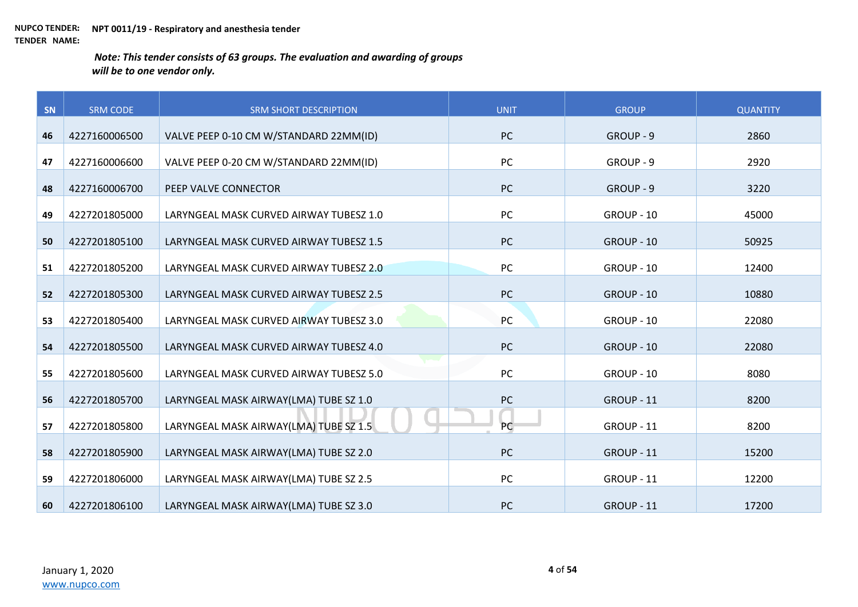| SN | <b>SRM CODE</b> | <b>SRM SHORT DESCRIPTION</b>            | <b>UNIT</b> | <b>GROUP</b> | <b>QUANTITY</b> |
|----|-----------------|-----------------------------------------|-------------|--------------|-----------------|
|    |                 |                                         |             |              |                 |
| 46 | 4227160006500   | VALVE PEEP 0-10 CM W/STANDARD 22MM(ID)  | <b>PC</b>   | GROUP - 9    | 2860            |
| 47 | 4227160006600   | VALVE PEEP 0-20 CM W/STANDARD 22MM(ID)  | PC          | GROUP - 9    | 2920            |
| 48 | 4227160006700   | PEEP VALVE CONNECTOR                    | PC          | GROUP - 9    | 3220            |
| 49 | 4227201805000   | LARYNGEAL MASK CURVED AIRWAY TUBESZ 1.0 | PC          | GROUP - 10   | 45000           |
| 50 | 4227201805100   | LARYNGEAL MASK CURVED AIRWAY TUBESZ 1.5 | PC          | GROUP - 10   | 50925           |
| 51 | 4227201805200   | LARYNGEAL MASK CURVED AIRWAY TUBESZ 2.0 | PC          | GROUP - 10   | 12400           |
| 52 | 4227201805300   | LARYNGEAL MASK CURVED AIRWAY TUBESZ 2.5 | PC          | GROUP - 10   | 10880           |
| 53 | 4227201805400   | LARYNGEAL MASK CURVED AIRWAY TUBESZ 3.0 | PC          | GROUP - 10   | 22080           |
| 54 | 4227201805500   | LARYNGEAL MASK CURVED AIRWAY TUBESZ 4.0 | <b>PC</b>   | GROUP - 10   | 22080           |
| 55 | 4227201805600   | LARYNGEAL MASK CURVED AIRWAY TUBESZ 5.0 | PC          | GROUP - 10   | 8080            |
| 56 | 4227201805700   | LARYNGEAL MASK AIRWAY(LMA) TUBE SZ 1.0  | PC          | GROUP - 11   | 8200            |
| 57 | 4227201805800   | LARYNGEAL MASK AIRWAY(LMA) TUBE SZ 1.5  | PC          | GROUP - 11   | 8200            |
| 58 | 4227201805900   | LARYNGEAL MASK AIRWAY(LMA) TUBE SZ 2.0  | <b>PC</b>   | GROUP - 11   | 15200           |
| 59 | 4227201806000   | LARYNGEAL MASK AIRWAY(LMA) TUBE SZ 2.5  | PC          | GROUP - 11   | 12200           |
| 60 | 4227201806100   | LARYNGEAL MASK AIRWAY(LMA) TUBE SZ 3.0  | <b>PC</b>   | GROUP - 11   | 17200           |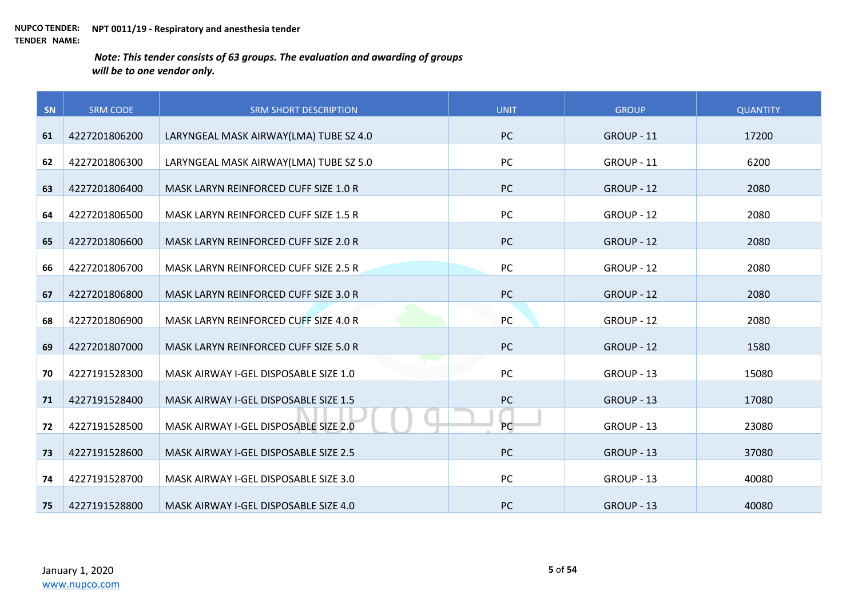| SN | <b>SRM CODE</b> | <b>SRM SHORT DESCRIPTION</b>           | <b>UNIT</b> | <b>GROUP</b> | <b>QUANTITY</b> |
|----|-----------------|----------------------------------------|-------------|--------------|-----------------|
| 61 | 4227201806200   | LARYNGEAL MASK AIRWAY(LMA) TUBE SZ 4.0 | <b>PC</b>   | GROUP - 11   | 17200           |
| 62 | 4227201806300   | LARYNGEAL MASK AIRWAY(LMA) TUBE SZ 5.0 | PC          | GROUP - 11   | 6200            |
|    |                 |                                        |             |              |                 |
| 63 | 4227201806400   | MASK LARYN REINFORCED CUFF SIZE 1.0 R  | <b>PC</b>   | GROUP - 12   | 2080            |
| 64 | 4227201806500   | MASK LARYN REINFORCED CUFF SIZE 1.5 R  | PC          | GROUP - 12   | 2080            |
| 65 | 4227201806600   | MASK LARYN REINFORCED CUFF SIZE 2.0 R  | <b>PC</b>   | GROUP - 12   | 2080            |
| 66 | 4227201806700   | MASK LARYN REINFORCED CUFF SIZE 2.5 R  | PC          | GROUP - 12   | 2080            |
| 67 | 4227201806800   | MASK LARYN REINFORCED CUFF SIZE 3.0 R  | PC          | GROUP - 12   | 2080            |
| 68 | 4227201806900   | MASK LARYN REINFORCED CUFF SIZE 4.0 R  | PC          | GROUP - 12   | 2080            |
| 69 | 4227201807000   | MASK LARYN REINFORCED CUFF SIZE 5.0 R  | <b>PC</b>   | GROUP - 12   | 1580            |
| 70 | 4227191528300   | MASK AIRWAY I-GEL DISPOSABLE SIZE 1.0  | PC          | GROUP - 13   | 15080           |
| 71 | 4227191528400   | MASK AIRWAY I-GEL DISPOSABLE SIZE 1.5  | PC          | GROUP - 13   | 17080           |
| 72 | 4227191528500   | MASK AIRWAY I-GEL DISPOSABLE SIZE 2.0  | PC          | GROUP - 13   | 23080           |
| 73 | 4227191528600   | MASK AIRWAY I-GEL DISPOSABLE SIZE 2.5  | PC          | GROUP - 13   | 37080           |
| 74 | 4227191528700   | MASK AIRWAY I-GEL DISPOSABLE SIZE 3.0  | PC          | GROUP - 13   | 40080           |
| 75 | 4227191528800   | MASK AIRWAY I-GEL DISPOSABLE SIZE 4.0  | PC          | GROUP - 13   | 40080           |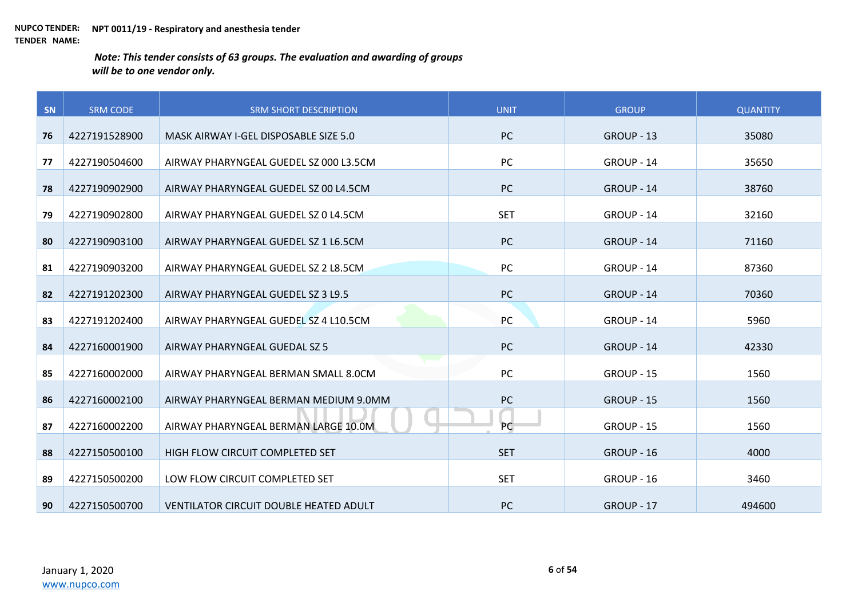| SN | <b>SRM CODE</b> | <b>SRM SHORT DESCRIPTION</b>                  | <b>UNIT</b> | <b>GROUP</b> | <b>QUANTITY</b> |
|----|-----------------|-----------------------------------------------|-------------|--------------|-----------------|
| 76 | 4227191528900   | MASK AIRWAY I-GEL DISPOSABLE SIZE 5.0         | <b>PC</b>   | GROUP - 13   | 35080           |
| 77 | 4227190504600   | AIRWAY PHARYNGEAL GUEDEL SZ 000 L3.5CM        | PC          | GROUP - 14   | 35650           |
| 78 | 4227190902900   | AIRWAY PHARYNGEAL GUEDEL SZ 00 L4.5CM         | <b>PC</b>   | GROUP - 14   | 38760           |
|    |                 |                                               |             |              |                 |
| 79 | 4227190902800   | AIRWAY PHARYNGEAL GUEDEL SZ 0 L4.5CM          | <b>SET</b>  | GROUP - 14   | 32160           |
| 80 | 4227190903100   | AIRWAY PHARYNGEAL GUEDEL SZ 1 L6.5CM          | PC          | GROUP - 14   | 71160           |
| 81 | 4227190903200   | AIRWAY PHARYNGEAL GUEDEL SZ 2 L8.5CM          | PC          | GROUP - 14   | 87360           |
| 82 | 4227191202300   | AIRWAY PHARYNGEAL GUEDEL SZ 3 L9.5            | PC          | GROUP - 14   | 70360           |
| 83 | 4227191202400   | AIRWAY PHARYNGEAL GUEDEL SZ 4 L10.5CM         | PC          | GROUP - 14   | 5960            |
| 84 | 4227160001900   | AIRWAY PHARYNGEAL GUEDAL SZ 5                 | <b>PC</b>   | GROUP - 14   | 42330           |
| 85 | 4227160002000   | AIRWAY PHARYNGEAL BERMAN SMALL 8.0CM          | <b>PC</b>   | GROUP - 15   | 1560            |
|    |                 |                                               |             |              |                 |
| 86 | 4227160002100   | AIRWAY PHARYNGEAL BERMAN MEDIUM 9.0MM         | PC          | GROUP - 15   | 1560            |
| 87 | 4227160002200   | AIRWAY PHARYNGEAL BERMAN LARGE 10.0M          | PC          | GROUP - 15   | 1560            |
| 88 | 4227150500100   | HIGH FLOW CIRCUIT COMPLETED SET               | <b>SET</b>  | GROUP - 16   | 4000            |
| 89 | 4227150500200   | LOW FLOW CIRCUIT COMPLETED SET                | <b>SET</b>  | GROUP - 16   | 3460            |
| 90 | 4227150500700   | <b>VENTILATOR CIRCUIT DOUBLE HEATED ADULT</b> | <b>PC</b>   | GROUP - 17   | 494600          |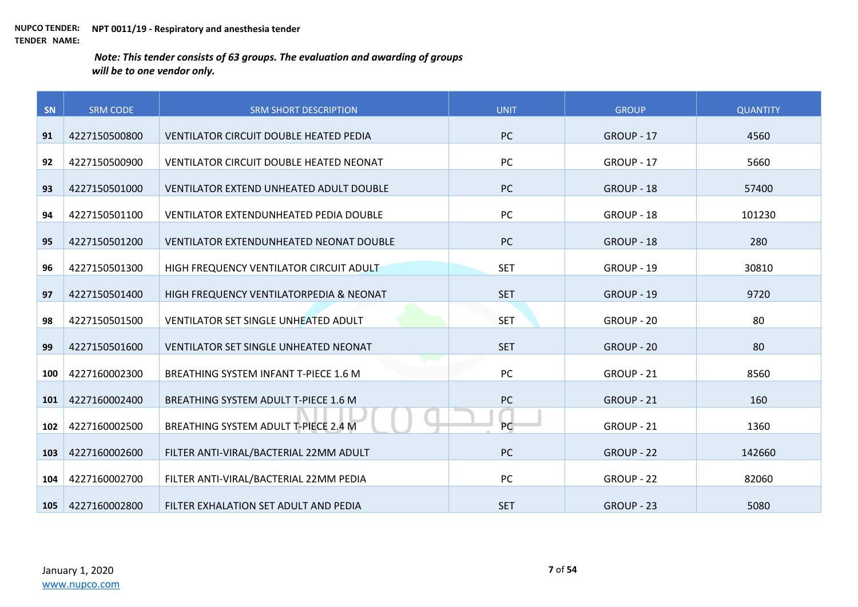| SN  | <b>SRM CODE</b> | <b>SRM SHORT DESCRIPTION</b>                   | <b>UNIT</b> | <b>GROUP</b> | <b>QUANTITY</b> |
|-----|-----------------|------------------------------------------------|-------------|--------------|-----------------|
| 91  | 4227150500800   | VENTILATOR CIRCUIT DOUBLE HEATED PEDIA         | PC          | GROUP - 17   | 4560            |
|     |                 |                                                |             |              |                 |
| 92  | 4227150500900   | VENTILATOR CIRCUIT DOUBLE HEATED NEONAT        | PC          | GROUP - 17   | 5660            |
| 93  | 4227150501000   | VENTILATOR EXTEND UNHEATED ADULT DOUBLE        | PC          | GROUP - 18   | 57400           |
| 94  | 4227150501100   | <b>VENTILATOR EXTENDUNHEATED PEDIA DOUBLE</b>  | PC          | GROUP - 18   | 101230          |
| 95  | 4227150501200   | <b>VENTILATOR EXTENDUNHEATED NEONAT DOUBLE</b> | PC          | GROUP - 18   | 280             |
| 96  | 4227150501300   | HIGH FREQUENCY VENTILATOR CIRCUIT ADULT        | <b>SET</b>  | GROUP - 19   | 30810           |
|     |                 |                                                |             |              |                 |
| 97  | 4227150501400   | HIGH FREQUENCY VENTILATORPEDIA & NEONAT        | <b>SET</b>  | GROUP - 19   | 9720            |
| 98  | 4227150501500   | VENTILATOR SET SINGLE UNHEATED ADULT           | <b>SET</b>  | GROUP - 20   | 80              |
| 99  | 4227150501600   | <b>VENTILATOR SET SINGLE UNHEATED NEONAT</b>   | <b>SET</b>  | GROUP - 20   | 80              |
| 100 | 4227160002300   | BREATHING SYSTEM INFANT T-PIECE 1.6 M          | PC          | GROUP - 21   | 8560            |
| 101 | 4227160002400   | BREATHING SYSTEM ADULT T-PIECE 1.6 M           | PC          | GROUP - 21   | 160             |
| 102 | 4227160002500   | BREATHING SYSTEM ADULT T-PIECE 2.4 M           | PC          | GROUP - 21   | 1360            |
|     |                 |                                                |             |              |                 |
| 103 | 4227160002600   | FILTER ANTI-VIRAL/BACTERIAL 22MM ADULT         | PC          | GROUP - 22   | 142660          |
| 104 | 4227160002700   | FILTER ANTI-VIRAL/BACTERIAL 22MM PEDIA         | PC          | GROUP - 22   | 82060           |
| 105 | 4227160002800   | FILTER EXHALATION SET ADULT AND PEDIA          | <b>SET</b>  | GROUP - 23   | 5080            |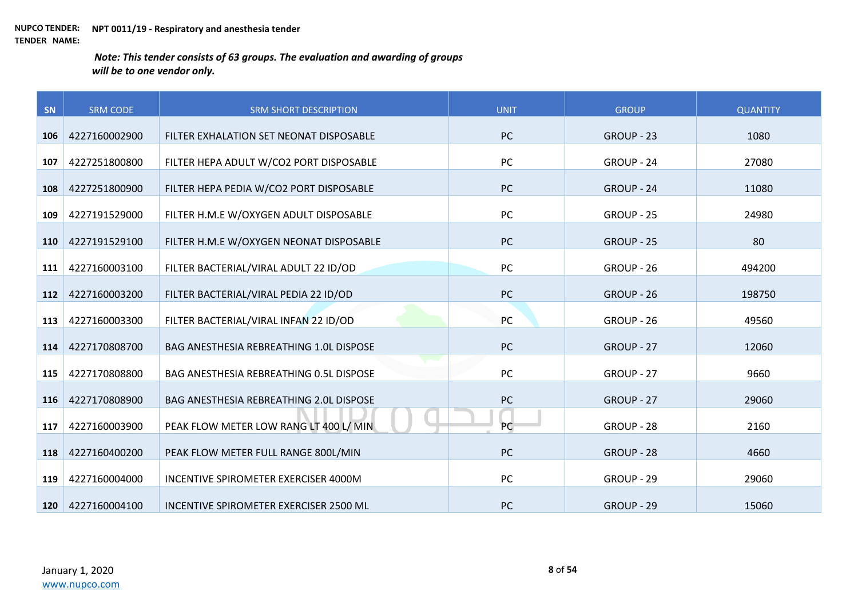| SN  | <b>SRM CODE</b> | <b>SRM SHORT DESCRIPTION</b>                   | <b>UNIT</b> | <b>GROUP</b> | <b>QUANTITY</b> |
|-----|-----------------|------------------------------------------------|-------------|--------------|-----------------|
| 106 | 4227160002900   | FILTER EXHALATION SET NEONAT DISPOSABLE        | PC          | GROUP - 23   | 1080            |
| 107 | 4227251800800   | FILTER HEPA ADULT W/CO2 PORT DISPOSABLE        | PC          | GROUP - 24   | 27080           |
| 108 | 4227251800900   | FILTER HEPA PEDIA W/CO2 PORT DISPOSABLE        | PC          | GROUP - 24   | 11080           |
|     |                 |                                                |             |              |                 |
| 109 | 4227191529000   | FILTER H.M.E W/OXYGEN ADULT DISPOSABLE         | PC          | GROUP - 25   | 24980           |
| 110 | 4227191529100   | FILTER H.M.E W/OXYGEN NEONAT DISPOSABLE        | <b>PC</b>   | GROUP - 25   | 80              |
| 111 | 4227160003100   | FILTER BACTERIAL/VIRAL ADULT 22 ID/OD          | PC          | GROUP - 26   | 494200          |
| 112 | 4227160003200   | FILTER BACTERIAL/VIRAL PEDIA 22 ID/OD          | PC          | GROUP - 26   | 198750          |
| 113 | 4227160003300   | FILTER BACTERIAL/VIRAL INFAN 22 ID/OD          | PC          | GROUP - 26   | 49560           |
| 114 | 4227170808700   | <b>BAG ANESTHESIA REBREATHING 1.0L DISPOSE</b> | <b>PC</b>   | GROUP - 27   | 12060           |
| 115 | 4227170808800   | BAG ANESTHESIA REBREATHING 0.5L DISPOSE        | PC          | GROUP - 27   | 9660            |
| 116 | 4227170808900   | BAG ANESTHESIA REBREATHING 2.0L DISPOSE        | PC          | GROUP - 27   | 29060           |
| 117 | 4227160003900   | PEAK FLOW METER LOW RANG LT 400 L/ MIN         | PC          | GROUP - 28   | 2160            |
| 118 | 4227160400200   | PEAK FLOW METER FULL RANGE 800L/MIN            | <b>PC</b>   | GROUP - 28   | 4660            |
| 119 | 4227160004000   | INCENTIVE SPIROMETER EXERCISER 4000M           | PC          | GROUP - 29   | 29060           |
| 120 | 4227160004100   | INCENTIVE SPIROMETER EXERCISER 2500 ML         | PC          | GROUP - 29   | 15060           |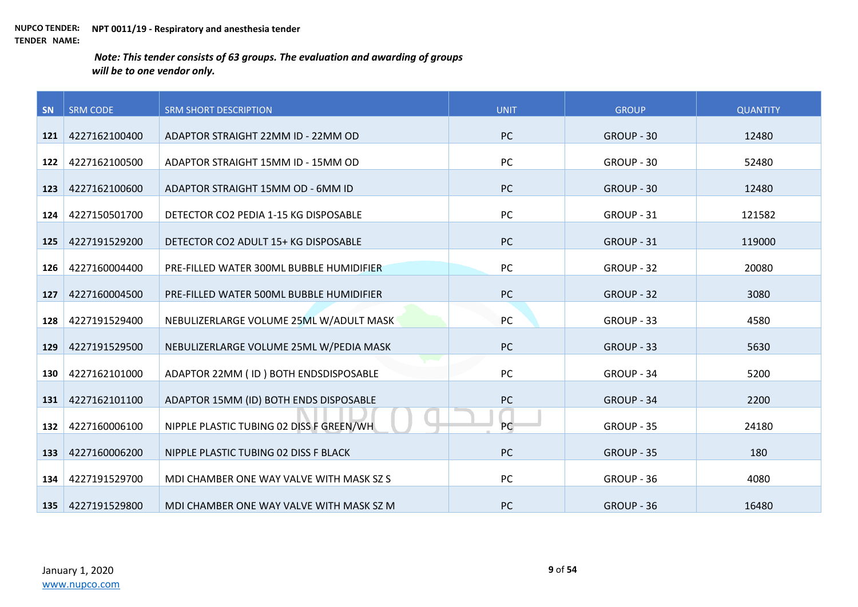| SN  | <b>SRM CODE</b>   | <b>SRM SHORT DESCRIPTION</b>             | <b>UNIT</b> | <b>GROUP</b> | <b>QUANTITY</b> |
|-----|-------------------|------------------------------------------|-------------|--------------|-----------------|
| 121 | 4227162100400     | ADAPTOR STRAIGHT 22MM ID - 22MM OD       | PC          | GROUP - 30   | 12480           |
| 122 | 4227162100500     | ADAPTOR STRAIGHT 15MM ID - 15MM OD       | PC          | GROUP - 30   | 52480           |
| 123 | 4227162100600     | ADAPTOR STRAIGHT 15MM OD - 6MM ID        | <b>PC</b>   | GROUP - 30   | 12480           |
| 124 | 4227150501700     | DETECTOR CO2 PEDIA 1-15 KG DISPOSABLE    | PC          | GROUP - 31   | 121582          |
| 125 | 4227191529200     | DETECTOR CO2 ADULT 15+ KG DISPOSABLE     | PC          | GROUP - 31   | 119000          |
|     |                   |                                          |             |              |                 |
| 126 | 4227160004400     | PRE-FILLED WATER 300ML BUBBLE HUMIDIFIER | PC          | GROUP - 32   | 20080           |
| 127 | 4227160004500     | PRE-FILLED WATER 500ML BUBBLE HUMIDIFIER | <b>PC</b>   | GROUP - 32   | 3080            |
| 128 | 4227191529400     | NEBULIZERLARGE VOLUME 25ML W/ADULT MASK  | PC          | GROUP - 33   | 4580            |
| 129 | 4227191529500     | NEBULIZERLARGE VOLUME 25ML W/PEDIA MASK  | PC          | GROUP - 33   | 5630            |
| 130 | 4227162101000     | ADAPTOR 22MM (ID) BOTH ENDSDISPOSABLE    | PC          | GROUP - 34   | 5200            |
|     |                   |                                          |             |              |                 |
| 131 | 4227162101100     | ADAPTOR 15MM (ID) BOTH ENDS DISPOSABLE   | <b>PC</b>   | GROUP - 34   | 2200            |
| 132 | 4227160006100     | NIPPLE PLASTIC TUBING 02 DISS F GREEN/WH | PC          | GROUP - 35   | 24180           |
| 133 | 4227160006200     | NIPPLE PLASTIC TUBING 02 DISS F BLACK    | PC          | GROUP - 35   | 180             |
| 134 | 4227191529700     | MDI CHAMBER ONE WAY VALVE WITH MASK SZ S | PC          | GROUP - 36   | 4080            |
|     | 135 4227191529800 | MDI CHAMBER ONE WAY VALVE WITH MASK SZ M | PC          | GROUP - 36   | 16480           |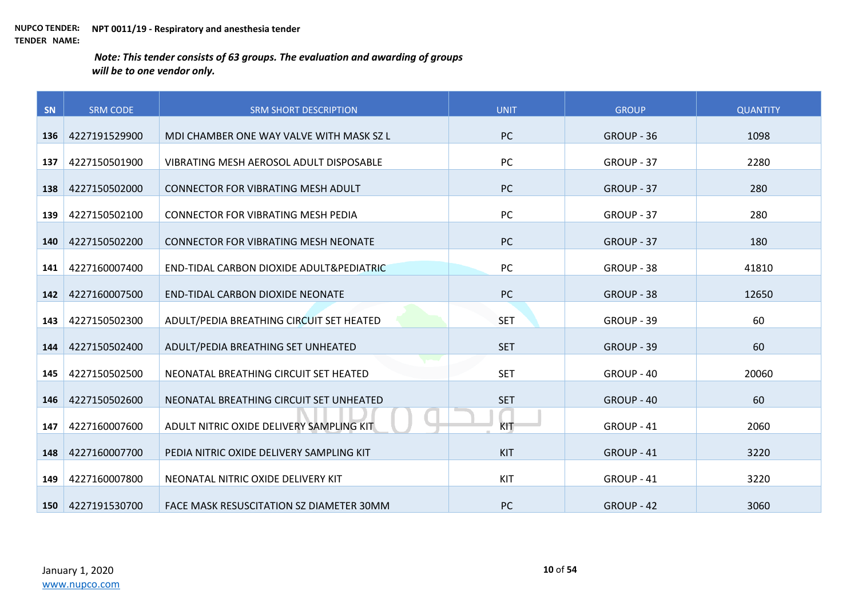| SN  | <b>SRM CODE</b>   | <b>SRM SHORT DESCRIPTION</b>              | <b>UNIT</b> | <b>GROUP</b> | <b>QUANTITY</b> |
|-----|-------------------|-------------------------------------------|-------------|--------------|-----------------|
| 136 | 4227191529900     | MDI CHAMBER ONE WAY VALVE WITH MASK SZ L  | <b>PC</b>   | GROUP - 36   | 1098            |
| 137 | 4227150501900     | VIBRATING MESH AEROSOL ADULT DISPOSABLE   | PC          | GROUP - 37   | 2280            |
| 138 | 4227150502000     | <b>CONNECTOR FOR VIBRATING MESH ADULT</b> | <b>PC</b>   | GROUP - 37   | 280             |
|     |                   |                                           |             |              |                 |
| 139 | 4227150502100     | <b>CONNECTOR FOR VIBRATING MESH PEDIA</b> | <b>PC</b>   | GROUP - 37   | 280             |
| 140 | 4227150502200     | CONNECTOR FOR VIBRATING MESH NEONATE      | <b>PC</b>   | GROUP - 37   | 180             |
| 141 | 4227160007400     | END-TIDAL CARBON DIOXIDE ADULT& PEDIATRIC | PC          | GROUP - 38   | 41810           |
| 142 | 4227160007500     | <b>END-TIDAL CARBON DIOXIDE NEONATE</b>   | <b>PC</b>   | GROUP - 38   | 12650           |
| 143 | 4227150502300     | ADULT/PEDIA BREATHING CIRCUIT SET HEATED  | <b>SET</b>  | GROUP - 39   | 60              |
| 144 | 4227150502400     | ADULT/PEDIA BREATHING SET UNHEATED        | <b>SET</b>  | GROUP - 39   | 60              |
| 145 | 4227150502500     | NEONATAL BREATHING CIRCUIT SET HEATED     | <b>SET</b>  | GROUP - 40   | 20060           |
| 146 | 4227150502600     | NEONATAL BREATHING CIRCUIT SET UNHEATED   | <b>SET</b>  | GROUP - 40   | 60              |
| 147 | 4227160007600     | ADULT NITRIC OXIDE DELIVERY SAMPLING KIT  | KIT         | GROUP - 41   | 2060            |
| 148 | 4227160007700     | PEDIA NITRIC OXIDE DELIVERY SAMPLING KIT  | <b>KIT</b>  | GROUP - 41   | 3220            |
| 149 | 4227160007800     | NEONATAL NITRIC OXIDE DELIVERY KIT        | KIT         | GROUP - 41   | 3220            |
|     | 150 4227191530700 | FACE MASK RESUSCITATION SZ DIAMETER 30MM  | <b>PC</b>   | GROUP - 42   | 3060            |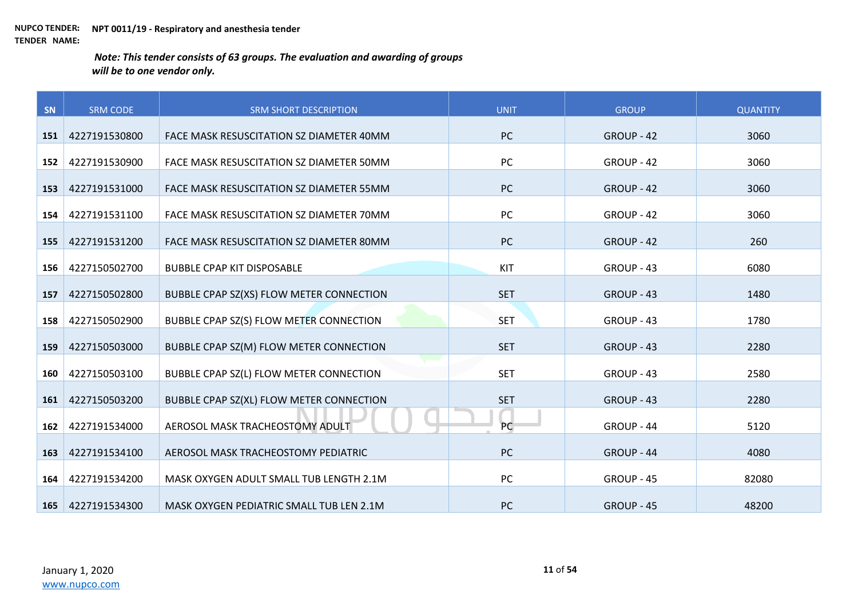| SN  | <b>SRM CODE</b> | <b>SRM SHORT DESCRIPTION</b>             | <b>UNIT</b> | <b>GROUP</b> | <b>QUANTITY</b> |
|-----|-----------------|------------------------------------------|-------------|--------------|-----------------|
| 151 | 4227191530800   | FACE MASK RESUSCITATION SZ DIAMETER 40MM | <b>PC</b>   | GROUP - 42   | 3060            |
|     |                 |                                          |             |              |                 |
| 152 | 4227191530900   | FACE MASK RESUSCITATION SZ DIAMETER 50MM | PC          | GROUP - 42   | 3060            |
| 153 | 4227191531000   | FACE MASK RESUSCITATION SZ DIAMETER 55MM | <b>PC</b>   | GROUP - 42   | 3060            |
| 154 | 4227191531100   | FACE MASK RESUSCITATION SZ DIAMETER 70MM | PC          | GROUP - 42   | 3060            |
| 155 | 4227191531200   | FACE MASK RESUSCITATION SZ DIAMETER 80MM | <b>PC</b>   | GROUP - 42   | 260             |
| 156 | 4227150502700   | <b>BUBBLE CPAP KIT DISPOSABLE</b>        | KIT         | GROUP - 43   | 6080            |
| 157 | 4227150502800   | BUBBLE CPAP SZ(XS) FLOW METER CONNECTION | <b>SET</b>  | GROUP - 43   | 1480            |
| 158 | 4227150502900   | BUBBLE CPAP SZ(S) FLOW METER CONNECTION  | <b>SET</b>  | GROUP - 43   | 1780            |
| 159 | 4227150503000   | BUBBLE CPAP SZ(M) FLOW METER CONNECTION  | <b>SET</b>  | GROUP - 43   | 2280            |
| 160 | 4227150503100   | BUBBLE CPAP SZ(L) FLOW METER CONNECTION  | <b>SET</b>  | GROUP - 43   | 2580            |
| 161 | 4227150503200   | BUBBLE CPAP SZ(XL) FLOW METER CONNECTION | <b>SET</b>  | GROUP - 43   | 2280            |
| 162 | 4227191534000   | AEROSOL MASK TRACHEOSTOMY ADULT          | PC          | GROUP - 44   | 5120            |
| 163 | 4227191534100   | AEROSOL MASK TRACHEOSTOMY PEDIATRIC      | <b>PC</b>   | GROUP - 44   | 4080            |
| 164 | 4227191534200   | MASK OXYGEN ADULT SMALL TUB LENGTH 2.1M  | PC          | GROUP - 45   | 82080           |
| 165 | 4227191534300   | MASK OXYGEN PEDIATRIC SMALL TUB LEN 2.1M | <b>PC</b>   | GROUP - 45   | 48200           |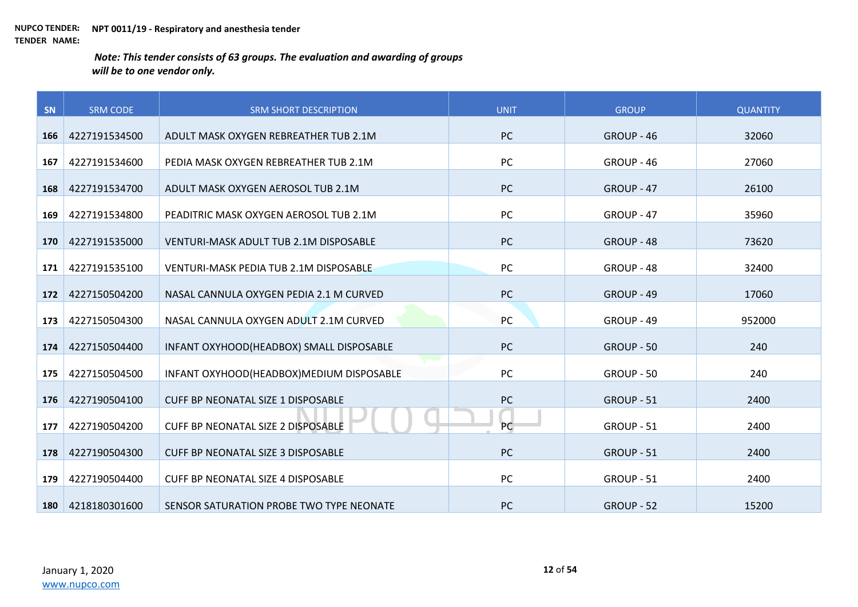| SN  | <b>SRM CODE</b> | <b>SRM SHORT DESCRIPTION</b>              | <b>UNIT</b> | <b>GROUP</b> | <b>QUANTITY</b> |
|-----|-----------------|-------------------------------------------|-------------|--------------|-----------------|
| 166 | 4227191534500   | ADULT MASK OXYGEN REBREATHER TUB 2.1M     | <b>PC</b>   | GROUP - 46   | 32060           |
| 167 | 4227191534600   | PEDIA MASK OXYGEN REBREATHER TUB 2.1M     | PC          | GROUP - 46   | 27060           |
|     |                 |                                           |             |              |                 |
| 168 | 4227191534700   | ADULT MASK OXYGEN AEROSOL TUB 2.1M        | <b>PC</b>   | GROUP - 47   | 26100           |
| 169 | 4227191534800   | PEADITRIC MASK OXYGEN AEROSOL TUB 2.1M    | PC          | GROUP - 47   | 35960           |
| 170 | 4227191535000   | VENTURI-MASK ADULT TUB 2.1M DISPOSABLE    | <b>PC</b>   | GROUP - 48   | 73620           |
| 171 | 4227191535100   | VENTURI-MASK PEDIA TUB 2.1M DISPOSABLE    | <b>PC</b>   | GROUP - 48   | 32400           |
| 172 | 4227150504200   | NASAL CANNULA OXYGEN PEDIA 2.1 M CURVED   | <b>PC</b>   | GROUP - 49   | 17060           |
| 173 | 4227150504300   | NASAL CANNULA OXYGEN ADULT 2.1M CURVED    | PC          | GROUP - 49   | 952000          |
| 174 | 4227150504400   | INFANT OXYHOOD(HEADBOX) SMALL DISPOSABLE  | <b>PC</b>   | GROUP - 50   | 240             |
| 175 | 4227150504500   | INFANT OXYHOOD(HEADBOX)MEDIUM DISPOSABLE  | PC          | GROUP - 50   | 240             |
| 176 | 4227190504100   | CUFF BP NEONATAL SIZE 1 DISPOSABLE        | <b>PC</b>   | GROUP - 51   | 2400            |
| 177 | 4227190504200   | CUFF BP NEONATAL SIZE 2 DISPOSABLE        | PC          | GROUP - 51   | 2400            |
| 178 | 4227190504300   | <b>CUFF BP NEONATAL SIZE 3 DISPOSABLE</b> | <b>PC</b>   | GROUP - 51   | 2400            |
| 179 | 4227190504400   | <b>CUFF BP NEONATAL SIZE 4 DISPOSABLE</b> | PC          | GROUP - 51   | 2400            |
| 180 | 4218180301600   | SENSOR SATURATION PROBE TWO TYPE NEONATE  | PC          | GROUP - 52   | 15200           |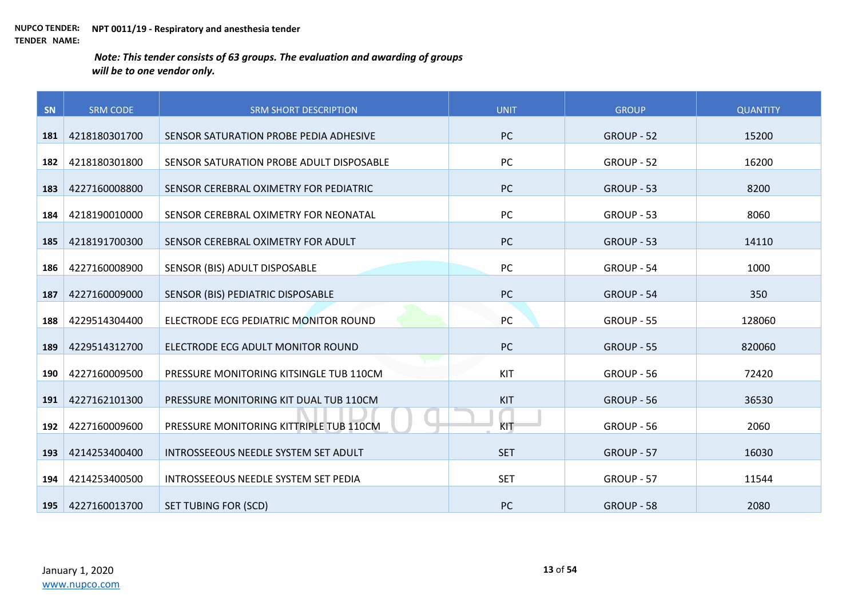| SN  | <b>SRM CODE</b> | <b>SRM SHORT DESCRIPTION</b>             | <b>UNIT</b> | <b>GROUP</b> | <b>QUANTITY</b> |
|-----|-----------------|------------------------------------------|-------------|--------------|-----------------|
| 181 | 4218180301700   | SENSOR SATURATION PROBE PEDIA ADHESIVE   | <b>PC</b>   | GROUP - 52   | 15200           |
|     |                 |                                          |             |              |                 |
| 182 | 4218180301800   | SENSOR SATURATION PROBE ADULT DISPOSABLE | PC          | GROUP - 52   | 16200           |
| 183 | 4227160008800   | SENSOR CEREBRAL OXIMETRY FOR PEDIATRIC   | <b>PC</b>   | GROUP - 53   | 8200            |
| 184 | 4218190010000   | SENSOR CEREBRAL OXIMETRY FOR NEONATAL    | PC          | GROUP - 53   | 8060            |
| 185 | 4218191700300   | SENSOR CEREBRAL OXIMETRY FOR ADULT       | <b>PC</b>   | GROUP - 53   | 14110           |
| 186 | 4227160008900   | SENSOR (BIS) ADULT DISPOSABLE            | PC          | GROUP - 54   | 1000            |
| 187 | 4227160009000   | SENSOR (BIS) PEDIATRIC DISPOSABLE        | PC          | GROUP - 54   | 350             |
| 188 | 4229514304400   | ELECTRODE ECG PEDIATRIC MONITOR ROUND    | PC          | GROUP - 55   | 128060          |
| 189 | 4229514312700   | ELECTRODE ECG ADULT MONITOR ROUND        | <b>PC</b>   | GROUP - 55   | 820060          |
| 190 | 4227160009500   | PRESSURE MONITORING KITSINGLE TUB 110CM  | KIT         | GROUP - 56   | 72420           |
| 191 | 4227162101300   | PRESSURE MONITORING KIT DUAL TUB 110CM   | KIT         | GROUP - 56   | 36530           |
| 192 | 4227160009600   | PRESSURE MONITORING KITTRIPLE TUB 110CM  | KIT         | GROUP - 56   | 2060            |
| 193 | 4214253400400   | INTROSSEEOUS NEEDLE SYSTEM SET ADULT     | <b>SET</b>  | GROUP - 57   | 16030           |
| 194 | 4214253400500   | INTROSSEEOUS NEEDLE SYSTEM SET PEDIA     | <b>SET</b>  | GROUP - 57   | 11544           |
| 195 | 4227160013700   | <b>SET TUBING FOR (SCD)</b>              | <b>PC</b>   | GROUP - 58   | 2080            |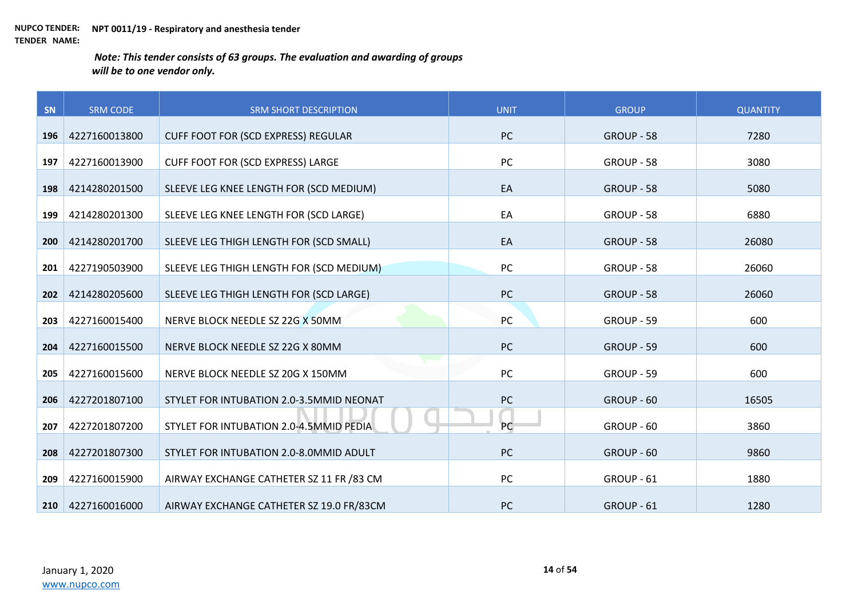| SN  | <b>SRM CODE</b> | <b>SRM SHORT DESCRIPTION</b>               | <b>UNIT</b> | <b>GROUP</b> | <b>QUANTITY</b> |
|-----|-----------------|--------------------------------------------|-------------|--------------|-----------------|
| 196 | 4227160013800   | <b>CUFF FOOT FOR (SCD EXPRESS) REGULAR</b> | <b>PC</b>   | GROUP - 58   | 7280            |
|     |                 |                                            |             |              |                 |
| 197 | 4227160013900   | <b>CUFF FOOT FOR (SCD EXPRESS) LARGE</b>   | PC          | GROUP - 58   | 3080            |
| 198 | 4214280201500   | SLEEVE LEG KNEE LENGTH FOR (SCD MEDIUM)    | EA          | GROUP - 58   | 5080            |
| 199 | 4214280201300   | SLEEVE LEG KNEE LENGTH FOR (SCD LARGE)     | EA          | GROUP - 58   | 6880            |
| 200 | 4214280201700   | SLEEVE LEG THIGH LENGTH FOR (SCD SMALL)    | EA          | GROUP - 58   | 26080           |
| 201 | 4227190503900   | SLEEVE LEG THIGH LENGTH FOR (SCD MEDIUM)   | PC          | GROUP - 58   | 26060           |
| 202 | 4214280205600   | SLEEVE LEG THIGH LENGTH FOR (SCD LARGE)    | PC          | GROUP - 58   | 26060           |
| 203 | 4227160015400   | NERVE BLOCK NEEDLE SZ 22G X 50MM           | PC          | GROUP - 59   | 600             |
| 204 | 4227160015500   | NERVE BLOCK NEEDLE SZ 22G X 80MM           | <b>PC</b>   | GROUP - 59   | 600             |
| 205 | 4227160015600   | NERVE BLOCK NEEDLE SZ 20G X 150MM          | PC          | GROUP - 59   | 600             |
| 206 | 4227201807100   | STYLET FOR INTUBATION 2.0-3.5MMID NEONAT   | PC          | GROUP - 60   | 16505           |
| 207 | 4227201807200   | STYLET FOR INTUBATION 2.0-4.5MMID PEDIA    | PC          | GROUP - 60   | 3860            |
| 208 | 4227201807300   | STYLET FOR INTUBATION 2.0-8.0MMID ADULT    | PC          | GROUP - 60   | 9860            |
| 209 | 4227160015900   | AIRWAY EXCHANGE CATHETER SZ 11 FR /83 CM   | PC          | GROUP - 61   | 1880            |
| 210 | 4227160016000   | AIRWAY EXCHANGE CATHETER SZ 19.0 FR/83CM   | <b>PC</b>   | GROUP - 61   | 1280            |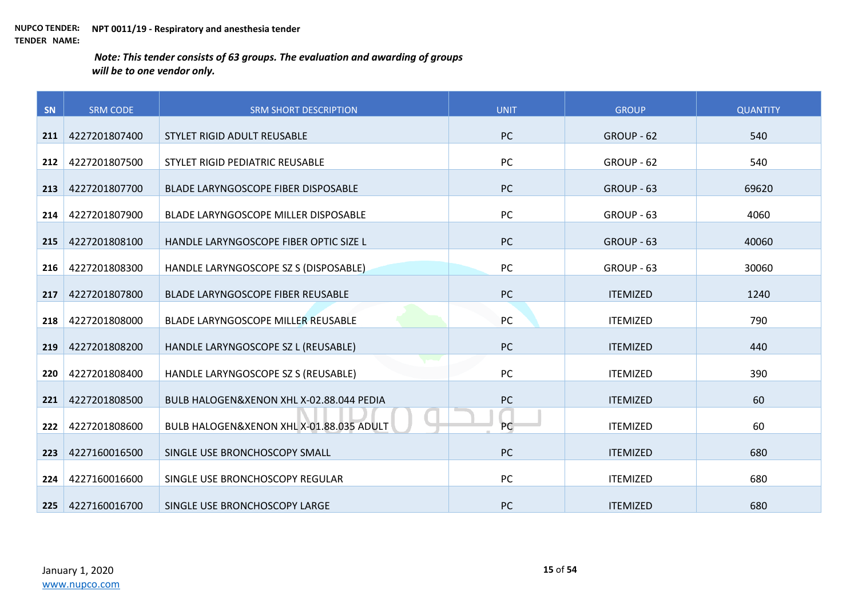| SN  | <b>SRM CODE</b> | <b>SRM SHORT DESCRIPTION</b>             | <b>UNIT</b> | <b>GROUP</b>    | <b>QUANTITY</b> |
|-----|-----------------|------------------------------------------|-------------|-----------------|-----------------|
| 211 | 4227201807400   | STYLET RIGID ADULT REUSABLE              | PC          | GROUP - 62      | 540             |
| 212 | 4227201807500   | STYLET RIGID PEDIATRIC REUSABLE          | PC          | GROUP - 62      | 540             |
| 213 | 4227201807700   | BLADE LARYNGOSCOPE FIBER DISPOSABLE      | PC          | GROUP - 63      | 69620           |
|     |                 |                                          | PC          |                 |                 |
| 214 | 4227201807900   | BLADE LARYNGOSCOPE MILLER DISPOSABLE     |             | GROUP - 63      | 4060            |
| 215 | 4227201808100   | HANDLE LARYNGOSCOPE FIBER OPTIC SIZE L   | <b>PC</b>   | GROUP - 63      | 40060           |
| 216 | 4227201808300   | HANDLE LARYNGOSCOPE SZ S (DISPOSABLE)    | PC          | GROUP - 63      | 30060           |
| 217 | 4227201807800   | BLADE LARYNGOSCOPE FIBER REUSABLE        | <b>PC</b>   | <b>ITEMIZED</b> | 1240            |
| 218 | 4227201808000   | BLADE LARYNGOSCOPE MILLER REUSABLE       | PC          | <b>ITEMIZED</b> | 790             |
| 219 | 4227201808200   | HANDLE LARYNGOSCOPE SZ L (REUSABLE)      | <b>PC</b>   | <b>ITEMIZED</b> | 440             |
| 220 | 4227201808400   | HANDLE LARYNGOSCOPE SZ S (REUSABLE)      | <b>PC</b>   | <b>ITEMIZED</b> | 390             |
| 221 | 4227201808500   | BULB HALOGEN&XENON XHL X-02.88.044 PEDIA | PC          | <b>ITEMIZED</b> | 60              |
| 222 | 4227201808600   | BULB HALOGEN&XENON XHL X-01.88.035 ADULT | PC          | <b>ITEMIZED</b> | 60              |
| 223 | 4227160016500   | SINGLE USE BRONCHOSCOPY SMALL            | <b>PC</b>   | <b>ITEMIZED</b> | 680             |
| 224 | 4227160016600   | SINGLE USE BRONCHOSCOPY REGULAR          | PC          | <b>ITEMIZED</b> | 680             |
| 225 | 4227160016700   | SINGLE USE BRONCHOSCOPY LARGE            | <b>PC</b>   | <b>ITEMIZED</b> | 680             |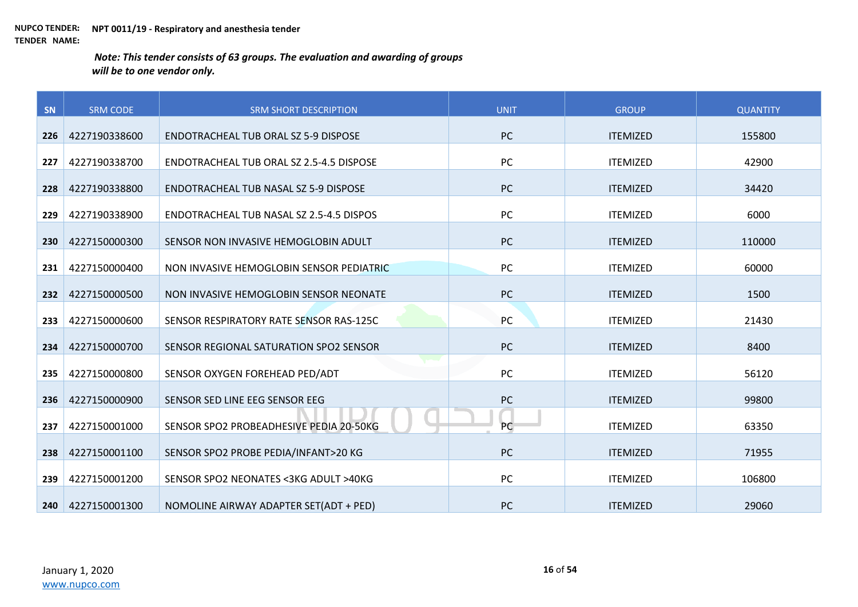| SN  | <b>SRM CODE</b> | <b>SRM SHORT DESCRIPTION</b>             | <b>UNIT</b> | <b>GROUP</b>    | <b>QUANTITY</b> |
|-----|-----------------|------------------------------------------|-------------|-----------------|-----------------|
| 226 | 4227190338600   | ENDOTRACHEAL TUB ORAL SZ 5-9 DISPOSE     | PC          | <b>ITEMIZED</b> | 155800          |
| 227 | 4227190338700   | ENDOTRACHEAL TUB ORAL SZ 2.5-4.5 DISPOSE | PC          | <b>ITEMIZED</b> | 42900           |
|     |                 |                                          |             |                 |                 |
| 228 | 4227190338800   | ENDOTRACHEAL TUB NASAL SZ 5-9 DISPOSE    | <b>PC</b>   | <b>ITEMIZED</b> | 34420           |
| 229 | 4227190338900   | ENDOTRACHEAL TUB NASAL SZ 2.5-4.5 DISPOS | PC          | <b>ITEMIZED</b> | 6000            |
| 230 | 4227150000300   | SENSOR NON INVASIVE HEMOGLOBIN ADULT     | <b>PC</b>   | <b>ITEMIZED</b> | 110000          |
| 231 | 4227150000400   | NON INVASIVE HEMOGLOBIN SENSOR PEDIATRIC | PC          | <b>ITEMIZED</b> | 60000           |
| 232 | 4227150000500   | NON INVASIVE HEMOGLOBIN SENSOR NEONATE   | PC          | <b>ITEMIZED</b> | 1500            |
| 233 | 4227150000600   | SENSOR RESPIRATORY RATE SENSOR RAS-125C  | PC          | <b>ITEMIZED</b> | 21430           |
| 234 | 4227150000700   | SENSOR REGIONAL SATURATION SPO2 SENSOR   | PC          | <b>ITEMIZED</b> | 8400            |
|     |                 |                                          |             |                 |                 |
| 235 | 4227150000800   | SENSOR OXYGEN FOREHEAD PED/ADT           | PC          | <b>ITEMIZED</b> | 56120           |
| 236 | 4227150000900   | SENSOR SED LINE EEG SENSOR EEG           | PC          | <b>ITEMIZED</b> | 99800           |
| 237 | 4227150001000   | SENSOR SPO2 PROBEADHESIVE PEDIA 20-50KG  | PC          | <b>ITEMIZED</b> | 63350           |
| 238 | 4227150001100   | SENSOR SPO2 PROBE PEDIA/INFANT>20 KG     | PC          | <b>ITEMIZED</b> | 71955           |
| 239 | 4227150001200   | SENSOR SPO2 NEONATES <3KG ADULT >40KG    | PC          | <b>ITEMIZED</b> | 106800          |
| 240 | 4227150001300   | NOMOLINE AIRWAY ADAPTER SET(ADT + PED)   | <b>PC</b>   | <b>ITEMIZED</b> | 29060           |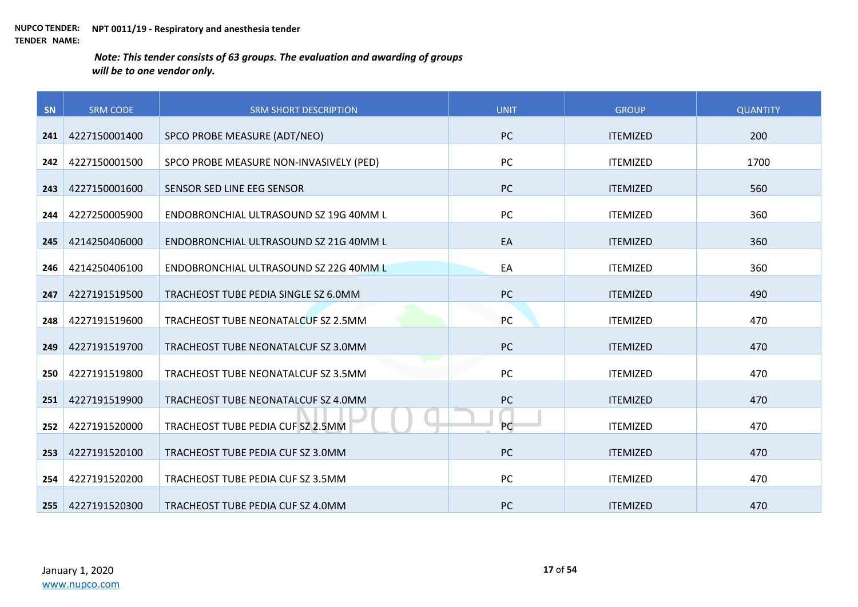| SN  | <b>SRM CODE</b> | <b>SRM SHORT DESCRIPTION</b>            | <b>UNIT</b> | <b>GROUP</b>    | <b>QUANTITY</b> |
|-----|-----------------|-----------------------------------------|-------------|-----------------|-----------------|
| 241 | 4227150001400   | SPCO PROBE MEASURE (ADT/NEO)            | <b>PC</b>   | <b>ITEMIZED</b> | 200             |
|     |                 |                                         |             |                 |                 |
| 242 | 4227150001500   | SPCO PROBE MEASURE NON-INVASIVELY (PED) | PC          | <b>ITEMIZED</b> | 1700            |
| 243 | 4227150001600   | SENSOR SED LINE EEG SENSOR              | <b>PC</b>   | <b>ITEMIZED</b> | 560             |
| 244 | 4227250005900   | ENDOBRONCHIAL ULTRASOUND SZ 19G 40MM L  | PC          | <b>ITEMIZED</b> | 360             |
| 245 | 4214250406000   | ENDOBRONCHIAL ULTRASOUND SZ 21G 40MM L  | EA          | <b>ITEMIZED</b> | 360             |
| 246 | 4214250406100   | ENDOBRONCHIAL ULTRASOUND SZ 22G 40MM L  | EA          | <b>ITEMIZED</b> | 360             |
| 247 | 4227191519500   | TRACHEOST TUBE PEDIA SINGLE SZ 6.0MM    | PC          | <b>ITEMIZED</b> | 490             |
| 248 | 4227191519600   | TRACHEOST TUBE NEONATALCUF SZ 2.5MM     | PC          | <b>ITEMIZED</b> | 470             |
| 249 | 4227191519700   | TRACHEOST TUBE NEONATALCUF SZ 3.0MM     | <b>PC</b>   | <b>ITEMIZED</b> | 470             |
| 250 | 4227191519800   | TRACHEOST TUBE NEONATALCUF SZ 3.5MM     | PC          | <b>ITEMIZED</b> | 470             |
| 251 | 4227191519900   | TRACHEOST TUBE NEONATALCUF SZ 4.0MM     | PC          | <b>ITEMIZED</b> | 470             |
| 252 | 4227191520000   | TRACHEOST TUBE PEDIA CUF SZ 2.5MM       | PC          | <b>ITEMIZED</b> | 470             |
| 253 | 4227191520100   | TRACHEOST TUBE PEDIA CUF SZ 3.0MM       | PC          | <b>ITEMIZED</b> | 470             |
| 254 | 4227191520200   | TRACHEOST TUBE PEDIA CUF SZ 3.5MM       | PC          | <b>ITEMIZED</b> | 470             |
| 255 | 4227191520300   | TRACHEOST TUBE PEDIA CUF SZ 4.0MM       | <b>PC</b>   | <b>ITEMIZED</b> | 470             |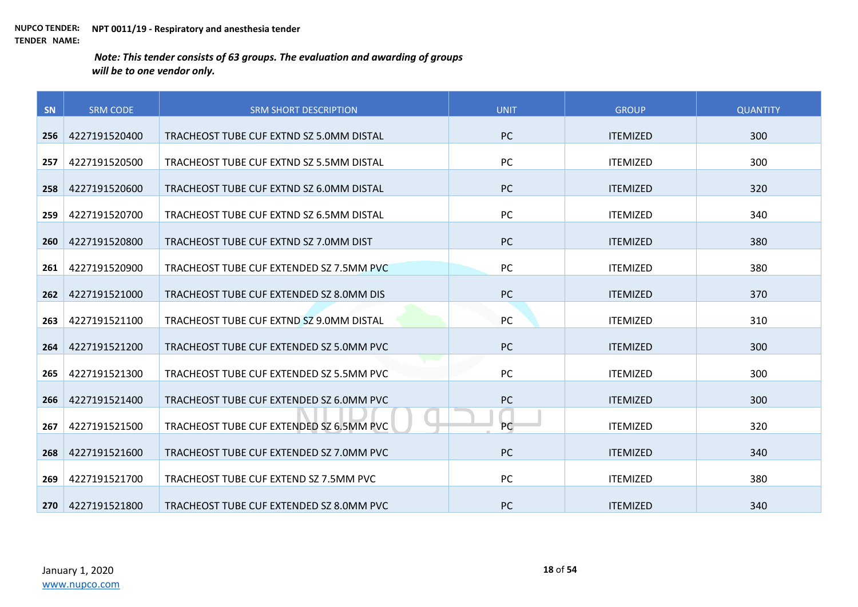| SN  | <b>SRM CODE</b> | <b>SRM SHORT DESCRIPTION</b>             | <b>UNIT</b> | <b>GROUP</b>    | <b>QUANTITY</b> |
|-----|-----------------|------------------------------------------|-------------|-----------------|-----------------|
| 256 | 4227191520400   | TRACHEOST TUBE CUF EXTND SZ 5.0MM DISTAL | <b>PC</b>   | <b>ITEMIZED</b> | 300             |
|     |                 |                                          |             |                 |                 |
| 257 | 4227191520500   | TRACHEOST TUBE CUF EXTND SZ 5.5MM DISTAL | PC          | <b>ITEMIZED</b> | 300             |
| 258 | 4227191520600   | TRACHEOST TUBE CUF EXTND SZ 6.0MM DISTAL | PC          | <b>ITEMIZED</b> | 320             |
| 259 | 4227191520700   | TRACHEOST TUBE CUF EXTND SZ 6.5MM DISTAL | PC          | <b>ITEMIZED</b> | 340             |
| 260 | 4227191520800   | TRACHEOST TUBE CUF EXTND SZ 7.0MM DIST   | <b>PC</b>   | <b>ITEMIZED</b> | 380             |
| 261 | 4227191520900   | TRACHEOST TUBE CUF EXTENDED SZ 7.5MM PVC | PC          | <b>ITEMIZED</b> | 380             |
| 262 | 4227191521000   | TRACHEOST TUBE CUF EXTENDED SZ 8.0MM DIS | <b>PC</b>   | <b>ITEMIZED</b> | 370             |
| 263 | 4227191521100   | TRACHEOST TUBE CUF EXTND SZ 9.0MM DISTAL | PC          | <b>ITEMIZED</b> | 310             |
| 264 | 4227191521200   | TRACHEOST TUBE CUF EXTENDED SZ 5.0MM PVC | <b>PC</b>   | <b>ITEMIZED</b> | 300             |
| 265 | 4227191521300   | TRACHEOST TUBE CUF EXTENDED SZ 5.5MM PVC | <b>PC</b>   | <b>ITEMIZED</b> | 300             |
| 266 | 4227191521400   | TRACHEOST TUBE CUF EXTENDED SZ 6.0MM PVC | PC          | <b>ITEMIZED</b> | 300             |
| 267 | 4227191521500   | TRACHEOST TUBE CUF EXTENDED SZ 6.5MM PVC | <b>PC</b>   | <b>ITEMIZED</b> | 320             |
| 268 | 4227191521600   | TRACHEOST TUBE CUF EXTENDED SZ 7.0MM PVC | <b>PC</b>   | <b>ITEMIZED</b> | 340             |
| 269 | 4227191521700   | TRACHEOST TUBE CUF EXTEND SZ 7.5MM PVC   | <b>PC</b>   | <b>ITEMIZED</b> | 380             |
| 270 | 4227191521800   | TRACHEOST TUBE CUF EXTENDED SZ 8.0MM PVC | <b>PC</b>   | <b>ITEMIZED</b> | 340             |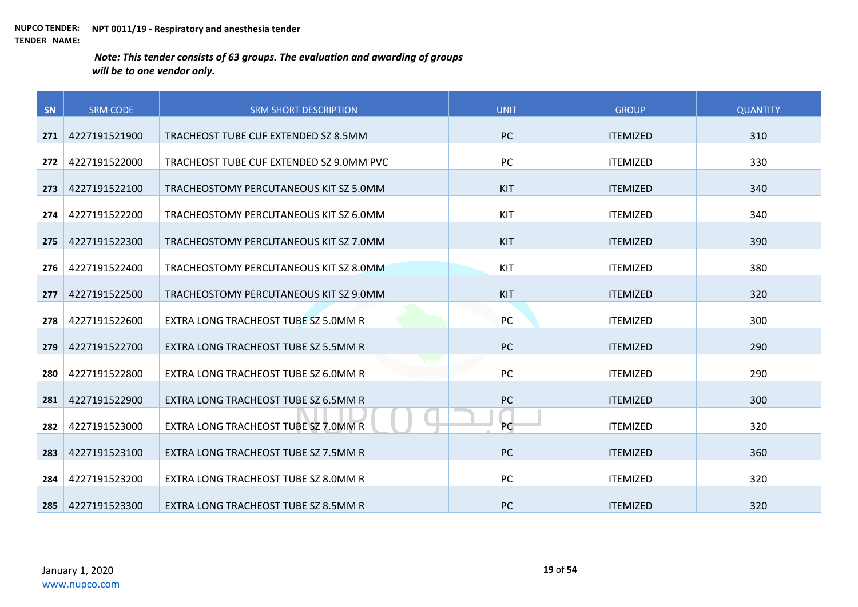| SN  | <b>SRM CODE</b> | <b>SRM SHORT DESCRIPTION</b>             | <b>UNIT</b> | <b>GROUP</b>    | <b>QUANTITY</b> |
|-----|-----------------|------------------------------------------|-------------|-----------------|-----------------|
| 271 | 4227191521900   | TRACHEOST TUBE CUF EXTENDED SZ 8.5MM     | <b>PC</b>   | <b>ITEMIZED</b> | 310             |
|     |                 |                                          |             |                 |                 |
| 272 | 4227191522000   | TRACHEOST TUBE CUF EXTENDED SZ 9.0MM PVC | PC          | <b>ITEMIZED</b> | 330             |
| 273 | 4227191522100   | TRACHEOSTOMY PERCUTANEOUS KIT SZ 5.0MM   | KIT         | <b>ITEMIZED</b> | 340             |
| 274 | 4227191522200   | TRACHEOSTOMY PERCUTANEOUS KIT SZ 6.0MM   | KIT         | <b>ITEMIZED</b> | 340             |
| 275 | 4227191522300   | TRACHEOSTOMY PERCUTANEOUS KIT SZ 7.0MM   | KIT         | <b>ITEMIZED</b> | 390             |
| 276 | 4227191522400   | TRACHEOSTOMY PERCUTANEOUS KIT SZ 8.0MM   | KIT         | <b>ITEMIZED</b> | 380             |
| 277 | 4227191522500   | TRACHEOSTOMY PERCUTANEOUS KIT SZ 9.0MM   | KIT         | <b>ITEMIZED</b> | 320             |
| 278 | 4227191522600   | EXTRA LONG TRACHEOST TUBE SZ 5.0MM R     | PC          | <b>ITEMIZED</b> | 300             |
|     |                 |                                          |             |                 |                 |
| 279 | 4227191522700   | EXTRA LONG TRACHEOST TUBE SZ 5.5MM R     | <b>PC</b>   | <b>ITEMIZED</b> | 290             |
| 280 | 4227191522800   | EXTRA LONG TRACHEOST TUBE SZ 6.0MM R     | PC          | <b>ITEMIZED</b> | 290             |
| 281 | 4227191522900   | EXTRA LONG TRACHEOST TUBE SZ 6.5MM R     | <b>PC</b>   | <b>ITEMIZED</b> | 300             |
| 282 | 4227191523000   | EXTRA LONG TRACHEOST TUBE SZ 7.0MM R     | PC          | <b>ITEMIZED</b> | 320             |
| 283 | 4227191523100   | EXTRA LONG TRACHEOST TUBE SZ 7.5MM R     | <b>PC</b>   | <b>ITEMIZED</b> | 360             |
|     |                 |                                          |             |                 |                 |
| 284 | 4227191523200   | EXTRA LONG TRACHEOST TUBE SZ 8.0MM R     | PC          | <b>ITEMIZED</b> | 320             |
| 285 | 4227191523300   | EXTRA LONG TRACHEOST TUBE SZ 8.5MM R     | <b>PC</b>   | <b>ITEMIZED</b> | 320             |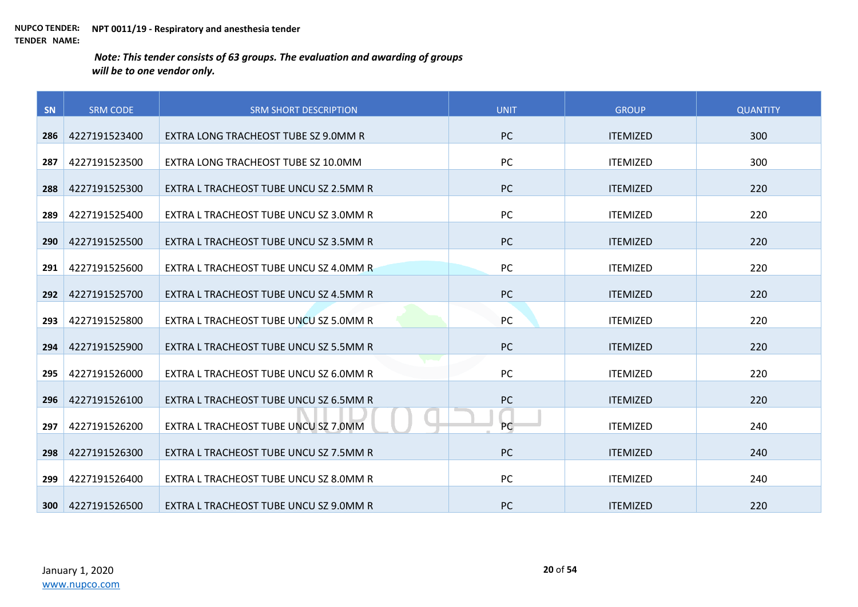| SN  | <b>SRM CODE</b> | <b>SRM SHORT DESCRIPTION</b>           | <b>UNIT</b> | <b>GROUP</b>    | <b>QUANTITY</b> |
|-----|-----------------|----------------------------------------|-------------|-----------------|-----------------|
| 286 | 4227191523400   | EXTRA LONG TRACHEOST TUBE SZ 9.0MM R   | <b>PC</b>   | <b>ITEMIZED</b> | 300             |
|     |                 |                                        |             |                 |                 |
| 287 | 4227191523500   | EXTRA LONG TRACHEOST TUBE SZ 10.0MM    | PC          | <b>ITEMIZED</b> | 300             |
| 288 | 4227191525300   | EXTRA L TRACHEOST TUBE UNCU SZ 2.5MM R | <b>PC</b>   | <b>ITEMIZED</b> | 220             |
| 289 | 4227191525400   | EXTRA L TRACHEOST TUBE UNCU SZ 3.0MM R | PC          | <b>ITEMIZED</b> | 220             |
| 290 | 4227191525500   | EXTRA L TRACHEOST TUBE UNCU SZ 3.5MM R | <b>PC</b>   | <b>ITEMIZED</b> | 220             |
| 291 | 4227191525600   | EXTRA L TRACHEOST TUBE UNCU SZ 4.0MM R | PC          | <b>ITEMIZED</b> | 220             |
| 292 | 4227191525700   | EXTRA L TRACHEOST TUBE UNCU SZ 4.5MM R | <b>PC</b>   | <b>ITEMIZED</b> | 220             |
| 293 | 4227191525800   | EXTRA L TRACHEOST TUBE UNCU SZ 5.0MM R | PC          | <b>ITEMIZED</b> | 220             |
| 294 | 4227191525900   | EXTRA L TRACHEOST TUBE UNCU SZ 5.5MM R | <b>PC</b>   | <b>ITEMIZED</b> | 220             |
| 295 | 4227191526000   | EXTRA L TRACHEOST TUBE UNCU SZ 6.0MM R | <b>PC</b>   | <b>ITEMIZED</b> | 220             |
| 296 | 4227191526100   | EXTRA L TRACHEOST TUBE UNCU SZ 6.5MM R | PC          | <b>ITEMIZED</b> | 220             |
| 297 | 4227191526200   | EXTRA L TRACHEOST TUBE UNCU SZ 7.0MM   | PC          | <b>ITEMIZED</b> | 240             |
| 298 | 4227191526300   | EXTRA L TRACHEOST TUBE UNCU SZ 7.5MM R | <b>PC</b>   | <b>ITEMIZED</b> | 240             |
| 299 | 4227191526400   | EXTRA L TRACHEOST TUBE UNCU SZ 8.0MM R | PC          | <b>ITEMIZED</b> | 240             |
| 300 | 4227191526500   | EXTRA L TRACHEOST TUBE UNCU SZ 9.0MM R | <b>PC</b>   | <b>ITEMIZED</b> | 220             |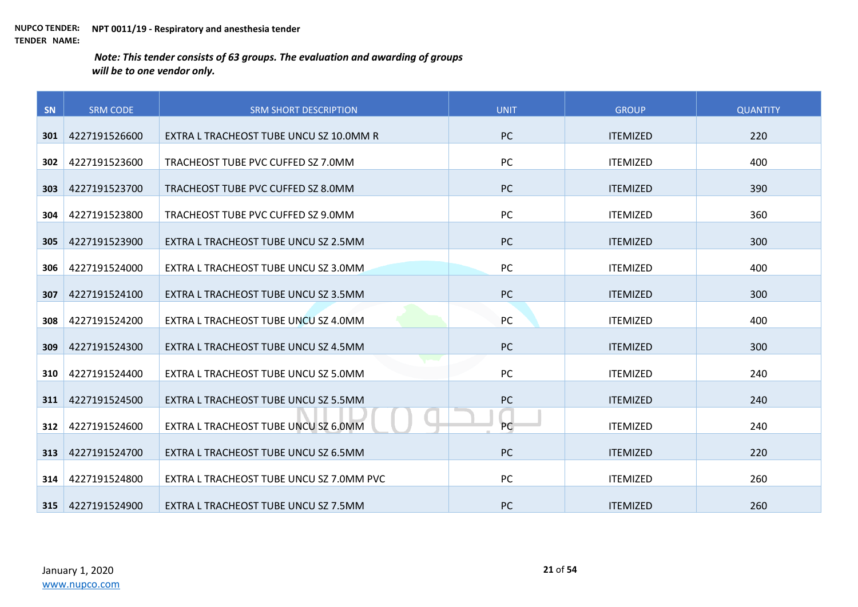| SN  | <b>SRM CODE</b> | <b>SRM SHORT DESCRIPTION</b>             | <b>UNIT</b> | <b>GROUP</b>    | <b>QUANTITY</b> |
|-----|-----------------|------------------------------------------|-------------|-----------------|-----------------|
|     | 4227191526600   | EXTRA L TRACHEOST TUBE UNCU SZ 10.0MM R  | <b>PC</b>   | <b>ITEMIZED</b> | 220             |
| 301 |                 |                                          |             |                 |                 |
| 302 | 4227191523600   | TRACHEOST TUBE PVC CUFFED SZ 7.0MM       | PC          | <b>ITEMIZED</b> | 400             |
| 303 | 4227191523700   | TRACHEOST TUBE PVC CUFFED SZ 8.0MM       | PC          | <b>ITEMIZED</b> | 390             |
| 304 | 4227191523800   | TRACHEOST TUBE PVC CUFFED SZ 9.0MM       | PC          | <b>ITEMIZED</b> | 360             |
| 305 | 4227191523900   | EXTRA L TRACHEOST TUBE UNCU SZ 2.5MM     | <b>PC</b>   | <b>ITEMIZED</b> | 300             |
| 306 | 4227191524000   | EXTRA L TRACHEOST TUBE UNCU SZ 3.0MM     | PC          | <b>ITEMIZED</b> | 400             |
| 307 | 4227191524100   | EXTRA L TRACHEOST TUBE UNCU SZ 3.5MM     | <b>PC</b>   | <b>ITEMIZED</b> | 300             |
| 308 | 4227191524200   | EXTRA L TRACHEOST TUBE UNCU SZ 4.0MM     | PC          | <b>ITEMIZED</b> | 400             |
| 309 | 4227191524300   | EXTRA L TRACHEOST TUBE UNCU SZ 4.5MM     | <b>PC</b>   | <b>ITEMIZED</b> | 300             |
| 310 | 4227191524400   | EXTRA L TRACHEOST TUBE UNCU SZ 5.0MM     | <b>PC</b>   | <b>ITEMIZED</b> | 240             |
| 311 | 4227191524500   | EXTRA L TRACHEOST TUBE UNCU SZ 5.5MM     | PC          | <b>ITEMIZED</b> | 240             |
| 312 | 4227191524600   | EXTRA L TRACHEOST TUBE UNCU SZ 6.0MM     | PC          | <b>ITEMIZED</b> | 240             |
| 313 | 4227191524700   | EXTRA L TRACHEOST TUBE UNCU SZ 6.5MM     | <b>PC</b>   | <b>ITEMIZED</b> | 220             |
| 314 | 4227191524800   | EXTRA L TRACHEOST TUBE UNCU SZ 7.0MM PVC | <b>PC</b>   | <b>ITEMIZED</b> | 260             |
| 315 | 4227191524900   | EXTRA L TRACHEOST TUBE UNCU SZ 7.5MM     | <b>PC</b>   | <b>ITEMIZED</b> | 260             |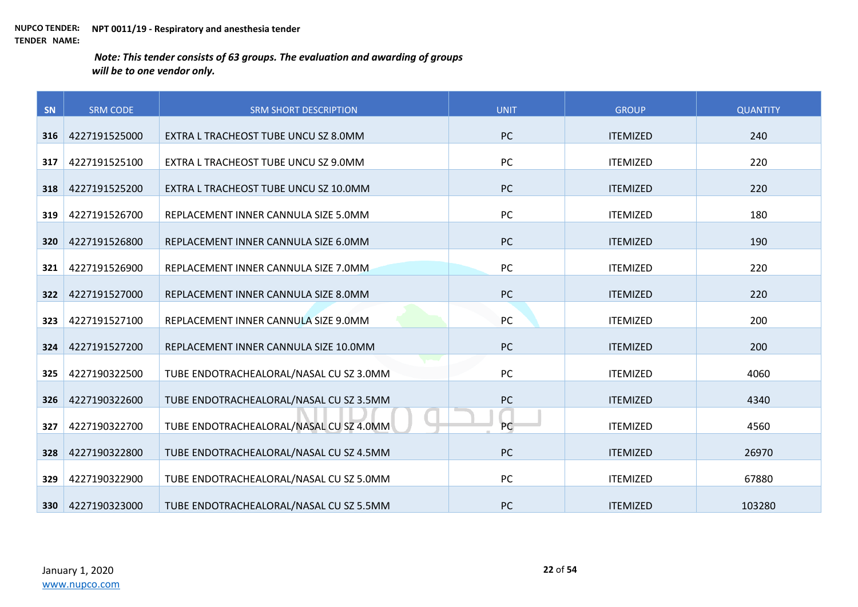| SN  | <b>SRM CODE</b> | <b>SRM SHORT DESCRIPTION</b>            | <b>UNIT</b> | <b>GROUP</b>    | <b>QUANTITY</b> |
|-----|-----------------|-----------------------------------------|-------------|-----------------|-----------------|
| 316 | 4227191525000   | EXTRA L TRACHEOST TUBE UNCU SZ 8.0MM    | <b>PC</b>   | <b>ITEMIZED</b> | 240             |
|     |                 |                                         |             |                 |                 |
| 317 | 4227191525100   | EXTRA L TRACHEOST TUBE UNCU SZ 9.0MM    | PC          | <b>ITEMIZED</b> | 220             |
| 318 | 4227191525200   | EXTRA L TRACHEOST TUBE UNCU SZ 10.0MM   | PC          | <b>ITEMIZED</b> | 220             |
| 319 | 4227191526700   | REPLACEMENT INNER CANNULA SIZE 5.0MM    | PC          | <b>ITEMIZED</b> | 180             |
| 320 | 4227191526800   | REPLACEMENT INNER CANNULA SIZE 6.0MM    | PC          | <b>ITEMIZED</b> | 190             |
| 321 | 4227191526900   | REPLACEMENT INNER CANNULA SIZE 7.0MM    | PC          | <b>ITEMIZED</b> | 220             |
| 322 | 4227191527000   | REPLACEMENT INNER CANNULA SIZE 8.0MM    | PC          | <b>ITEMIZED</b> | 220             |
| 323 | 4227191527100   | REPLACEMENT INNER CANNULA SIZE 9.0MM    | PC          | <b>ITEMIZED</b> | 200             |
| 324 | 4227191527200   | REPLACEMENT INNER CANNULA SIZE 10.0MM   | PC          | <b>ITEMIZED</b> | 200             |
| 325 | 4227190322500   | TUBE ENDOTRACHEALORAL/NASAL CU SZ 3.0MM | PC          | <b>ITEMIZED</b> | 4060            |
| 326 | 4227190322600   | TUBE ENDOTRACHEALORAL/NASAL CU SZ 3.5MM | PC          | <b>ITEMIZED</b> | 4340            |
| 327 | 4227190322700   | TUBE ENDOTRACHEALORAL/NASAL CU SZ 4.0MM | PC          | <b>ITEMIZED</b> | 4560            |
| 328 | 4227190322800   | TUBE ENDOTRACHEALORAL/NASAL CU SZ 4.5MM | <b>PC</b>   | <b>ITEMIZED</b> | 26970           |
| 329 | 4227190322900   | TUBE ENDOTRACHEALORAL/NASAL CU SZ 5.0MM | PC          | <b>ITEMIZED</b> | 67880           |
| 330 | 4227190323000   | TUBE ENDOTRACHEALORAL/NASAL CU SZ 5.5MM | <b>PC</b>   | <b>ITEMIZED</b> | 103280          |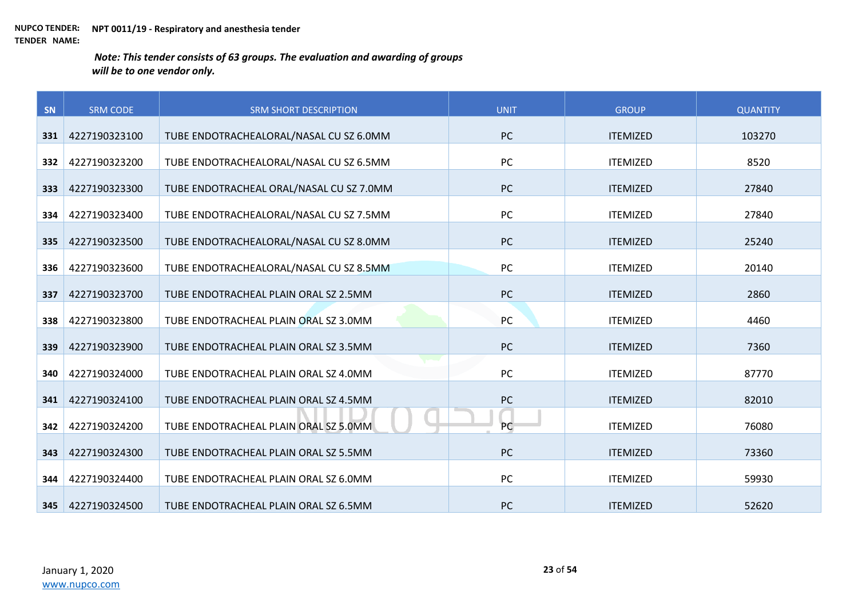| SN  | <b>SRM CODE</b> | <b>SRM SHORT DESCRIPTION</b>             | <b>UNIT</b> | <b>GROUP</b>    | <b>QUANTITY</b> |
|-----|-----------------|------------------------------------------|-------------|-----------------|-----------------|
| 331 | 4227190323100   | TUBE ENDOTRACHEALORAL/NASAL CU SZ 6.0MM  | <b>PC</b>   | <b>ITEMIZED</b> | 103270          |
|     |                 |                                          |             |                 |                 |
| 332 | 4227190323200   | TUBE ENDOTRACHEALORAL/NASAL CU SZ 6.5MM  | PC          | <b>ITEMIZED</b> | 8520            |
| 333 | 4227190323300   | TUBE ENDOTRACHEAL ORAL/NASAL CU SZ 7.0MM | <b>PC</b>   | <b>ITEMIZED</b> | 27840           |
| 334 | 4227190323400   | TUBE ENDOTRACHEALORAL/NASAL CU SZ 7.5MM  | PC          | <b>ITEMIZED</b> | 27840           |
| 335 | 4227190323500   | TUBE ENDOTRACHEALORAL/NASAL CU SZ 8.0MM  | <b>PC</b>   | <b>ITEMIZED</b> | 25240           |
| 336 | 4227190323600   | TUBE ENDOTRACHEALORAL/NASAL CU SZ 8.5MM  | PC          | <b>ITEMIZED</b> | 20140           |
| 337 | 4227190323700   | TUBE ENDOTRACHEAL PLAIN ORAL SZ 2.5MM    | PC          | <b>ITEMIZED</b> | 2860            |
| 338 | 4227190323800   | TUBE ENDOTRACHEAL PLAIN ORAL SZ 3.0MM    | PC          | <b>ITEMIZED</b> | 4460            |
| 339 | 4227190323900   | TUBE ENDOTRACHEAL PLAIN ORAL SZ 3.5MM    | <b>PC</b>   | <b>ITEMIZED</b> | 7360            |
| 340 | 4227190324000   | TUBE ENDOTRACHEAL PLAIN ORAL SZ 4.0MM    | PC          | <b>ITEMIZED</b> | 87770           |
| 341 | 4227190324100   | TUBE ENDOTRACHEAL PLAIN ORAL SZ 4.5MM    | PC          | <b>ITEMIZED</b> | 82010           |
| 342 | 4227190324200   | TUBE ENDOTRACHEAL PLAIN ORAL SZ 5.0MM    | PC          | <b>ITEMIZED</b> | 76080           |
| 343 | 4227190324300   | TUBE ENDOTRACHEAL PLAIN ORAL SZ 5.5MM    | PC          | <b>ITEMIZED</b> | 73360           |
| 344 | 4227190324400   | TUBE ENDOTRACHEAL PLAIN ORAL SZ 6.0MM    | PC          | <b>ITEMIZED</b> | 59930           |
| 345 | 4227190324500   | TUBE ENDOTRACHEAL PLAIN ORAL SZ 6.5MM    | <b>PC</b>   | <b>ITEMIZED</b> | 52620           |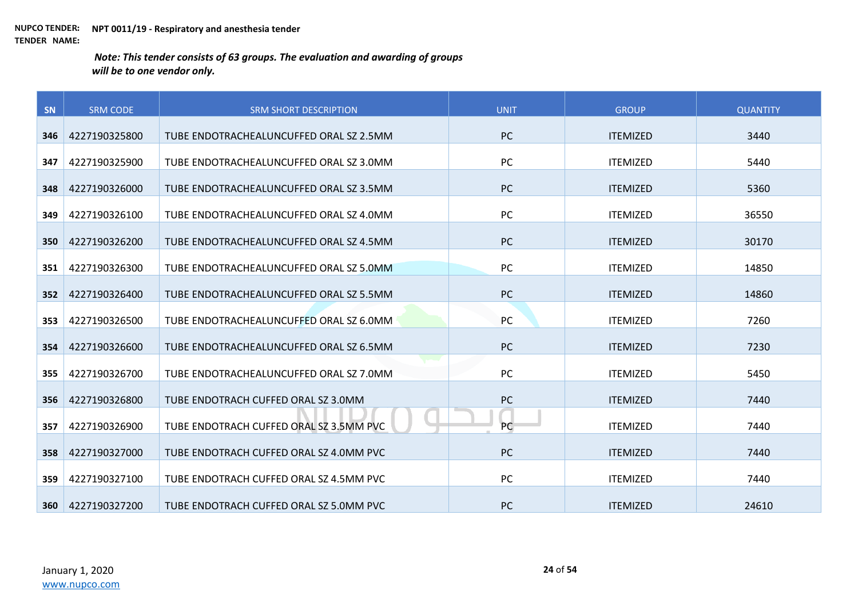| SN  | <b>SRM CODE</b> | <b>SRM SHORT DESCRIPTION</b>            | <b>UNIT</b> | <b>GROUP</b>    | <b>QUANTITY</b> |
|-----|-----------------|-----------------------------------------|-------------|-----------------|-----------------|
|     |                 |                                         |             |                 |                 |
| 346 | 4227190325800   | TUBE ENDOTRACHEALUNCUFFED ORAL SZ 2.5MM | <b>PC</b>   | <b>ITEMIZED</b> | 3440            |
| 347 | 4227190325900   | TUBE ENDOTRACHEALUNCUFFED ORAL SZ 3.0MM | <b>PC</b>   | <b>ITEMIZED</b> | 5440            |
| 348 | 4227190326000   | TUBE ENDOTRACHEALUNCUFFED ORAL SZ 3.5MM | <b>PC</b>   | <b>ITEMIZED</b> | 5360            |
| 349 | 4227190326100   | TUBE ENDOTRACHEALUNCUFFED ORAL SZ 4.0MM | <b>PC</b>   | <b>ITEMIZED</b> | 36550           |
| 350 | 4227190326200   | TUBE ENDOTRACHEALUNCUFFED ORAL SZ 4.5MM | <b>PC</b>   | <b>ITEMIZED</b> | 30170           |
| 351 | 4227190326300   | TUBE ENDOTRACHEALUNCUFFED ORAL SZ 5.0MM | PC          | <b>ITEMIZED</b> | 14850           |
| 352 | 4227190326400   | TUBE ENDOTRACHEALUNCUFFED ORAL SZ 5.5MM | <b>PC</b>   | <b>ITEMIZED</b> | 14860           |
| 353 | 4227190326500   | TUBE ENDOTRACHEALUNCUFFED ORAL SZ 6.0MM | PC          | <b>ITEMIZED</b> | 7260            |
| 354 | 4227190326600   | TUBE ENDOTRACHEALUNCUFFED ORAL SZ 6.5MM | <b>PC</b>   | <b>ITEMIZED</b> | 7230            |
| 355 | 4227190326700   | TUBE ENDOTRACHEALUNCUFFED ORAL SZ 7.0MM | PC          | <b>ITEMIZED</b> | 5450            |
| 356 | 4227190326800   | TUBE ENDOTRACH CUFFED ORAL SZ 3.0MM     | <b>PC</b>   | <b>ITEMIZED</b> | 7440            |
| 357 | 4227190326900   | TUBE ENDOTRACH CUFFED ORAL SZ 3.5MM PVC | PC          | <b>ITEMIZED</b> | 7440            |
| 358 | 4227190327000   | TUBE ENDOTRACH CUFFED ORAL SZ 4.0MM PVC | <b>PC</b>   | <b>ITEMIZED</b> | 7440            |
| 359 | 4227190327100   | TUBE ENDOTRACH CUFFED ORAL SZ 4.5MM PVC | <b>PC</b>   | <b>ITEMIZED</b> | 7440            |
| 360 | 4227190327200   | TUBE ENDOTRACH CUFFED ORAL SZ 5.0MM PVC | <b>PC</b>   | <b>ITEMIZED</b> | 24610           |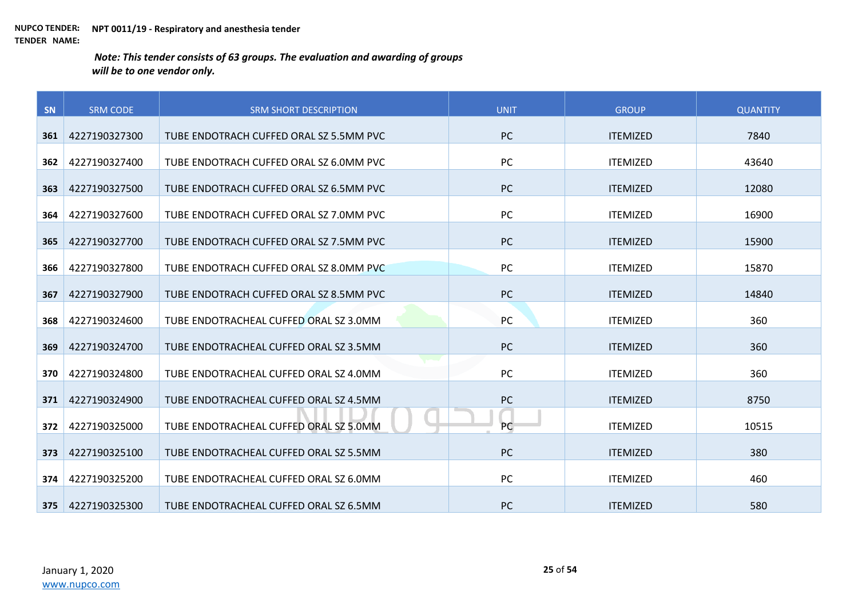| SN  | <b>SRM CODE</b> | <b>SRM SHORT DESCRIPTION</b>            | <b>UNIT</b> | <b>GROUP</b>    | <b>QUANTITY</b> |
|-----|-----------------|-----------------------------------------|-------------|-----------------|-----------------|
|     |                 |                                         |             |                 |                 |
| 361 | 4227190327300   | TUBE ENDOTRACH CUFFED ORAL SZ 5.5MM PVC | PC          | <b>ITEMIZED</b> | 7840            |
| 362 | 4227190327400   | TUBE ENDOTRACH CUFFED ORAL SZ 6.0MM PVC | PC          | <b>ITEMIZED</b> | 43640           |
| 363 | 4227190327500   | TUBE ENDOTRACH CUFFED ORAL SZ 6.5MM PVC | PC          | <b>ITEMIZED</b> | 12080           |
| 364 | 4227190327600   | TUBE ENDOTRACH CUFFED ORAL SZ 7.0MM PVC | PC          | <b>ITEMIZED</b> | 16900           |
| 365 | 4227190327700   | TUBE ENDOTRACH CUFFED ORAL SZ 7.5MM PVC | PC          | <b>ITEMIZED</b> | 15900           |
| 366 | 4227190327800   | TUBE ENDOTRACH CUFFED ORAL SZ 8.0MM PVC | PC          | <b>ITEMIZED</b> | 15870           |
| 367 | 4227190327900   | TUBE ENDOTRACH CUFFED ORAL SZ 8.5MM PVC | PC          | <b>ITEMIZED</b> | 14840           |
| 368 | 4227190324600   | TUBE ENDOTRACHEAL CUFFED ORAL SZ 3.0MM  | PC          | <b>ITEMIZED</b> | 360             |
| 369 | 4227190324700   | TUBE ENDOTRACHEAL CUFFED ORAL SZ 3.5MM  | <b>PC</b>   | <b>ITEMIZED</b> | 360             |
| 370 | 4227190324800   | TUBE ENDOTRACHEAL CUFFED ORAL SZ 4.0MM  | <b>PC</b>   | <b>ITEMIZED</b> | 360             |
| 371 | 4227190324900   | TUBE ENDOTRACHEAL CUFFED ORAL SZ 4.5MM  | PC          | <b>ITEMIZED</b> | 8750            |
| 372 | 4227190325000   | TUBE ENDOTRACHEAL CUFFED ORAL SZ 5.0MM  | PC          | <b>ITEMIZED</b> | 10515           |
| 373 | 4227190325100   | TUBE ENDOTRACHEAL CUFFED ORAL SZ 5.5MM  | <b>PC</b>   | <b>ITEMIZED</b> | 380             |
| 374 | 4227190325200   | TUBE ENDOTRACHEAL CUFFED ORAL SZ 6.0MM  | <b>PC</b>   | <b>ITEMIZED</b> | 460             |
| 375 | 4227190325300   | TUBE ENDOTRACHEAL CUFFED ORAL SZ 6.5MM  | <b>PC</b>   | <b>ITEMIZED</b> | 580             |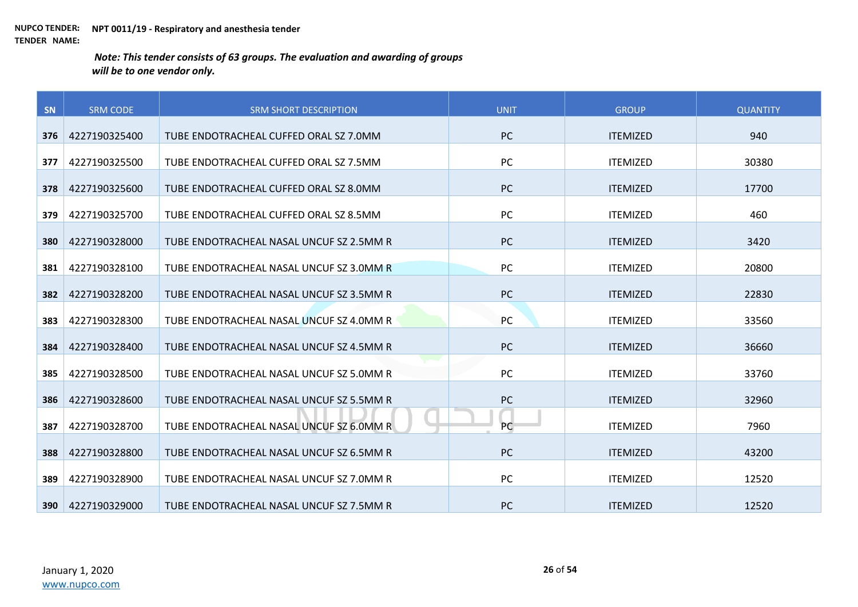| SN  | <b>SRM CODE</b> | <b>SRM SHORT DESCRIPTION</b>             | <b>UNIT</b> | <b>GROUP</b>    | <b>QUANTITY</b> |
|-----|-----------------|------------------------------------------|-------------|-----------------|-----------------|
|     |                 |                                          |             |                 |                 |
| 376 | 4227190325400   | TUBE ENDOTRACHEAL CUFFED ORAL SZ 7.0MM   | <b>PC</b>   | <b>ITEMIZED</b> | 940             |
| 377 | 4227190325500   | TUBE ENDOTRACHEAL CUFFED ORAL SZ 7.5MM   | <b>PC</b>   | <b>ITEMIZED</b> | 30380           |
| 378 | 4227190325600   | TUBE ENDOTRACHEAL CUFFED ORAL SZ 8.0MM   | <b>PC</b>   | <b>ITEMIZED</b> | 17700           |
| 379 | 4227190325700   | TUBE ENDOTRACHEAL CUFFED ORAL SZ 8.5MM   | <b>PC</b>   | <b>ITEMIZED</b> | 460             |
| 380 | 4227190328000   | TUBE ENDOTRACHEAL NASAL UNCUF SZ 2.5MM R | <b>PC</b>   | <b>ITEMIZED</b> | 3420            |
| 381 | 4227190328100   | TUBE ENDOTRACHEAL NASAL UNCUF SZ 3.0MM R | PC          | <b>ITEMIZED</b> | 20800           |
| 382 | 4227190328200   | TUBE ENDOTRACHEAL NASAL UNCUF SZ 3.5MM R | <b>PC</b>   | <b>ITEMIZED</b> | 22830           |
| 383 | 4227190328300   | TUBE ENDOTRACHEAL NASAL UNCUF SZ 4.0MM R | PC          | <b>ITEMIZED</b> | 33560           |
| 384 | 4227190328400   | TUBE ENDOTRACHEAL NASAL UNCUF SZ 4.5MM R | <b>PC</b>   | <b>ITEMIZED</b> | 36660           |
| 385 | 4227190328500   | TUBE ENDOTRACHEAL NASAL UNCUF SZ 5.0MM R | PC          | <b>ITEMIZED</b> | 33760           |
| 386 | 4227190328600   | TUBE ENDOTRACHEAL NASAL UNCUF SZ 5.5MM R | <b>PC</b>   | <b>ITEMIZED</b> | 32960           |
| 387 | 4227190328700   | TUBE ENDOTRACHEAL NASAL UNCUF SZ 6.0MM R | PC          | <b>ITEMIZED</b> | 7960            |
| 388 | 4227190328800   | TUBE ENDOTRACHEAL NASAL UNCUF SZ 6.5MM R | <b>PC</b>   | <b>ITEMIZED</b> | 43200           |
| 389 | 4227190328900   | TUBE ENDOTRACHEAL NASAL UNCUF SZ 7.0MM R | <b>PC</b>   | <b>ITEMIZED</b> | 12520           |
| 390 | 4227190329000   | TUBE ENDOTRACHEAL NASAL UNCUF SZ 7.5MM R | <b>PC</b>   | <b>ITEMIZED</b> | 12520           |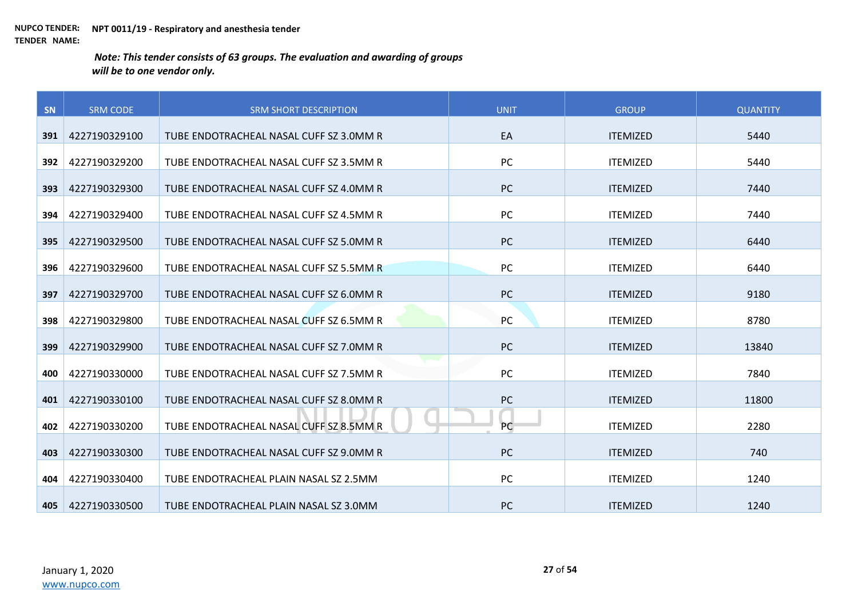| SN  | <b>SRM CODE</b> | <b>SRM SHORT DESCRIPTION</b>            | <b>UNIT</b> | <b>GROUP</b>    | <b>QUANTITY</b> |
|-----|-----------------|-----------------------------------------|-------------|-----------------|-----------------|
|     |                 |                                         |             |                 |                 |
| 391 | 4227190329100   | TUBE ENDOTRACHEAL NASAL CUFF SZ 3.0MM R | EA          | <b>ITEMIZED</b> | 5440            |
| 392 | 4227190329200   | TUBE ENDOTRACHEAL NASAL CUFF SZ 3.5MM R | PC          | <b>ITEMIZED</b> | 5440            |
| 393 | 4227190329300   | TUBE ENDOTRACHEAL NASAL CUFF SZ 4.0MM R | <b>PC</b>   | <b>ITEMIZED</b> | 7440            |
| 394 | 4227190329400   | TUBE ENDOTRACHEAL NASAL CUFF SZ 4.5MM R | PC          | <b>ITEMIZED</b> | 7440            |
| 395 | 4227190329500   | TUBE ENDOTRACHEAL NASAL CUFF SZ 5.0MM R | <b>PC</b>   | <b>ITEMIZED</b> | 6440            |
| 396 | 4227190329600   | TUBE ENDOTRACHEAL NASAL CUFF SZ 5.5MM R | <b>PC</b>   | <b>ITEMIZED</b> | 6440            |
| 397 | 4227190329700   | TUBE ENDOTRACHEAL NASAL CUFF SZ 6.0MM R | <b>PC</b>   | <b>ITEMIZED</b> | 9180            |
| 398 | 4227190329800   | TUBE ENDOTRACHEAL NASAL CUFF SZ 6.5MM R | PC          | <b>ITEMIZED</b> | 8780            |
| 399 | 4227190329900   | TUBE ENDOTRACHEAL NASAL CUFF SZ 7.0MM R | <b>PC</b>   | <b>ITEMIZED</b> | 13840           |
| 400 | 4227190330000   | TUBE ENDOTRACHEAL NASAL CUFF SZ 7.5MM R | PC          | <b>ITEMIZED</b> | 7840            |
| 401 | 4227190330100   | TUBE ENDOTRACHEAL NASAL CUFF SZ 8.0MM R | <b>PC</b>   | <b>ITEMIZED</b> | 11800           |
| 402 | 4227190330200   | TUBE ENDOTRACHEAL NASAL CUFF SZ 8.5MM R | <b>PC</b>   | <b>ITEMIZED</b> | 2280            |
| 403 | 4227190330300   | TUBE ENDOTRACHEAL NASAL CUFF SZ 9.0MM R | <b>PC</b>   | <b>ITEMIZED</b> | 740             |
| 404 | 4227190330400   | TUBE ENDOTRACHEAL PLAIN NASAL SZ 2.5MM  | <b>PC</b>   | <b>ITEMIZED</b> | 1240            |
| 405 | 4227190330500   | TUBE ENDOTRACHEAL PLAIN NASAL SZ 3.0MM  | <b>PC</b>   | <b>ITEMIZED</b> | 1240            |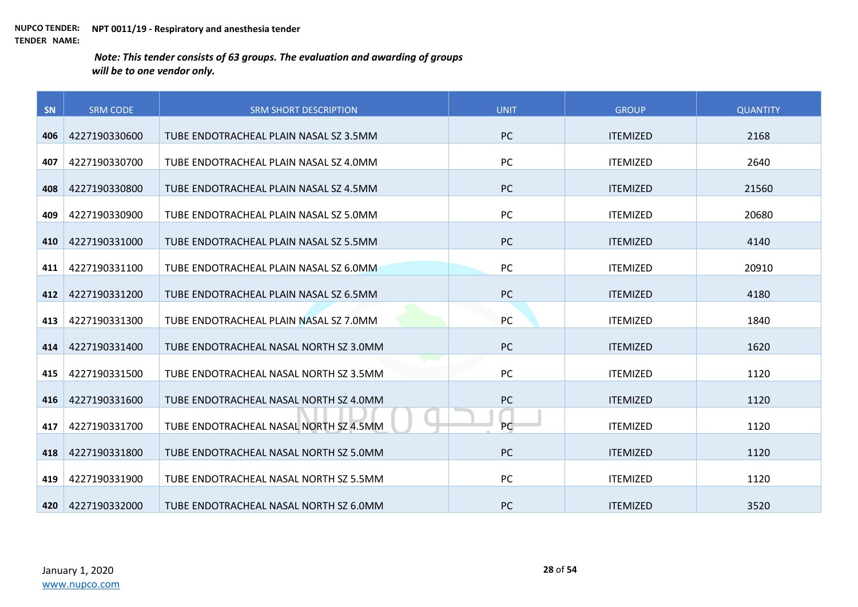| SN  | <b>SRM CODE</b> | <b>SRM SHORT DESCRIPTION</b>           | <b>UNIT</b> | <b>GROUP</b>    | <b>QUANTITY</b> |
|-----|-----------------|----------------------------------------|-------------|-----------------|-----------------|
|     |                 |                                        |             |                 |                 |
| 406 | 4227190330600   | TUBE ENDOTRACHEAL PLAIN NASAL SZ 3.5MM | <b>PC</b>   | <b>ITEMIZED</b> | 2168            |
| 407 | 4227190330700   | TUBE ENDOTRACHEAL PLAIN NASAL SZ 4.0MM | PC          | <b>ITEMIZED</b> | 2640            |
| 408 | 4227190330800   | TUBE ENDOTRACHEAL PLAIN NASAL SZ 4.5MM | <b>PC</b>   | <b>ITEMIZED</b> | 21560           |
| 409 | 4227190330900   | TUBE ENDOTRACHEAL PLAIN NASAL SZ 5.0MM | PC          | <b>ITEMIZED</b> | 20680           |
| 410 | 4227190331000   | TUBE ENDOTRACHEAL PLAIN NASAL SZ 5.5MM | <b>PC</b>   | <b>ITEMIZED</b> | 4140            |
| 411 | 4227190331100   | TUBE ENDOTRACHEAL PLAIN NASAL SZ 6.0MM | PC          | <b>ITEMIZED</b> | 20910           |
| 412 | 4227190331200   | TUBE ENDOTRACHEAL PLAIN NASAL SZ 6.5MM | <b>PC</b>   | <b>ITEMIZED</b> | 4180            |
| 413 | 4227190331300   | TUBE ENDOTRACHEAL PLAIN NASAL SZ 7.0MM | PC          | <b>ITEMIZED</b> | 1840            |
| 414 | 4227190331400   | TUBE ENDOTRACHEAL NASAL NORTH SZ 3.0MM | <b>PC</b>   | <b>ITEMIZED</b> | 1620            |
| 415 | 4227190331500   | TUBE ENDOTRACHEAL NASAL NORTH SZ 3.5MM | <b>PC</b>   | <b>ITEMIZED</b> | 1120            |
| 416 | 4227190331600   | TUBE ENDOTRACHEAL NASAL NORTH SZ 4.0MM | PC          | <b>ITEMIZED</b> | 1120            |
| 417 | 4227190331700   | TUBE ENDOTRACHEAL NASAL NORTH SZ 4.5MM | <b>PC</b>   | <b>ITEMIZED</b> | 1120            |
| 418 | 4227190331800   | TUBE ENDOTRACHEAL NASAL NORTH SZ 5.0MM | <b>PC</b>   | <b>ITEMIZED</b> | 1120            |
| 419 | 4227190331900   | TUBE ENDOTRACHEAL NASAL NORTH SZ 5.5MM | <b>PC</b>   | <b>ITEMIZED</b> | 1120            |
| 420 | 4227190332000   | TUBE ENDOTRACHEAL NASAL NORTH SZ 6.0MM | <b>PC</b>   | <b>ITEMIZED</b> | 3520            |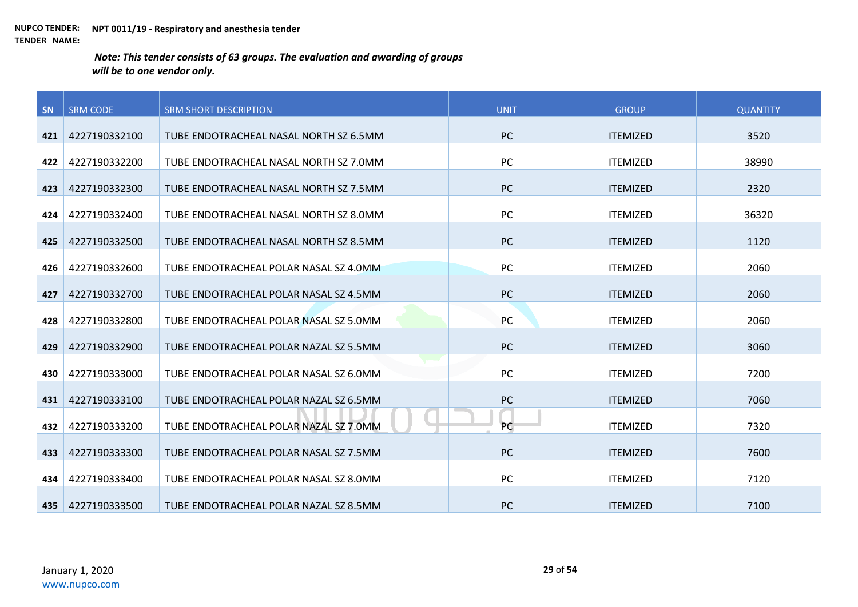| <b>SN</b> | <b>SRM CODE</b> | <b>SRM SHORT DESCRIPTION</b>           | <b>UNIT</b> | <b>GROUP</b>    | <b>QUANTITY</b> |
|-----------|-----------------|----------------------------------------|-------------|-----------------|-----------------|
|           |                 |                                        |             |                 |                 |
| 421       | 4227190332100   | TUBE ENDOTRACHEAL NASAL NORTH SZ 6.5MM | <b>PC</b>   | <b>ITEMIZED</b> | 3520            |
| 422       | 4227190332200   | TUBE ENDOTRACHEAL NASAL NORTH SZ 7.0MM | PC          | <b>ITEMIZED</b> | 38990           |
| 423       | 4227190332300   | TUBE ENDOTRACHEAL NASAL NORTH SZ 7.5MM | PC          | <b>ITEMIZED</b> | 2320            |
| 424       | 4227190332400   | TUBE ENDOTRACHEAL NASAL NORTH SZ 8.0MM | <b>PC</b>   | <b>ITEMIZED</b> | 36320           |
| 425       | 4227190332500   | TUBE ENDOTRACHEAL NASAL NORTH SZ 8.5MM | PC          | <b>ITEMIZED</b> | 1120            |
| 426       | 4227190332600   | TUBE ENDOTRACHEAL POLAR NASAL SZ 4.0MM | PC          | <b>ITEMIZED</b> | 2060            |
| 427       | 4227190332700   | TUBE ENDOTRACHEAL POLAR NASAL SZ 4.5MM | PC          | <b>ITEMIZED</b> | 2060            |
| 428       | 4227190332800   | TUBE ENDOTRACHEAL POLAR NASAL SZ 5.0MM | PC          | <b>ITEMIZED</b> | 2060            |
| 429       | 4227190332900   | TUBE ENDOTRACHEAL POLAR NAZAL SZ 5.5MM | <b>PC</b>   | <b>ITEMIZED</b> | 3060            |
| 430       | 4227190333000   | TUBE ENDOTRACHEAL POLAR NASAL SZ 6.0MM | PC          | <b>ITEMIZED</b> | 7200            |
| 431       | 4227190333100   | TUBE ENDOTRACHEAL POLAR NAZAL SZ 6.5MM | PC          | <b>ITEMIZED</b> | 7060            |
| 432       | 4227190333200   | TUBE ENDOTRACHEAL POLAR NAZAL SZ 7.0MM | <b>PC</b>   | <b>ITEMIZED</b> | 7320            |
| 433       | 4227190333300   | TUBE ENDOTRACHEAL POLAR NASAL SZ 7.5MM | PC          | <b>ITEMIZED</b> | 7600            |
| 434       | 4227190333400   | TUBE ENDOTRACHEAL POLAR NASAL SZ 8.0MM | PC          | <b>ITEMIZED</b> | 7120            |
| 435       | 4227190333500   | TUBE ENDOTRACHEAL POLAR NAZAL SZ 8.5MM | <b>PC</b>   | <b>ITEMIZED</b> | 7100            |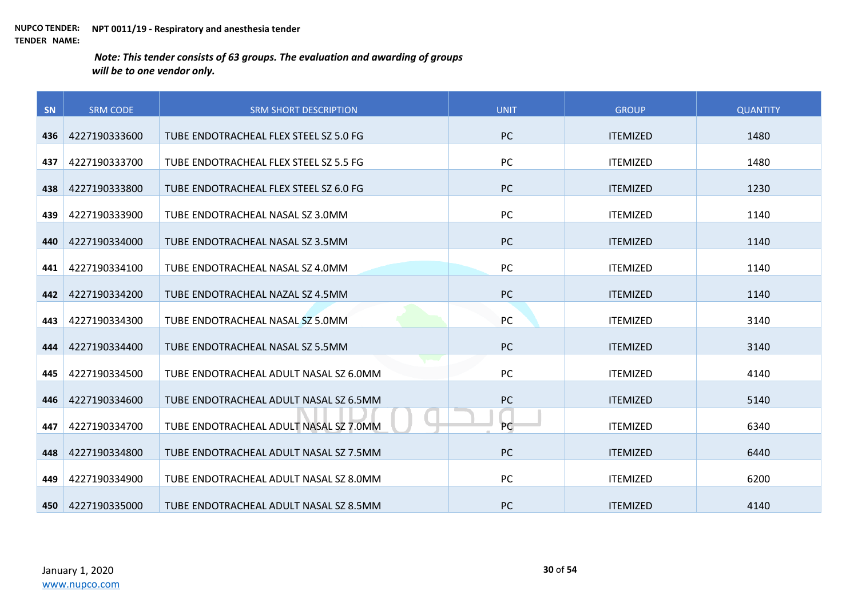| SN  | <b>SRM CODE</b> | <b>SRM SHORT DESCRIPTION</b>           | <b>UNIT</b> | <b>GROUP</b>    | <b>QUANTITY</b> |
|-----|-----------------|----------------------------------------|-------------|-----------------|-----------------|
|     |                 |                                        |             |                 |                 |
| 436 | 4227190333600   | TUBE ENDOTRACHEAL FLEX STEEL SZ 5.0 FG | <b>PC</b>   | <b>ITEMIZED</b> | 1480            |
| 437 | 4227190333700   | TUBE ENDOTRACHEAL FLEX STEEL SZ 5.5 FG | <b>PC</b>   | <b>ITEMIZED</b> | 1480            |
| 438 | 4227190333800   | TUBE ENDOTRACHEAL FLEX STEEL SZ 6.0 FG | <b>PC</b>   | <b>ITEMIZED</b> | 1230            |
| 439 | 4227190333900   | TUBE ENDOTRACHEAL NASAL SZ 3.0MM       | PC          | <b>ITEMIZED</b> | 1140            |
| 440 | 4227190334000   | TUBE ENDOTRACHEAL NASAL SZ 3.5MM       | <b>PC</b>   | <b>ITEMIZED</b> | 1140            |
| 441 | 4227190334100   | TUBE ENDOTRACHEAL NASAL SZ 4.0MM       | PC          | <b>ITEMIZED</b> | 1140            |
| 442 | 4227190334200   | TUBE ENDOTRACHEAL NAZAL SZ 4.5MM       | PC          | <b>ITEMIZED</b> | 1140            |
| 443 | 4227190334300   | TUBE ENDOTRACHEAL NASAL SZ 5.0MM       | PC          | <b>ITEMIZED</b> | 3140            |
| 444 | 4227190334400   | TUBE ENDOTRACHEAL NASAL SZ 5.5MM       | <b>PC</b>   | <b>ITEMIZED</b> | 3140            |
| 445 | 4227190334500   | TUBE ENDOTRACHEAL ADULT NASAL SZ 6.0MM | PC          | <b>ITEMIZED</b> | 4140            |
| 446 | 4227190334600   | TUBE ENDOTRACHEAL ADULT NASAL SZ 6.5MM | <b>PC</b>   | <b>ITEMIZED</b> | 5140            |
| 447 | 4227190334700   | TUBE ENDOTRACHEAL ADULT NASAL SZ 7.0MM | PC          | <b>ITEMIZED</b> | 6340            |
| 448 | 4227190334800   | TUBE ENDOTRACHEAL ADULT NASAL SZ 7.5MM | <b>PC</b>   | <b>ITEMIZED</b> | 6440            |
| 449 | 4227190334900   | TUBE ENDOTRACHEAL ADULT NASAL SZ 8.0MM | PC          | <b>ITEMIZED</b> | 6200            |
| 450 | 4227190335000   | TUBE ENDOTRACHEAL ADULT NASAL SZ 8.5MM | <b>PC</b>   | <b>ITEMIZED</b> | 4140            |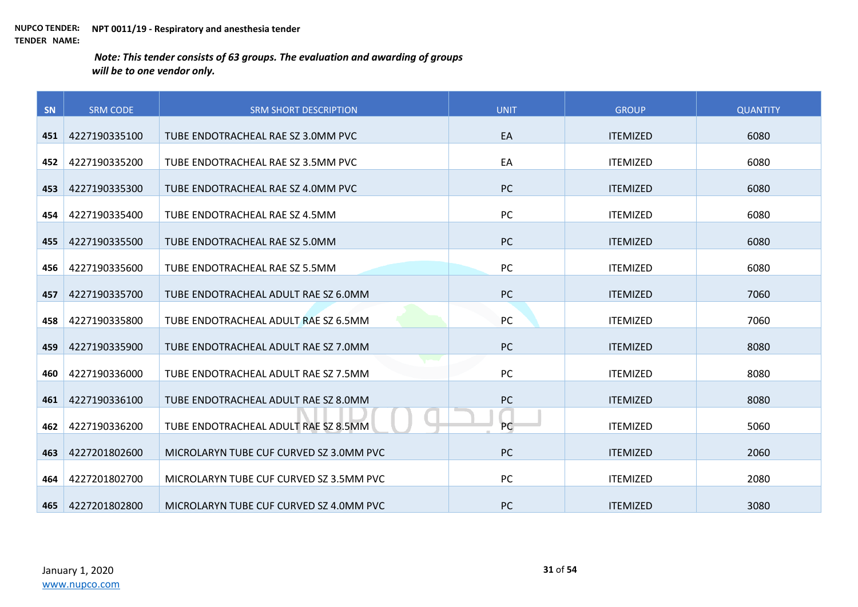| SN  | <b>SRM CODE</b> | <b>SRM SHORT DESCRIPTION</b>            | <b>UNIT</b> | <b>GROUP</b>    | <b>QUANTITY</b> |
|-----|-----------------|-----------------------------------------|-------------|-----------------|-----------------|
|     |                 |                                         |             |                 |                 |
| 451 | 4227190335100   | TUBE ENDOTRACHEAL RAE SZ 3.0MM PVC      | EA          | <b>ITEMIZED</b> | 6080            |
| 452 | 4227190335200   | TUBE ENDOTRACHEAL RAE SZ 3.5MM PVC      | EA          | <b>ITEMIZED</b> | 6080            |
| 453 | 4227190335300   | TUBE ENDOTRACHEAL RAE SZ 4.0MM PVC      | <b>PC</b>   | <b>ITEMIZED</b> | 6080            |
| 454 | 4227190335400   | TUBE ENDOTRACHEAL RAE SZ 4.5MM          | PC          | <b>ITEMIZED</b> | 6080            |
| 455 | 4227190335500   | TUBE ENDOTRACHEAL RAE SZ 5.0MM          | <b>PC</b>   | <b>ITEMIZED</b> | 6080            |
| 456 | 4227190335600   | TUBE ENDOTRACHEAL RAE SZ 5.5MM          | PC          | <b>ITEMIZED</b> | 6080            |
| 457 | 4227190335700   | TUBE ENDOTRACHEAL ADULT RAE SZ 6.0MM    | <b>PC</b>   | <b>ITEMIZED</b> | 7060            |
| 458 | 4227190335800   | TUBE ENDOTRACHEAL ADULT RAE SZ 6.5MM    | PC          | <b>ITEMIZED</b> | 7060            |
| 459 | 4227190335900   | TUBE ENDOTRACHEAL ADULT RAE SZ 7.0MM    | <b>PC</b>   | <b>ITEMIZED</b> | 8080            |
| 460 | 4227190336000   | TUBE ENDOTRACHEAL ADULT RAE SZ 7.5MM    | <b>PC</b>   | <b>ITEMIZED</b> | 8080            |
| 461 | 4227190336100   | TUBE ENDOTRACHEAL ADULT RAE SZ 8.0MM    | PC          | <b>ITEMIZED</b> | 8080            |
| 462 | 4227190336200   | TUBE ENDOTRACHEAL ADULT RAE SZ 8.5MM    | PC          | <b>ITEMIZED</b> | 5060            |
| 463 | 4227201802600   | MICROLARYN TUBE CUF CURVED SZ 3.0MM PVC | <b>PC</b>   | <b>ITEMIZED</b> | 2060            |
| 464 | 4227201802700   | MICROLARYN TUBE CUF CURVED SZ 3.5MM PVC | PC          | <b>ITEMIZED</b> | 2080            |
| 465 | 4227201802800   | MICROLARYN TUBE CUF CURVED SZ 4.0MM PVC | <b>PC</b>   | <b>ITEMIZED</b> | 3080            |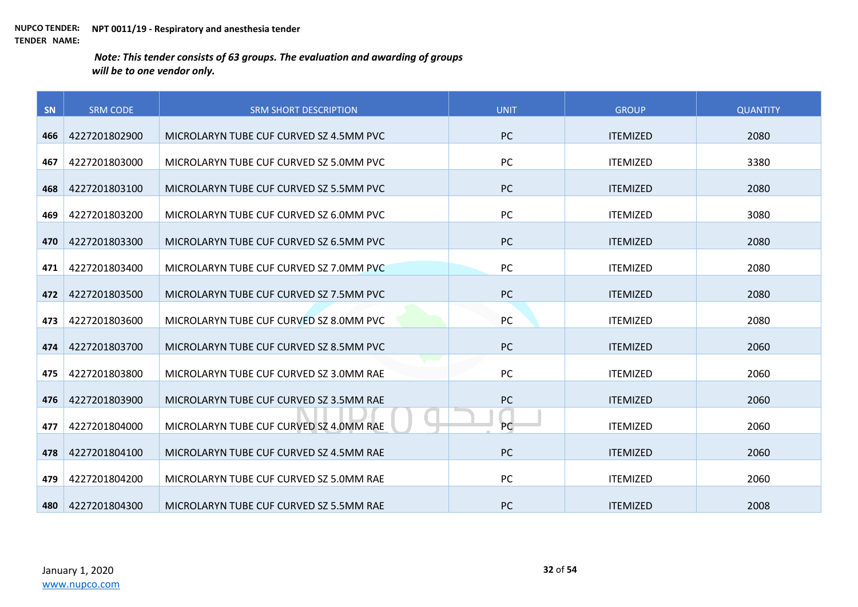| SN  | <b>SRM CODE</b> | <b>SRM SHORT DESCRIPTION</b>            | <b>UNIT</b> | <b>GROUP</b>    | <b>QUANTITY</b> |
|-----|-----------------|-----------------------------------------|-------------|-----------------|-----------------|
|     |                 |                                         | <b>PC</b>   | <b>ITEMIZED</b> | 2080            |
| 466 | 4227201802900   | MICROLARYN TUBE CUF CURVED SZ 4.5MM PVC |             |                 |                 |
| 467 | 4227201803000   | MICROLARYN TUBE CUF CURVED SZ 5.0MM PVC | PC          | <b>ITEMIZED</b> | 3380            |
| 468 | 4227201803100   | MICROLARYN TUBE CUF CURVED SZ 5.5MM PVC | <b>PC</b>   | <b>ITEMIZED</b> | 2080            |
| 469 | 4227201803200   | MICROLARYN TUBE CUF CURVED SZ 6.0MM PVC | PC          | <b>ITEMIZED</b> | 3080            |
| 470 | 4227201803300   | MICROLARYN TUBE CUF CURVED SZ 6.5MM PVC | <b>PC</b>   | <b>ITEMIZED</b> | 2080            |
| 471 | 4227201803400   | MICROLARYN TUBE CUF CURVED SZ 7.0MM PVC | PC          | <b>ITEMIZED</b> | 2080            |
| 472 | 4227201803500   | MICROLARYN TUBE CUF CURVED SZ 7.5MM PVC | PC          | <b>ITEMIZED</b> | 2080            |
| 473 | 4227201803600   | MICROLARYN TUBE CUF CURVED SZ 8.0MM PVC | PC          | <b>ITEMIZED</b> | 2080            |
| 474 | 4227201803700   | MICROLARYN TUBE CUF CURVED SZ 8.5MM PVC | <b>PC</b>   | <b>ITEMIZED</b> | 2060            |
| 475 | 4227201803800   | MICROLARYN TUBE CUF CURVED SZ 3.0MM RAE | <b>PC</b>   | <b>ITEMIZED</b> | 2060            |
| 476 | 4227201803900   | MICROLARYN TUBE CUF CURVED SZ 3.5MM RAE | PC          | <b>ITEMIZED</b> | 2060            |
| 477 | 4227201804000   | MICROLARYN TUBE CUF CURVED SZ 4.0MM RAE | <b>PC</b>   | <b>ITEMIZED</b> | 2060            |
| 478 | 4227201804100   | MICROLARYN TUBE CUF CURVED SZ 4.5MM RAE | <b>PC</b>   | <b>ITEMIZED</b> | 2060            |
| 479 | 4227201804200   | MICROLARYN TUBE CUF CURVED SZ 5.0MM RAE | <b>PC</b>   | <b>ITEMIZED</b> | 2060            |
| 480 | 4227201804300   | MICROLARYN TUBE CUF CURVED SZ 5.5MM RAE | <b>PC</b>   | <b>ITEMIZED</b> | 2008            |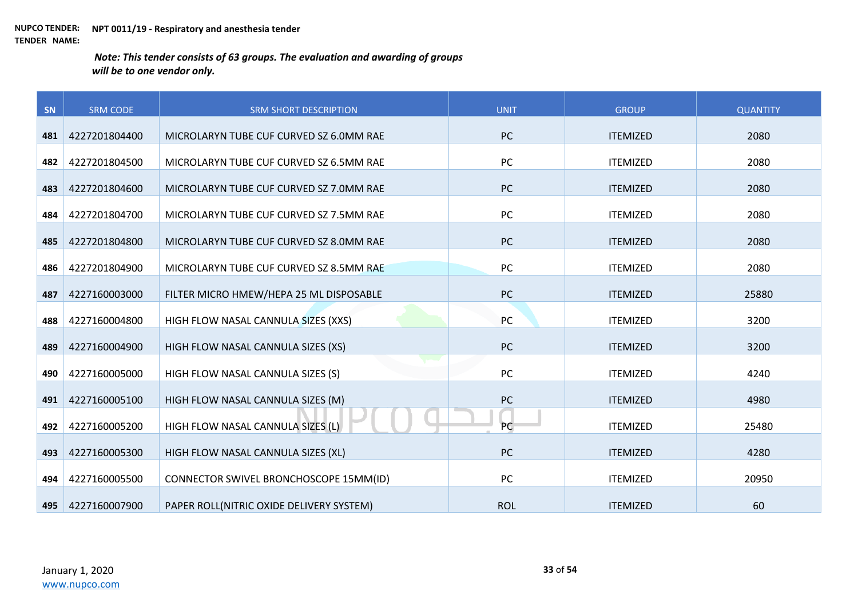| SN  | <b>SRM CODE</b> | <b>SRM SHORT DESCRIPTION</b>             | <b>UNIT</b> | <b>GROUP</b>    | <b>QUANTITY</b> |
|-----|-----------------|------------------------------------------|-------------|-----------------|-----------------|
|     |                 |                                          |             |                 |                 |
| 481 | 4227201804400   | MICROLARYN TUBE CUF CURVED SZ 6.0MM RAE  | <b>PC</b>   | <b>ITEMIZED</b> | 2080            |
| 482 | 4227201804500   | MICROLARYN TUBE CUF CURVED SZ 6.5MM RAE  | PC          | <b>ITEMIZED</b> | 2080            |
| 483 | 4227201804600   | MICROLARYN TUBE CUF CURVED SZ 7.0MM RAE  | PC          | <b>ITEMIZED</b> | 2080            |
| 484 | 4227201804700   | MICROLARYN TUBE CUF CURVED SZ 7.5MM RAE  | PC          | <b>ITEMIZED</b> | 2080            |
| 485 | 4227201804800   | MICROLARYN TUBE CUF CURVED SZ 8.0MM RAE  | <b>PC</b>   | <b>ITEMIZED</b> | 2080            |
| 486 | 4227201804900   | MICROLARYN TUBE CUF CURVED SZ 8.5MM RAE  | PC          | <b>ITEMIZED</b> | 2080            |
| 487 | 4227160003000   | FILTER MICRO HMEW/HEPA 25 ML DISPOSABLE  | PC          | <b>ITEMIZED</b> | 25880           |
| 488 | 4227160004800   | HIGH FLOW NASAL CANNULA SIZES (XXS)      | PC          | <b>ITEMIZED</b> | 3200            |
| 489 | 4227160004900   | HIGH FLOW NASAL CANNULA SIZES (XS)       | PC          | <b>ITEMIZED</b> | 3200            |
| 490 | 4227160005000   | HIGH FLOW NASAL CANNULA SIZES (S)        | PC          | <b>ITEMIZED</b> | 4240            |
| 491 | 4227160005100   | HIGH FLOW NASAL CANNULA SIZES (M)        | PC          | <b>ITEMIZED</b> | 4980            |
| 492 | 4227160005200   | HIGH FLOW NASAL CANNULA SIZES (L)        | PC          | <b>ITEMIZED</b> | 25480           |
| 493 | 4227160005300   | HIGH FLOW NASAL CANNULA SIZES (XL)       | PC          | <b>ITEMIZED</b> | 4280            |
| 494 | 4227160005500   | CONNECTOR SWIVEL BRONCHOSCOPE 15MM(ID)   | PC          | <b>ITEMIZED</b> | 20950           |
| 495 | 4227160007900   | PAPER ROLL(NITRIC OXIDE DELIVERY SYSTEM) | <b>ROL</b>  | <b>ITEMIZED</b> | 60              |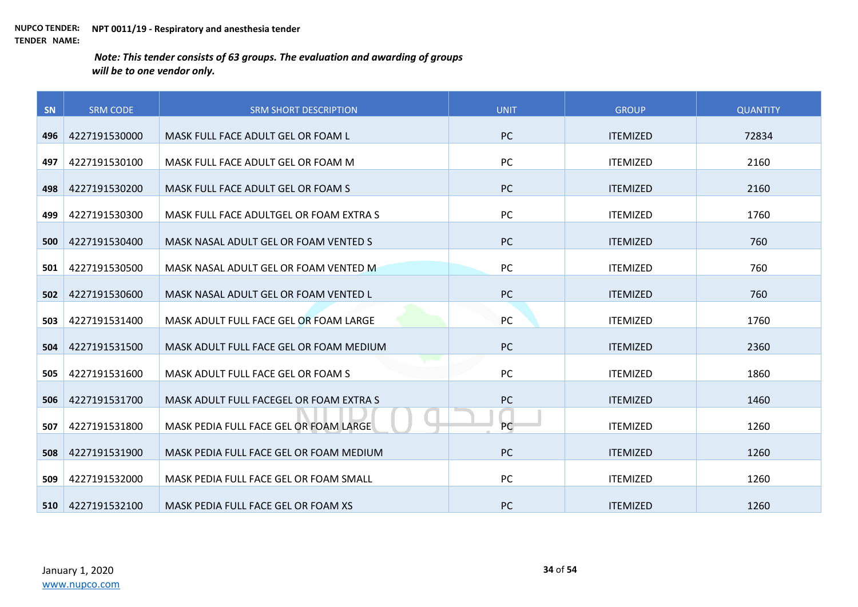| SN  | <b>SRM CODE</b> | <b>SRM SHORT DESCRIPTION</b>            | <b>UNIT</b> | <b>GROUP</b>    | <b>QUANTITY</b> |
|-----|-----------------|-----------------------------------------|-------------|-----------------|-----------------|
| 496 | 4227191530000   | MASK FULL FACE ADULT GEL OR FOAM L      | <b>PC</b>   | <b>ITEMIZED</b> | 72834           |
|     |                 |                                         |             |                 |                 |
| 497 | 4227191530100   | MASK FULL FACE ADULT GEL OR FOAM M      | <b>PC</b>   | <b>ITEMIZED</b> | 2160            |
| 498 | 4227191530200   | MASK FULL FACE ADULT GEL OR FOAM S      | <b>PC</b>   | <b>ITEMIZED</b> | 2160            |
| 499 | 4227191530300   | MASK FULL FACE ADULTGEL OR FOAM EXTRA S | PC          | <b>ITEMIZED</b> | 1760            |
| 500 | 4227191530400   | MASK NASAL ADULT GEL OR FOAM VENTED S   | <b>PC</b>   | <b>ITEMIZED</b> | 760             |
| 501 | 4227191530500   | MASK NASAL ADULT GEL OR FOAM VENTED M   | PC          | <b>ITEMIZED</b> | 760             |
| 502 | 4227191530600   | MASK NASAL ADULT GEL OR FOAM VENTED L   | PC          | <b>ITEMIZED</b> | 760             |
| 503 | 4227191531400   | MASK ADULT FULL FACE GEL OR FOAM LARGE  | PC          | <b>ITEMIZED</b> | 1760            |
| 504 | 4227191531500   | MASK ADULT FULL FACE GEL OR FOAM MEDIUM | <b>PC</b>   | <b>ITEMIZED</b> | 2360            |
| 505 | 4227191531600   | MASK ADULT FULL FACE GEL OR FOAM S      | PC          | <b>ITEMIZED</b> | 1860            |
| 506 | 4227191531700   | MASK ADULT FULL FACEGEL OR FOAM EXTRA S | <b>PC</b>   | <b>ITEMIZED</b> | 1460            |
| 507 | 4227191531800   | MASK PEDIA FULL FACE GEL OR FOAM LARGE  | PC          | <b>ITEMIZED</b> | 1260            |
| 508 | 4227191531900   | MASK PEDIA FULL FACE GEL OR FOAM MEDIUM | <b>PC</b>   | <b>ITEMIZED</b> | 1260            |
| 509 | 4227191532000   | MASK PEDIA FULL FACE GEL OR FOAM SMALL  | PC          | <b>ITEMIZED</b> | 1260            |
| 510 | 4227191532100   | MASK PEDIA FULL FACE GEL OR FOAM XS     | <b>PC</b>   | <b>ITEMIZED</b> | 1260            |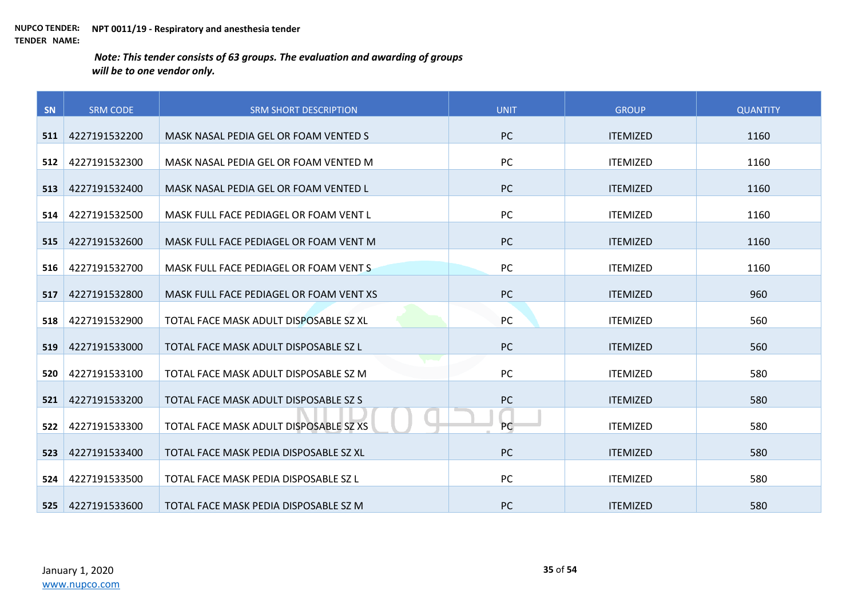| SN  | <b>SRM CODE</b> | <b>SRM SHORT DESCRIPTION</b>            | <b>UNIT</b> | <b>GROUP</b>    | <b>QUANTITY</b> |
|-----|-----------------|-----------------------------------------|-------------|-----------------|-----------------|
|     |                 |                                         |             |                 |                 |
| 511 | 4227191532200   | MASK NASAL PEDIA GEL OR FOAM VENTED S   | <b>PC</b>   | <b>ITEMIZED</b> | 1160            |
| 512 | 4227191532300   | MASK NASAL PEDIA GEL OR FOAM VENTED M   | PC          | <b>ITEMIZED</b> | 1160            |
| 513 | 4227191532400   | MASK NASAL PEDIA GEL OR FOAM VENTED L   | PC          | <b>ITEMIZED</b> | 1160            |
| 514 | 4227191532500   | MASK FULL FACE PEDIAGEL OR FOAM VENT L  | PC          | <b>ITEMIZED</b> | 1160            |
| 515 | 4227191532600   | MASK FULL FACE PEDIAGEL OR FOAM VENT M  | <b>PC</b>   | <b>ITEMIZED</b> | 1160            |
| 516 | 4227191532700   | MASK FULL FACE PEDIAGEL OR FOAM VENTS   | PC          | <b>ITEMIZED</b> | 1160            |
| 517 | 4227191532800   | MASK FULL FACE PEDIAGEL OR FOAM VENT XS | <b>PC</b>   | <b>ITEMIZED</b> | 960             |
| 518 | 4227191532900   | TOTAL FACE MASK ADULT DISPOSABLE SZ XL  | PC          | <b>ITEMIZED</b> | 560             |
| 519 | 4227191533000   | TOTAL FACE MASK ADULT DISPOSABLE SZ L   | <b>PC</b>   | <b>ITEMIZED</b> | 560             |
| 520 | 4227191533100   | TOTAL FACE MASK ADULT DISPOSABLE SZ M   | <b>PC</b>   | <b>ITEMIZED</b> | 580             |
| 521 | 4227191533200   | TOTAL FACE MASK ADULT DISPOSABLE SZ S   | PC          | <b>ITEMIZED</b> | 580             |
| 522 | 4227191533300   | TOTAL FACE MASK ADULT DISPOSABLE SZ XS  | PC          | <b>ITEMIZED</b> | 580             |
| 523 | 4227191533400   | TOTAL FACE MASK PEDIA DISPOSABLE SZ XL  | <b>PC</b>   | <b>ITEMIZED</b> | 580             |
| 524 | 4227191533500   | TOTAL FACE MASK PEDIA DISPOSABLE SZ L   | <b>PC</b>   | <b>ITEMIZED</b> | 580             |
| 525 | 4227191533600   | TOTAL FACE MASK PEDIA DISPOSABLE SZ M   | <b>PC</b>   | <b>ITEMIZED</b> | 580             |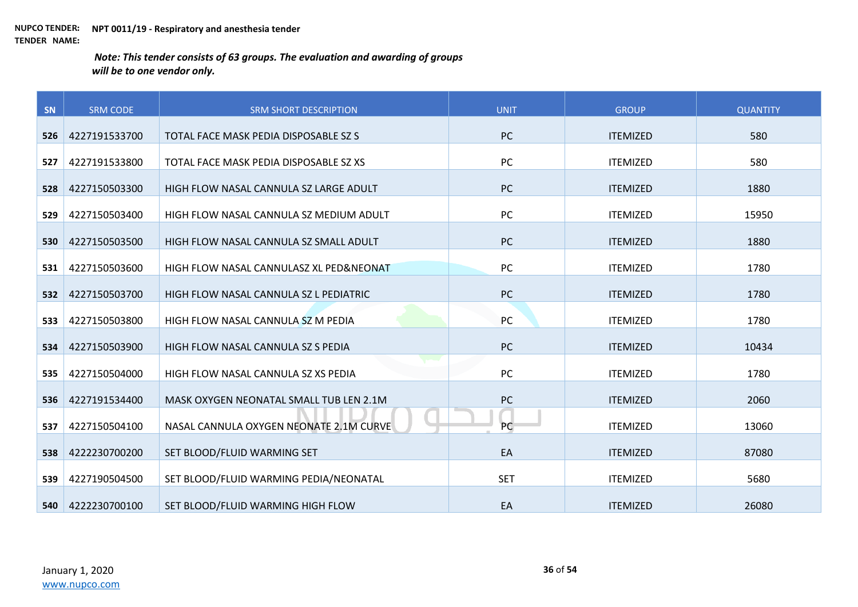| SN  | <b>SRM CODE</b> | <b>SRM SHORT DESCRIPTION</b>            | <b>UNIT</b> | <b>GROUP</b>    | <b>QUANTITY</b> |
|-----|-----------------|-----------------------------------------|-------------|-----------------|-----------------|
| 526 | 4227191533700   | TOTAL FACE MASK PEDIA DISPOSABLE SZ S   | <b>PC</b>   | <b>ITEMIZED</b> | 580             |
|     |                 |                                         |             |                 |                 |
| 527 | 4227191533800   | TOTAL FACE MASK PEDIA DISPOSABLE SZ XS  | PC          | <b>ITEMIZED</b> | 580             |
| 528 | 4227150503300   | HIGH FLOW NASAL CANNULA SZ LARGE ADULT  | <b>PC</b>   | <b>ITEMIZED</b> | 1880            |
| 529 | 4227150503400   | HIGH FLOW NASAL CANNULA SZ MEDIUM ADULT | PC          | <b>ITEMIZED</b> | 15950           |
| 530 | 4227150503500   | HIGH FLOW NASAL CANNULA SZ SMALL ADULT  | <b>PC</b>   | <b>ITEMIZED</b> | 1880            |
| 531 | 4227150503600   | HIGH FLOW NASAL CANNULASZ XL PED&NEONAT | PC          | <b>ITEMIZED</b> | 1780            |
| 532 | 4227150503700   | HIGH FLOW NASAL CANNULA SZ L PEDIATRIC  | PC          | <b>ITEMIZED</b> | 1780            |
| 533 | 4227150503800   | HIGH FLOW NASAL CANNULA SZ M PEDIA      | PC          | <b>ITEMIZED</b> | 1780            |
| 534 | 4227150503900   | HIGH FLOW NASAL CANNULA SZ S PEDIA      | PC          | <b>ITEMIZED</b> | 10434           |
| 535 | 4227150504000   | HIGH FLOW NASAL CANNULA SZ XS PEDIA     | PC          | <b>ITEMIZED</b> | 1780            |
| 536 | 4227191534400   | MASK OXYGEN NEONATAL SMALL TUB LEN 2.1M | PC          | <b>ITEMIZED</b> | 2060            |
| 537 | 4227150504100   | NASAL CANNULA OXYGEN NEONATE 2.1M CURVE | PC          | <b>ITEMIZED</b> | 13060           |
| 538 | 4222230700200   | SET BLOOD/FLUID WARMING SET             | EA          | <b>ITEMIZED</b> | 87080           |
| 539 | 4227190504500   | SET BLOOD/FLUID WARMING PEDIA/NEONATAL  | <b>SET</b>  | <b>ITEMIZED</b> | 5680            |
| 540 | 4222230700100   | SET BLOOD/FLUID WARMING HIGH FLOW       | EA          | <b>ITEMIZED</b> | 26080           |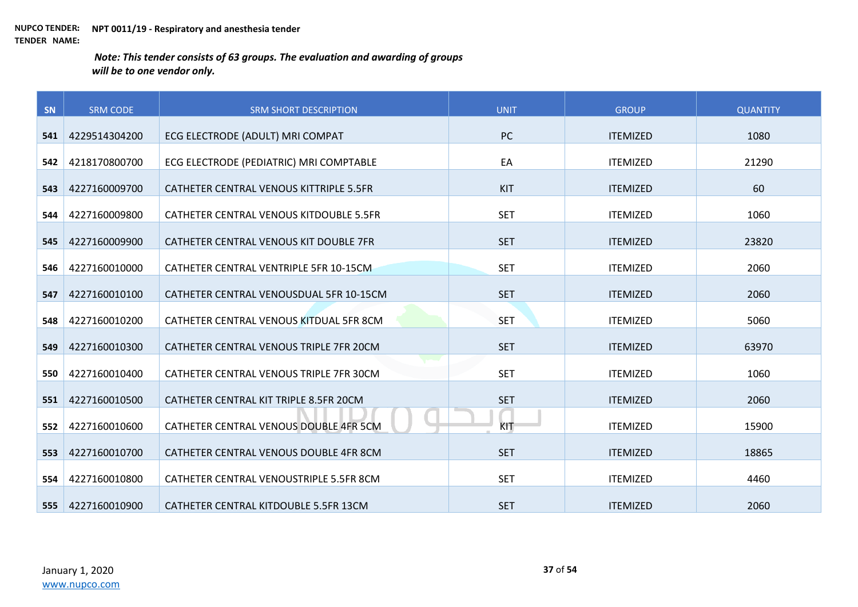| SN  | <b>SRM CODE</b> | <b>SRM SHORT DESCRIPTION</b>            | <b>UNIT</b> | <b>GROUP</b>    | <b>QUANTITY</b> |
|-----|-----------------|-----------------------------------------|-------------|-----------------|-----------------|
| 541 | 4229514304200   | ECG ELECTRODE (ADULT) MRI COMPAT        | <b>PC</b>   | <b>ITEMIZED</b> | 1080            |
|     |                 |                                         |             |                 |                 |
| 542 | 4218170800700   | ECG ELECTRODE (PEDIATRIC) MRI COMPTABLE | EA          | <b>ITEMIZED</b> | 21290           |
| 543 | 4227160009700   | CATHETER CENTRAL VENOUS KITTRIPLE 5.5FR | KIT         | <b>ITEMIZED</b> | 60              |
| 544 | 4227160009800   | CATHETER CENTRAL VENOUS KITDOUBLE 5.5FR | <b>SET</b>  | <b>ITEMIZED</b> | 1060            |
| 545 | 4227160009900   | CATHETER CENTRAL VENOUS KIT DOUBLE 7FR  | <b>SET</b>  | <b>ITEMIZED</b> | 23820           |
| 546 | 4227160010000   | CATHETER CENTRAL VENTRIPLE 5FR 10-15CM  | <b>SET</b>  | <b>ITEMIZED</b> | 2060            |
| 547 | 4227160010100   | CATHETER CENTRAL VENOUSDUAL 5FR 10-15CM | <b>SET</b>  | <b>ITEMIZED</b> | 2060            |
| 548 | 4227160010200   | CATHETER CENTRAL VENOUS KITDUAL 5FR 8CM | <b>SET</b>  | <b>ITEMIZED</b> | 5060            |
| 549 | 4227160010300   | CATHETER CENTRAL VENOUS TRIPLE 7FR 20CM | <b>SET</b>  | <b>ITEMIZED</b> | 63970           |
| 550 | 4227160010400   | CATHETER CENTRAL VENOUS TRIPLE 7FR 30CM | <b>SET</b>  | <b>ITEMIZED</b> | 1060            |
| 551 | 4227160010500   | CATHETER CENTRAL KIT TRIPLE 8.5FR 20CM  | <b>SET</b>  | <b>ITEMIZED</b> | 2060            |
| 552 | 4227160010600   | CATHETER CENTRAL VENOUS DOUBLE 4FR 5CM  | KIT         | <b>ITEMIZED</b> | 15900           |
| 553 | 4227160010700   | CATHETER CENTRAL VENOUS DOUBLE 4FR 8CM  | <b>SET</b>  | <b>ITEMIZED</b> | 18865           |
| 554 | 4227160010800   | CATHETER CENTRAL VENOUSTRIPLE 5.5FR 8CM | <b>SET</b>  | <b>ITEMIZED</b> | 4460            |
| 555 | 4227160010900   | CATHETER CENTRAL KITDOUBLE 5.5FR 13CM   | <b>SET</b>  | <b>ITEMIZED</b> | 2060            |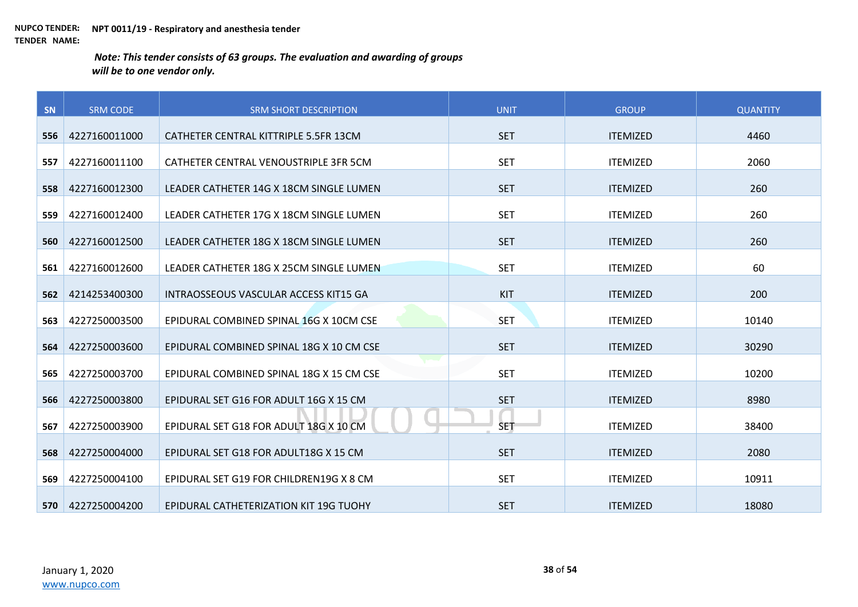| SN  | <b>SRM CODE</b> | <b>SRM SHORT DESCRIPTION</b>             | <b>UNIT</b> | <b>GROUP</b>    | <b>QUANTITY</b> |
|-----|-----------------|------------------------------------------|-------------|-----------------|-----------------|
| 556 | 4227160011000   | CATHETER CENTRAL KITTRIPLE 5.5FR 13CM    | <b>SET</b>  | <b>ITEMIZED</b> | 4460            |
|     |                 |                                          |             |                 |                 |
| 557 | 4227160011100   | CATHETER CENTRAL VENOUSTRIPLE 3FR 5CM    | <b>SET</b>  | <b>ITEMIZED</b> | 2060            |
| 558 | 4227160012300   | LEADER CATHETER 14G X 18CM SINGLE LUMEN  | <b>SET</b>  | <b>ITEMIZED</b> | 260             |
| 559 | 4227160012400   | LEADER CATHETER 17G X 18CM SINGLE LUMEN  | <b>SET</b>  | <b>ITEMIZED</b> | 260             |
| 560 | 4227160012500   | LEADER CATHETER 18G X 18CM SINGLE LUMEN  | <b>SET</b>  | <b>ITEMIZED</b> | 260             |
| 561 | 4227160012600   | LEADER CATHETER 18G X 25CM SINGLE LUMEN  | <b>SET</b>  | <b>ITEMIZED</b> | 60              |
| 562 | 4214253400300   | INTRAOSSEOUS VASCULAR ACCESS KIT15 GA    | KIT         | <b>ITEMIZED</b> | 200             |
| 563 | 4227250003500   | EPIDURAL COMBINED SPINAL 16G X 10CM CSE  | <b>SET</b>  | <b>ITEMIZED</b> | 10140           |
| 564 | 4227250003600   | EPIDURAL COMBINED SPINAL 18G X 10 CM CSE | <b>SET</b>  | <b>ITEMIZED</b> | 30290           |
| 565 | 4227250003700   | EPIDURAL COMBINED SPINAL 18G X 15 CM CSE | <b>SET</b>  | <b>ITEMIZED</b> | 10200           |
| 566 | 4227250003800   | EPIDURAL SET G16 FOR ADULT 16G X 15 CM   | <b>SET</b>  | <b>ITEMIZED</b> | 8980            |
| 567 | 4227250003900   | EPIDURAL SET G18 FOR ADULT 18G X 10 CM   | <b>SET</b>  | <b>ITEMIZED</b> | 38400           |
| 568 | 4227250004000   | EPIDURAL SET G18 FOR ADULT18G X 15 CM    | <b>SET</b>  | <b>ITEMIZED</b> | 2080            |
| 569 | 4227250004100   | EPIDURAL SET G19 FOR CHILDREN19G X 8 CM  | <b>SET</b>  | <b>ITEMIZED</b> | 10911           |
| 570 | 4227250004200   | EPIDURAL CATHETERIZATION KIT 19G TUOHY   | <b>SET</b>  | <b>ITEMIZED</b> | 18080           |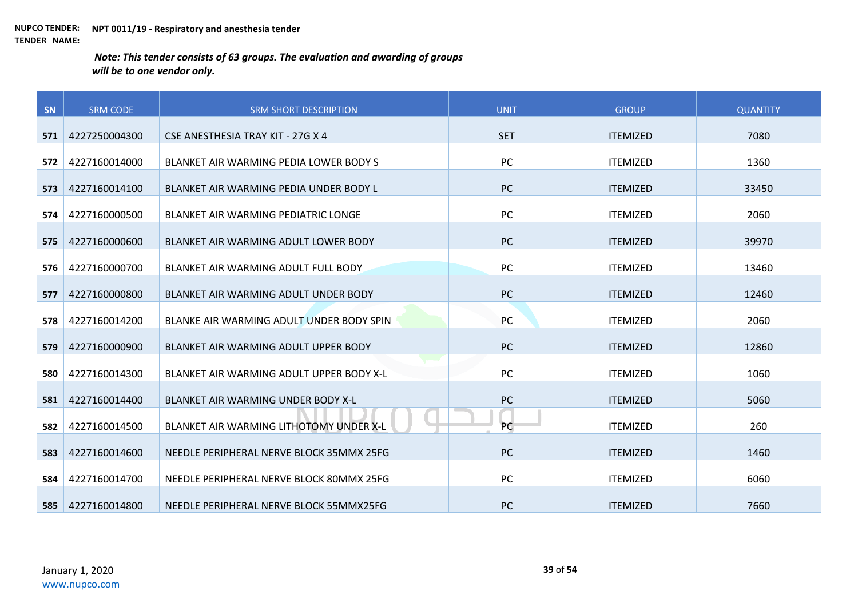| SN  | <b>SRM CODE</b> | <b>SRM SHORT DESCRIPTION</b>             | <b>UNIT</b> | <b>GROUP</b>    | <b>QUANTITY</b> |
|-----|-----------------|------------------------------------------|-------------|-----------------|-----------------|
| 571 | 4227250004300   | CSE ANESTHESIA TRAY KIT - 27G X 4        | <b>SET</b>  | <b>ITEMIZED</b> | 7080            |
|     |                 |                                          |             |                 |                 |
| 572 | 4227160014000   | BLANKET AIR WARMING PEDIA LOWER BODY S   | PC          | <b>ITEMIZED</b> | 1360            |
| 573 | 4227160014100   | BLANKET AIR WARMING PEDIA UNDER BODY L   | PC          | <b>ITEMIZED</b> | 33450           |
| 574 | 4227160000500   | BLANKET AIR WARMING PEDIATRIC LONGE      | PC          | <b>ITEMIZED</b> | 2060            |
| 575 | 4227160000600   | BLANKET AIR WARMING ADULT LOWER BODY     | <b>PC</b>   | <b>ITEMIZED</b> | 39970           |
| 576 | 4227160000700   | BLANKET AIR WARMING ADULT FULL BODY      | PC          | <b>ITEMIZED</b> | 13460           |
| 577 | 4227160000800   | BLANKET AIR WARMING ADULT UNDER BODY     | PC          | <b>ITEMIZED</b> | 12460           |
| 578 | 4227160014200   | BLANKE AIR WARMING ADULT UNDER BODY SPIN | PC          | <b>ITEMIZED</b> | 2060            |
| 579 | 4227160000900   | BLANKET AIR WARMING ADULT UPPER BODY     | PC          | <b>ITEMIZED</b> | 12860           |
| 580 | 4227160014300   | BLANKET AIR WARMING ADULT UPPER BODY X-L | PC          | <b>ITEMIZED</b> | 1060            |
| 581 | 4227160014400   | BLANKET AIR WARMING UNDER BODY X-L       | PC          | <b>ITEMIZED</b> | 5060            |
| 582 | 4227160014500   | BLANKET AIR WARMING LITHOTOMY UNDER X-L  | PC          | <b>ITEMIZED</b> | 260             |
| 583 | 4227160014600   | NEEDLE PERIPHERAL NERVE BLOCK 35MMX 25FG | <b>PC</b>   | <b>ITEMIZED</b> | 1460            |
| 584 | 4227160014700   | NEEDLE PERIPHERAL NERVE BLOCK 80MMX 25FG | PC          | <b>ITEMIZED</b> | 6060            |
| 585 | 4227160014800   | NEEDLE PERIPHERAL NERVE BLOCK 55MMX25FG  | <b>PC</b>   | <b>ITEMIZED</b> | 7660            |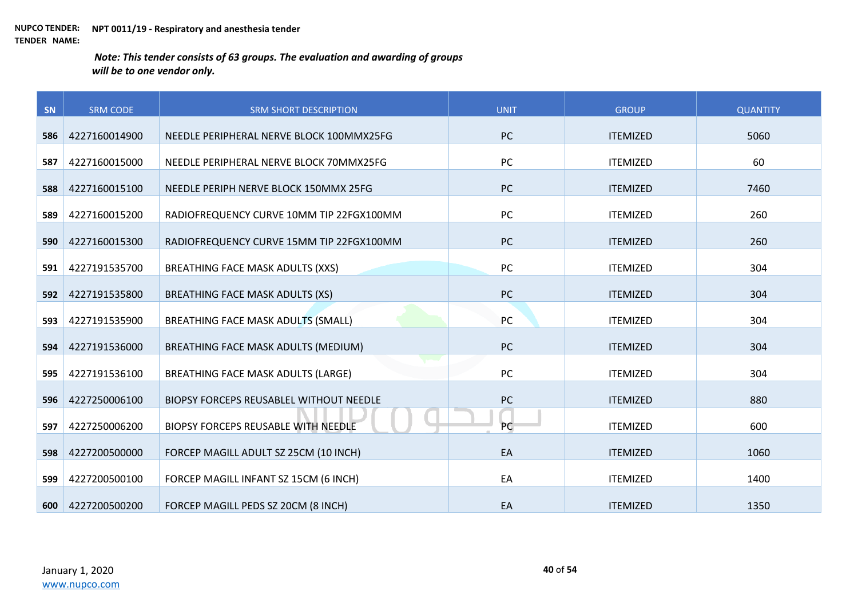| SN  | <b>SRM CODE</b> | <b>SRM SHORT DESCRIPTION</b>              | <b>UNIT</b> | <b>GROUP</b>    | <b>QUANTITY</b> |
|-----|-----------------|-------------------------------------------|-------------|-----------------|-----------------|
|     |                 |                                           | PC          |                 |                 |
| 586 | 4227160014900   | NEEDLE PERIPHERAL NERVE BLOCK 100MMX25FG  |             | <b>ITEMIZED</b> | 5060            |
| 587 | 4227160015000   | NEEDLE PERIPHERAL NERVE BLOCK 70MMX25FG   | PC          | <b>ITEMIZED</b> | 60              |
| 588 | 4227160015100   | NEEDLE PERIPH NERVE BLOCK 150MMX 25FG     | PC          | <b>ITEMIZED</b> | 7460            |
| 589 | 4227160015200   | RADIOFREQUENCY CURVE 10MM TIP 22FGX100MM  | PC          | <b>ITEMIZED</b> | 260             |
| 590 | 4227160015300   | RADIOFREQUENCY CURVE 15MM TIP 22FGX100MM  | PC          | <b>ITEMIZED</b> | 260             |
| 591 | 4227191535700   | BREATHING FACE MASK ADULTS (XXS)          | PC          | <b>ITEMIZED</b> | 304             |
| 592 | 4227191535800   | <b>BREATHING FACE MASK ADULTS (XS)</b>    | PC          | <b>ITEMIZED</b> | 304             |
| 593 | 4227191535900   | <b>BREATHING FACE MASK ADULTS (SMALL)</b> | PC          | <b>ITEMIZED</b> | 304             |
| 594 | 4227191536000   | BREATHING FACE MASK ADULTS (MEDIUM)       | <b>PC</b>   | <b>ITEMIZED</b> | 304             |
| 595 | 4227191536100   | <b>BREATHING FACE MASK ADULTS (LARGE)</b> | PC          | <b>ITEMIZED</b> | 304             |
| 596 | 4227250006100   | BIOPSY FORCEPS REUSABLEL WITHOUT NEEDLE   | PC          | <b>ITEMIZED</b> | 880             |
| 597 | 4227250006200   | BIOPSY FORCEPS REUSABLE WITH NEEDLE       | PC          | <b>ITEMIZED</b> | 600             |
| 598 | 4227200500000   | FORCEP MAGILL ADULT SZ 25CM (10 INCH)     | EA          | <b>ITEMIZED</b> | 1060            |
| 599 | 4227200500100   | FORCEP MAGILL INFANT SZ 15CM (6 INCH)     | EA          | <b>ITEMIZED</b> | 1400            |
| 600 | 4227200500200   | FORCEP MAGILL PEDS SZ 20CM (8 INCH)       | EA          | <b>ITEMIZED</b> | 1350            |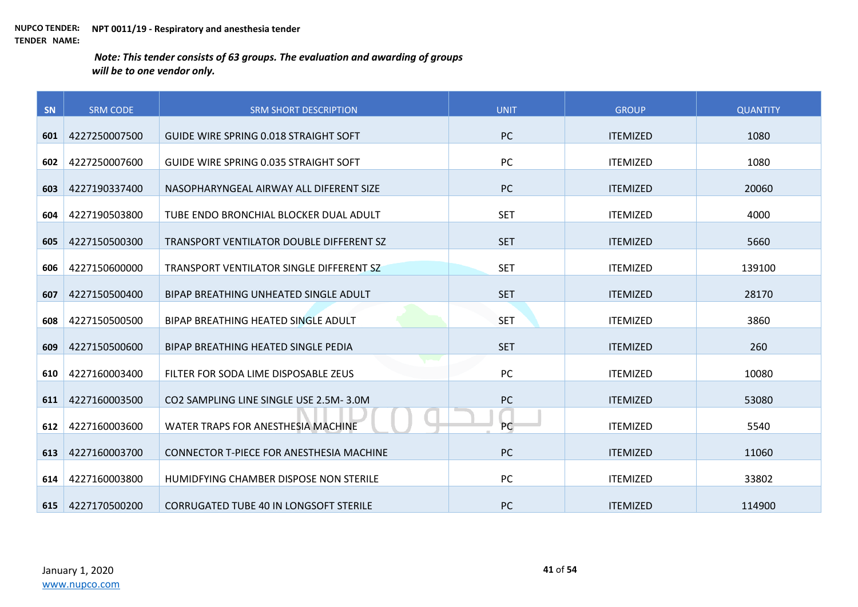| SN  | <b>SRM CODE</b> | <b>SRM SHORT DESCRIPTION</b>                    | <b>UNIT</b> | <b>GROUP</b>    | <b>QUANTITY</b> |
|-----|-----------------|-------------------------------------------------|-------------|-----------------|-----------------|
| 601 | 4227250007500   | <b>GUIDE WIRE SPRING 0.018 STRAIGHT SOFT</b>    | <b>PC</b>   | <b>ITEMIZED</b> | 1080            |
|     |                 |                                                 |             |                 |                 |
| 602 | 4227250007600   | GUIDE WIRE SPRING 0.035 STRAIGHT SOFT           | PC          | <b>ITEMIZED</b> | 1080            |
| 603 | 4227190337400   | NASOPHARYNGEAL AIRWAY ALL DIFERENT SIZE         | <b>PC</b>   | <b>ITEMIZED</b> | 20060           |
| 604 | 4227190503800   | TUBE ENDO BRONCHIAL BLOCKER DUAL ADULT          | <b>SET</b>  | <b>ITEMIZED</b> | 4000            |
| 605 | 4227150500300   | TRANSPORT VENTILATOR DOUBLE DIFFERENT SZ        | <b>SET</b>  | <b>ITEMIZED</b> | 5660            |
| 606 | 4227150600000   | TRANSPORT VENTILATOR SINGLE DIFFERENT SZ        | <b>SET</b>  | <b>ITEMIZED</b> | 139100          |
| 607 | 4227150500400   | BIPAP BREATHING UNHEATED SINGLE ADULT           | <b>SET</b>  | <b>ITEMIZED</b> | 28170           |
| 608 | 4227150500500   | BIPAP BREATHING HEATED SINGLE ADULT             | <b>SET</b>  | <b>ITEMIZED</b> | 3860            |
| 609 | 4227150500600   | BIPAP BREATHING HEATED SINGLE PEDIA             | <b>SET</b>  | <b>ITEMIZED</b> | 260             |
| 610 | 4227160003400   | FILTER FOR SODA LIME DISPOSABLE ZEUS            | PC          | <b>ITEMIZED</b> | 10080           |
| 611 | 4227160003500   | CO2 SAMPLING LINE SINGLE USE 2.5M-3.0M          | <b>PC</b>   | <b>ITEMIZED</b> | 53080           |
| 612 | 4227160003600   | WATER TRAPS FOR ANESTHESIA MACHINE              | <b>PC</b>   | <b>ITEMIZED</b> | 5540            |
| 613 | 4227160003700   | <b>CONNECTOR T-PIECE FOR ANESTHESIA MACHINE</b> | <b>PC</b>   | <b>ITEMIZED</b> | 11060           |
| 614 | 4227160003800   | HUMIDEYING CHAMBER DISPOSE NON STERILE          | <b>PC</b>   | <b>ITEMIZED</b> | 33802           |
| 615 | 4227170500200   | <b>CORRUGATED TUBE 40 IN LONGSOFT STERILE</b>   | <b>PC</b>   | <b>ITEMIZED</b> | 114900          |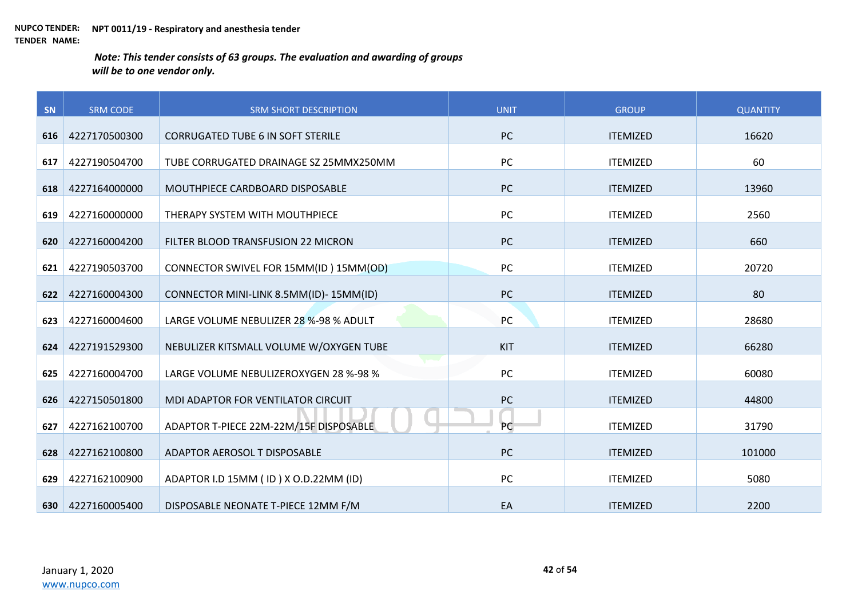| SN  | <b>SRM CODE</b> | <b>SRM SHORT DESCRIPTION</b>             | <b>UNIT</b> | <b>GROUP</b>    | <b>QUANTITY</b> |
|-----|-----------------|------------------------------------------|-------------|-----------------|-----------------|
| 616 | 4227170500300   | <b>CORRUGATED TUBE 6 IN SOFT STERILE</b> | <b>PC</b>   | <b>ITEMIZED</b> | 16620           |
| 617 | 4227190504700   | TUBE CORRUGATED DRAINAGE SZ 25MMX250MM   | PC          | <b>ITEMIZED</b> | 60              |
|     |                 |                                          |             |                 |                 |
| 618 | 4227164000000   | MOUTHPIECE CARDBOARD DISPOSABLE          | <b>PC</b>   | <b>ITEMIZED</b> | 13960           |
| 619 | 4227160000000   | THERAPY SYSTEM WITH MOUTHPIECE           | PC          | <b>ITEMIZED</b> | 2560            |
| 620 | 4227160004200   | FILTER BLOOD TRANSFUSION 22 MICRON       | PC          | <b>ITEMIZED</b> | 660             |
| 621 | 4227190503700   | CONNECTOR SWIVEL FOR 15MM(ID) 15MM(OD)   | <b>PC</b>   | <b>ITEMIZED</b> | 20720           |
| 622 | 4227160004300   | CONNECTOR MINI-LINK 8.5MM(ID)-15MM(ID)   | PC          | <b>ITEMIZED</b> | 80              |
| 623 | 4227160004600   | LARGE VOLUME NEBULIZER 28 %-98 % ADULT   | PC          | <b>ITEMIZED</b> | 28680           |
| 624 | 4227191529300   | NEBULIZER KITSMALL VOLUME W/OXYGEN TUBE  | KIT         | <b>ITEMIZED</b> | 66280           |
|     |                 |                                          |             |                 |                 |
| 625 | 4227160004700   | LARGE VOLUME NEBULIZEROXYGEN 28 %-98 %   | PC          | <b>ITEMIZED</b> | 60080           |
| 626 | 4227150501800   | MDI ADAPTOR FOR VENTILATOR CIRCUIT       | PC          | <b>ITEMIZED</b> | 44800           |
| 627 | 4227162100700   | ADAPTOR T-PIECE 22M-22M/15F DISPOSABLE   | PC          | <b>ITEMIZED</b> | 31790           |
| 628 | 4227162100800   | ADAPTOR AEROSOL T DISPOSABLE             | <b>PC</b>   | <b>ITEMIZED</b> | 101000          |
| 629 | 4227162100900   | ADAPTOR I.D 15MM (ID) X O.D.22MM (ID)    | PC          | <b>ITEMIZED</b> | 5080            |
| 630 | 4227160005400   | DISPOSABLE NEONATE T-PIECE 12MM F/M      | EA          | <b>ITEMIZED</b> | 2200            |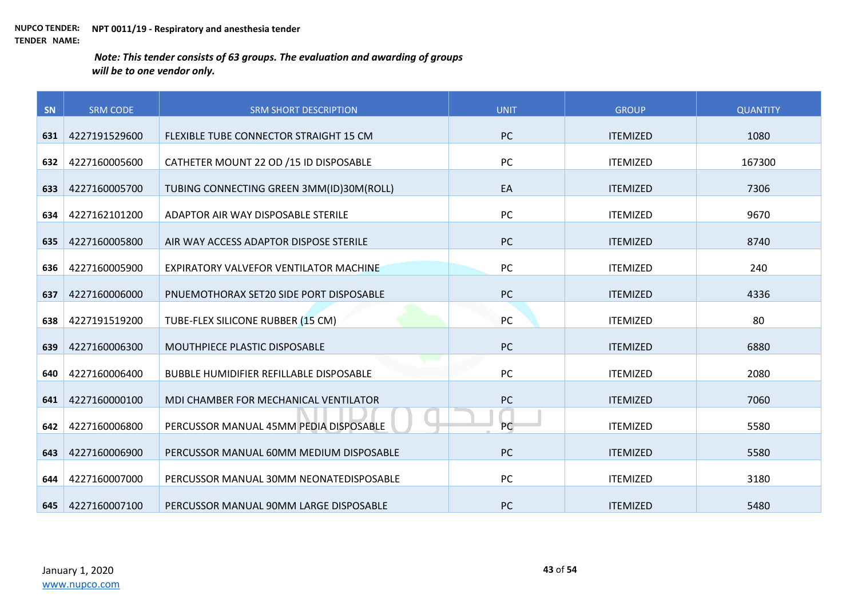| SN  | <b>SRM CODE</b> | <b>SRM SHORT DESCRIPTION</b>                   | <b>UNIT</b> | <b>GROUP</b>    | <b>QUANTITY</b> |
|-----|-----------------|------------------------------------------------|-------------|-----------------|-----------------|
| 631 | 4227191529600   | FLEXIBLE TUBE CONNECTOR STRAIGHT 15 CM         | <b>PC</b>   | <b>ITEMIZED</b> | 1080            |
|     |                 |                                                |             |                 |                 |
| 632 | 4227160005600   | CATHETER MOUNT 22 OD /15 ID DISPOSABLE         | PC          | <b>ITEMIZED</b> | 167300          |
| 633 | 4227160005700   | TUBING CONNECTING GREEN 3MM(ID)30M(ROLL)       | EA          | <b>ITEMIZED</b> | 7306            |
| 634 | 4227162101200   | ADAPTOR AIR WAY DISPOSABLE STERILE             | PC          | <b>ITEMIZED</b> | 9670            |
| 635 | 4227160005800   | AIR WAY ACCESS ADAPTOR DISPOSE STERILE         | <b>PC</b>   | <b>ITEMIZED</b> | 8740            |
| 636 | 4227160005900   | EXPIRATORY VALVEFOR VENTILATOR MACHINE         | PC          | <b>ITEMIZED</b> | 240             |
| 637 | 4227160006000   | PNUEMOTHORAX SET20 SIDE PORT DISPOSABLE        | <b>PC</b>   | <b>ITEMIZED</b> | 4336            |
| 638 | 4227191519200   | TUBE-FLEX SILICONE RUBBER (15 CM)              | PC          | <b>ITEMIZED</b> | 80              |
| 639 | 4227160006300   | MOUTHPIECE PLASTIC DISPOSABLE                  | <b>PC</b>   | <b>ITEMIZED</b> | 6880            |
| 640 | 4227160006400   | <b>BUBBLE HUMIDIFIER REFILLABLE DISPOSABLE</b> | PC          | <b>ITEMIZED</b> | 2080            |
| 641 | 4227160000100   | MDI CHAMBER FOR MECHANICAL VENTILATOR          | PC          | <b>ITEMIZED</b> | 7060            |
| 642 | 4227160006800   | PERCUSSOR MANUAL 45MM PEDIA DISPOSABLE         | PC          | <b>ITEMIZED</b> | 5580            |
| 643 | 4227160006900   | PERCUSSOR MANUAL 60MM MEDIUM DISPOSABLE        | PC          | <b>ITEMIZED</b> | 5580            |
| 644 | 4227160007000   | PERCUSSOR MANUAL 30MM NEONATEDISPOSABLE        | PC          | <b>ITEMIZED</b> | 3180            |
| 645 | 4227160007100   | PERCUSSOR MANUAL 90MM LARGE DISPOSABLE         | <b>PC</b>   | <b>ITEMIZED</b> | 5480            |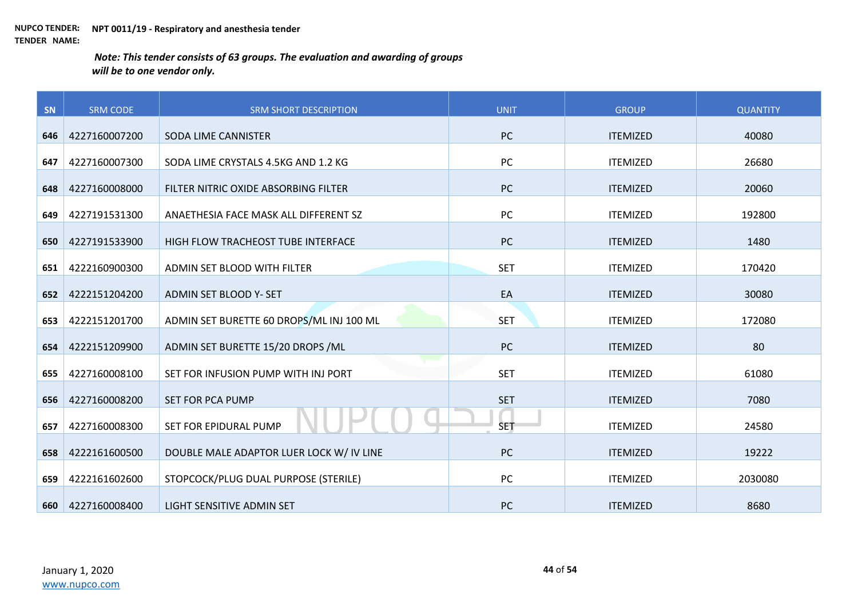| SN  | <b>SRM CODE</b> | <b>SRM SHORT DESCRIPTION</b>             | <b>UNIT</b> | <b>GROUP</b>    | <b>QUANTITY</b> |
|-----|-----------------|------------------------------------------|-------------|-----------------|-----------------|
| 646 | 4227160007200   | SODA LIME CANNISTER                      | PC          | <b>ITEMIZED</b> | 40080           |
|     |                 |                                          |             |                 |                 |
| 647 | 4227160007300   | SODA LIME CRYSTALS 4.5KG AND 1.2 KG      | PC          | <b>ITEMIZED</b> | 26680           |
| 648 | 4227160008000   | FILTER NITRIC OXIDE ABSORBING FILTER     | PC          | <b>ITEMIZED</b> | 20060           |
| 649 | 4227191531300   | ANAETHESIA FACE MASK ALL DIFFERENT SZ    | PC          | <b>ITEMIZED</b> | 192800          |
| 650 | 4227191533900   | HIGH FLOW TRACHEOST TUBE INTERFACE       | <b>PC</b>   | <b>ITEMIZED</b> | 1480            |
| 651 | 4222160900300   | ADMIN SET BLOOD WITH FILTER              | <b>SET</b>  | <b>ITEMIZED</b> | 170420          |
| 652 | 4222151204200   | ADMIN SET BLOOD Y- SET                   | EA          | <b>ITEMIZED</b> | 30080           |
| 653 | 4222151201700   | ADMIN SET BURETTE 60 DROPS/ML INJ 100 ML | <b>SET</b>  | <b>ITEMIZED</b> | 172080          |
| 654 | 4222151209900   | ADMIN SET BURETTE 15/20 DROPS / ML       | PC          | <b>ITEMIZED</b> | 80              |
| 655 | 4227160008100   | SET FOR INFUSION PUMP WITH INJ PORT      | <b>SET</b>  | <b>ITEMIZED</b> | 61080           |
| 656 | 4227160008200   | SET FOR PCA PUMP                         | <b>SET</b>  | <b>ITEMIZED</b> | 7080            |
| 657 | 4227160008300   | SET FOR EPIDURAL PUMP                    | <b>SET</b>  | <b>ITEMIZED</b> | 24580           |
| 658 | 4222161600500   | DOUBLE MALE ADAPTOR LUER LOCK W/ IV LINE | <b>PC</b>   | <b>ITEMIZED</b> | 19222           |
| 659 | 4222161602600   | STOPCOCK/PLUG DUAL PURPOSE (STERILE)     | PC          | <b>ITEMIZED</b> | 2030080         |
| 660 | 4227160008400   | LIGHT SENSITIVE ADMIN SET                | <b>PC</b>   | <b>ITEMIZED</b> | 8680            |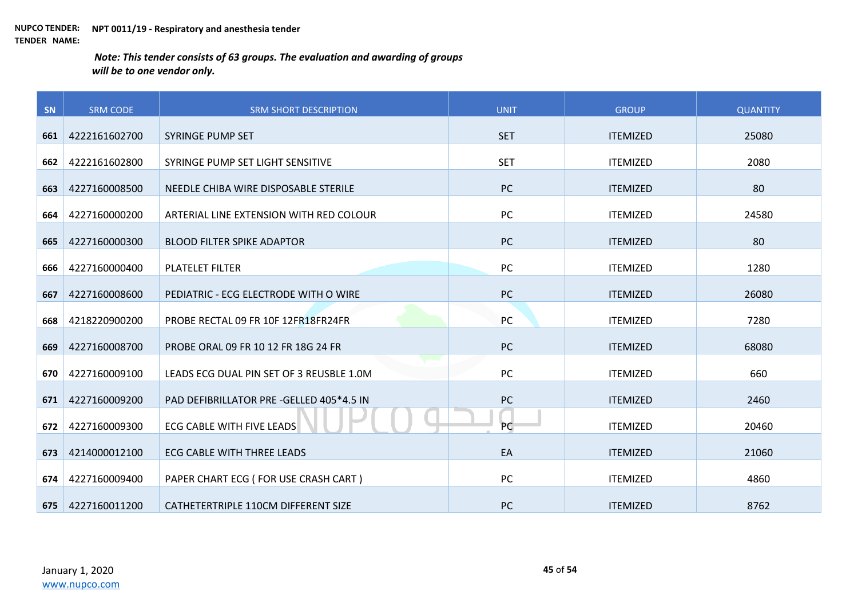| SN  | <b>SRM CODE</b> | <b>SRM SHORT DESCRIPTION</b>             | <b>UNIT</b> | <b>GROUP</b>    | <b>QUANTITY</b> |
|-----|-----------------|------------------------------------------|-------------|-----------------|-----------------|
| 661 | 4222161602700   | <b>SYRINGE PUMP SET</b>                  | <b>SET</b>  | <b>ITEMIZED</b> | 25080           |
|     |                 |                                          |             |                 |                 |
| 662 | 4222161602800   | SYRINGE PUMP SET LIGHT SENSITIVE         | <b>SET</b>  | <b>ITEMIZED</b> | 2080            |
| 663 | 4227160008500   | NEEDLE CHIBA WIRE DISPOSABLE STERILE     | <b>PC</b>   | <b>ITEMIZED</b> | 80              |
| 664 | 4227160000200   | ARTERIAL LINE EXTENSION WITH RED COLOUR  | PC          | <b>ITEMIZED</b> | 24580           |
| 665 | 4227160000300   | <b>BLOOD FILTER SPIKE ADAPTOR</b>        | <b>PC</b>   | <b>ITEMIZED</b> | 80              |
| 666 | 4227160000400   | <b>PLATELET FILTER</b>                   | PC          | <b>ITEMIZED</b> | 1280            |
| 667 | 4227160008600   | PEDIATRIC - ECG ELECTRODE WITH O WIRE    | <b>PC</b>   | <b>ITEMIZED</b> | 26080           |
| 668 | 4218220900200   | PROBE RECTAL 09 FR 10F 12FR18FR24FR      | PC          | <b>ITEMIZED</b> | 7280            |
| 669 | 4227160008700   | PROBE ORAL 09 FR 10 12 FR 18G 24 FR      | <b>PC</b>   | <b>ITEMIZED</b> | 68080           |
| 670 | 4227160009100   | LEADS ECG DUAL PIN SET OF 3 REUSBLE 1.0M | PC          | <b>ITEMIZED</b> | 660             |
| 671 | 4227160009200   | PAD DEFIBRILLATOR PRE -GELLED 405*4.5 IN | PC          | <b>ITEMIZED</b> | 2460            |
| 672 | 4227160009300   | <b>ECG CABLE WITH FIVE LEADS</b>         | PC          | <b>ITEMIZED</b> | 20460           |
| 673 | 4214000012100   | <b>ECG CABLE WITH THREE LEADS</b>        | EA          | <b>ITEMIZED</b> | 21060           |
| 674 | 4227160009400   | PAPER CHART ECG (FOR USE CRASH CART)     | PC          | <b>ITEMIZED</b> | 4860            |
| 675 | 4227160011200   | CATHETERTRIPLE 110CM DIFFERENT SIZE      | PC          | <b>ITEMIZED</b> | 8762            |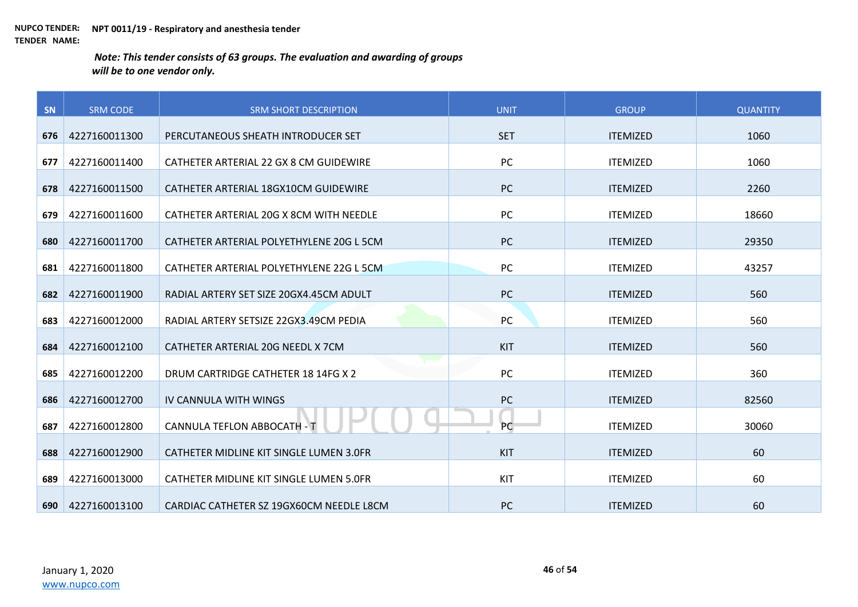| SN  | <b>SRM CODE</b> | <b>SRM SHORT DESCRIPTION</b>             | <b>UNIT</b> | <b>GROUP</b>    | <b>QUANTITY</b> |
|-----|-----------------|------------------------------------------|-------------|-----------------|-----------------|
| 676 | 4227160011300   | PERCUTANEOUS SHEATH INTRODUCER SET       | <b>SET</b>  | <b>ITEMIZED</b> | 1060            |
|     |                 |                                          |             |                 |                 |
| 677 | 4227160011400   | CATHETER ARTERIAL 22 GX 8 CM GUIDEWIRE   | PC          | <b>ITEMIZED</b> | 1060            |
| 678 | 4227160011500   | CATHETER ARTERIAL 18GX10CM GUIDEWIRE     | PC          | <b>ITEMIZED</b> | 2260            |
| 679 | 4227160011600   | CATHETER ARTERIAL 20G X 8CM WITH NEEDLE  | PC          | <b>ITEMIZED</b> | 18660           |
| 680 | 4227160011700   | CATHETER ARTERIAL POLYETHYLENE 20G L 5CM | PC          | <b>ITEMIZED</b> | 29350           |
| 681 | 4227160011800   | CATHETER ARTERIAL POLYETHYLENE 22G L 5CM | PC          | <b>ITEMIZED</b> | 43257           |
| 682 | 4227160011900   | RADIAL ARTERY SET SIZE 20GX4.45CM ADULT  | PC          | <b>ITEMIZED</b> | 560             |
| 683 | 4227160012000   | RADIAL ARTERY SETSIZE 22GX3.49CM PEDIA   | PC          | <b>ITEMIZED</b> | 560             |
| 684 | 4227160012100   | CATHETER ARTERIAL 20G NEEDL X 7CM        | KIT         | <b>ITEMIZED</b> | 560             |
| 685 | 4227160012200   | DRUM CARTRIDGE CATHETER 18 14FG X 2      | PC          | <b>ITEMIZED</b> | 360             |
| 686 | 4227160012700   | IV CANNULA WITH WINGS                    | PC          | <b>ITEMIZED</b> | 82560           |
| 687 | 4227160012800   | CANNULA TEFLON ABBOCATH - T              | PC          | <b>ITEMIZED</b> | 30060           |
| 688 | 4227160012900   | CATHETER MIDLINE KIT SINGLE LUMEN 3.0FR  | KIT         | <b>ITEMIZED</b> | 60              |
| 689 | 4227160013000   | CATHETER MIDLINE KIT SINGLE LUMEN 5.0FR  | KIT         | <b>ITEMIZED</b> | 60              |
| 690 | 4227160013100   | CARDIAC CATHETER SZ 19GX60CM NEEDLE L8CM | <b>PC</b>   | <b>ITEMIZED</b> | 60              |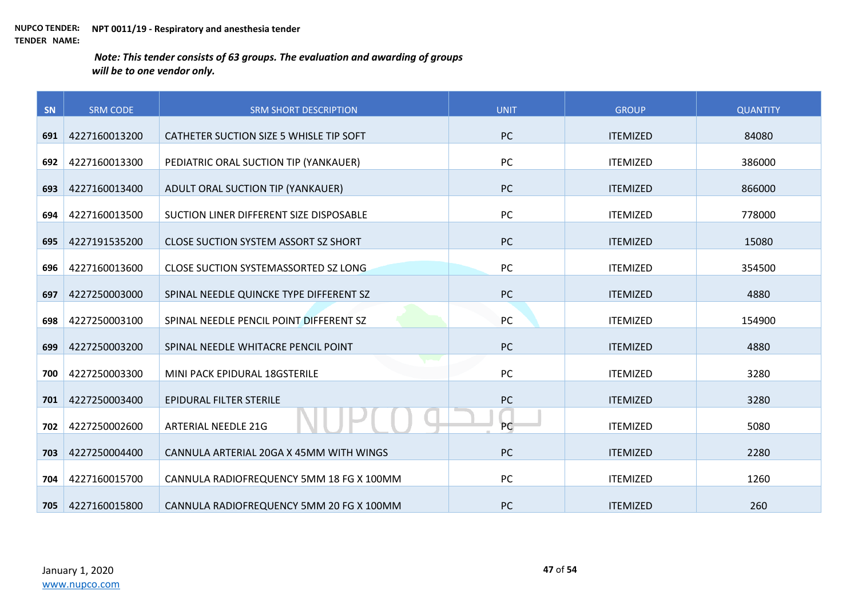| SN  | <b>SRM CODE</b> | <b>SRM SHORT DESCRIPTION</b>                | <b>UNIT</b> | <b>GROUP</b>    | <b>QUANTITY</b> |
|-----|-----------------|---------------------------------------------|-------------|-----------------|-----------------|
| 691 | 4227160013200   | CATHETER SUCTION SIZE 5 WHISLE TIP SOFT     | <b>PC</b>   | <b>ITEMIZED</b> | 84080           |
|     |                 |                                             |             |                 |                 |
| 692 | 4227160013300   | PEDIATRIC ORAL SUCTION TIP (YANKAUER)       | <b>PC</b>   | <b>ITEMIZED</b> | 386000          |
| 693 | 4227160013400   | ADULT ORAL SUCTION TIP (YANKAUER)           | PC          | <b>ITEMIZED</b> | 866000          |
| 694 | 4227160013500   | SUCTION LINER DIFFERENT SIZE DISPOSABLE     | PC          | <b>ITEMIZED</b> | 778000          |
| 695 | 4227191535200   | <b>CLOSE SUCTION SYSTEM ASSORT SZ SHORT</b> | PC          | <b>ITEMIZED</b> | 15080           |
| 696 | 4227160013600   | <b>CLOSE SUCTION SYSTEMASSORTED SZ LONG</b> | PC          | <b>ITEMIZED</b> | 354500          |
| 697 | 4227250003000   | SPINAL NEEDLE QUINCKE TYPE DIFFERENT SZ     | PC          | <b>ITEMIZED</b> | 4880            |
| 698 | 4227250003100   | SPINAL NEEDLE PENCIL POINT DIFFERENT SZ     | PC          | <b>ITEMIZED</b> | 154900          |
| 699 | 4227250003200   | SPINAL NEEDLE WHITACRE PENCIL POINT         | <b>PC</b>   | <b>ITEMIZED</b> | 4880            |
| 700 | 4227250003300   | MINI PACK EPIDURAL 18GSTERILE               | PC          | <b>ITEMIZED</b> | 3280            |
| 701 | 4227250003400   | EPIDURAL FILTER STERILE                     | PC          | <b>ITEMIZED</b> | 3280            |
| 702 | 4227250002600   | <b>ARTERIAL NEEDLE 21G</b>                  | PC          | <b>ITEMIZED</b> | 5080            |
| 703 | 4227250004400   | CANNULA ARTERIAL 20GA X 45MM WITH WINGS     | <b>PC</b>   | <b>ITEMIZED</b> | 2280            |
| 704 | 4227160015700   | CANNULA RADIOFREQUENCY 5MM 18 FG X 100MM    | PC          | <b>ITEMIZED</b> | 1260            |
| 705 | 4227160015800   | CANNULA RADIOFREQUENCY 5MM 20 FG X 100MM    | <b>PC</b>   | <b>ITEMIZED</b> | 260             |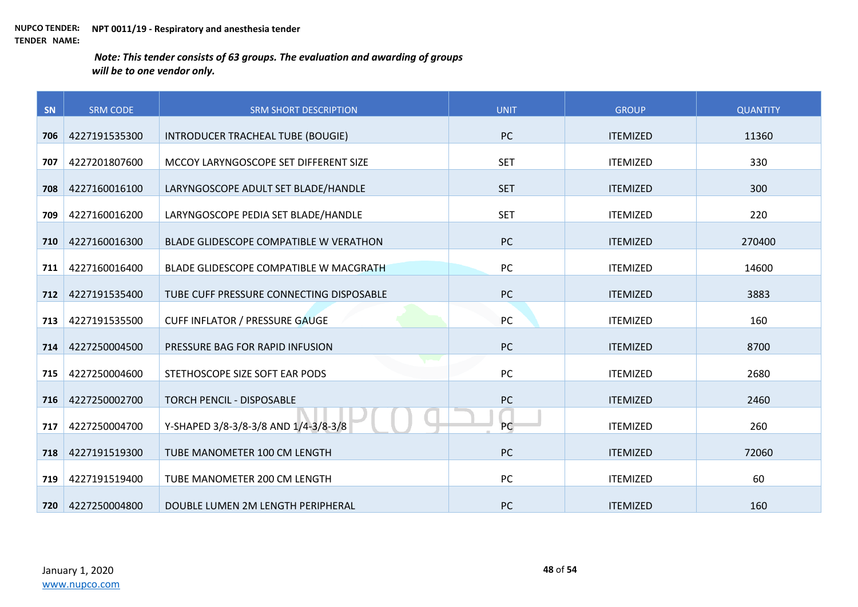| SN  | <b>SRM CODE</b> | <b>SRM SHORT DESCRIPTION</b>             | <b>UNIT</b> | <b>GROUP</b>    | <b>QUANTITY</b> |
|-----|-----------------|------------------------------------------|-------------|-----------------|-----------------|
| 706 | 4227191535300   | INTRODUCER TRACHEAL TUBE (BOUGIE)        | <b>PC</b>   | <b>ITEMIZED</b> | 11360           |
|     |                 |                                          |             |                 |                 |
| 707 | 4227201807600   | MCCOY LARYNGOSCOPE SET DIFFERENT SIZE    | <b>SET</b>  | <b>ITEMIZED</b> | 330             |
| 708 | 4227160016100   | LARYNGOSCOPE ADULT SET BLADE/HANDLE      | <b>SET</b>  | <b>ITEMIZED</b> | 300             |
| 709 | 4227160016200   | LARYNGOSCOPE PEDIA SET BLADE/HANDLE      | <b>SET</b>  | <b>ITEMIZED</b> | 220             |
| 710 | 4227160016300   | BLADE GLIDESCOPE COMPATIBLE W VERATHON   | PC          | <b>ITEMIZED</b> | 270400          |
| 711 | 4227160016400   | BLADE GLIDESCOPE COMPATIBLE W MACGRATH   | PC          | <b>ITEMIZED</b> | 14600           |
| 712 | 4227191535400   | TUBE CUFF PRESSURE CONNECTING DISPOSABLE | PC          | <b>ITEMIZED</b> | 3883            |
| 713 | 4227191535500   | <b>CUFF INFLATOR / PRESSURE GAUGE</b>    | PC          | <b>ITEMIZED</b> | 160             |
| 714 | 4227250004500   | PRESSURE BAG FOR RAPID INFUSION          | PC          | <b>ITEMIZED</b> | 8700            |
| 715 | 4227250004600   | STETHOSCOPE SIZE SOFT EAR PODS           | <b>PC</b>   | <b>ITEMIZED</b> | 2680            |
| 716 | 4227250002700   | <b>TORCH PENCIL - DISPOSABLE</b>         | PC          | <b>ITEMIZED</b> | 2460            |
| 717 | 4227250004700   | Y-SHAPED 3/8-3/8-3/8 AND 1/4-3/8-3/8     | PC          | <b>ITEMIZED</b> | 260             |
| 718 | 4227191519300   | TUBE MANOMETER 100 CM LENGTH             | PC          | <b>ITEMIZED</b> | 72060           |
| 719 | 4227191519400   | TUBE MANOMETER 200 CM LENGTH             | PC          | <b>ITEMIZED</b> | 60              |
| 720 | 4227250004800   | DOUBLE LUMEN 2M LENGTH PERIPHERAL        | <b>PC</b>   | <b>ITEMIZED</b> | 160             |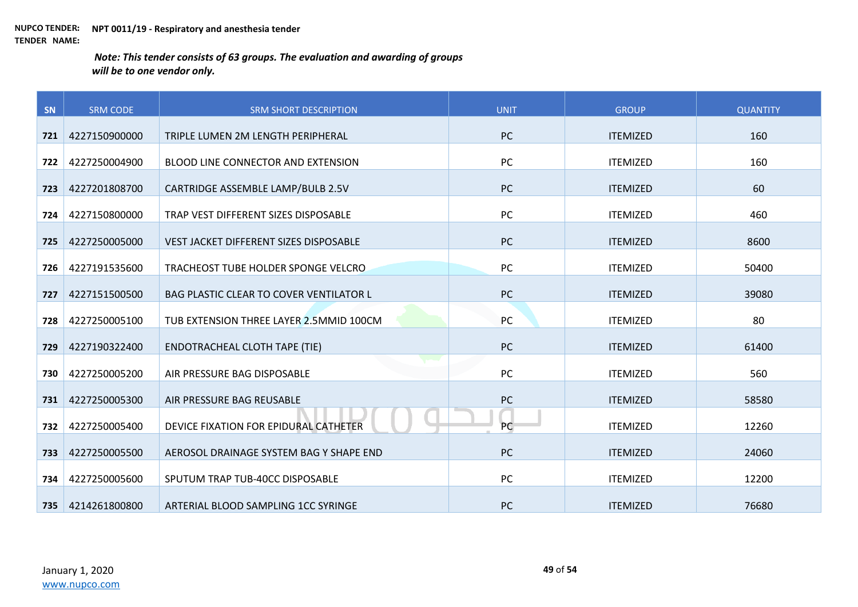| SN  | <b>SRM CODE</b> | <b>SRM SHORT DESCRIPTION</b>              | <b>UNIT</b> | <b>GROUP</b>    | <b>QUANTITY</b> |
|-----|-----------------|-------------------------------------------|-------------|-----------------|-----------------|
| 721 | 4227150900000   | TRIPLE LUMEN 2M LENGTH PERIPHERAL         | <b>PC</b>   | <b>ITEMIZED</b> | 160             |
|     |                 |                                           |             |                 |                 |
| 722 | 4227250004900   | <b>BLOOD LINE CONNECTOR AND EXTENSION</b> | <b>PC</b>   | <b>ITEMIZED</b> | 160             |
| 723 | 4227201808700   | CARTRIDGE ASSEMBLE LAMP/BULB 2.5V         | <b>PC</b>   | <b>ITEMIZED</b> | 60              |
| 724 | 4227150800000   | TRAP VEST DIFFERENT SIZES DISPOSABLE      | PC          | <b>ITEMIZED</b> | 460             |
| 725 | 4227250005000   | VEST JACKET DIFFERENT SIZES DISPOSABLE    | <b>PC</b>   | <b>ITEMIZED</b> | 8600            |
| 726 | 4227191535600   | TRACHEOST TUBE HOLDER SPONGE VELCRO       | PC          | <b>ITEMIZED</b> | 50400           |
| 727 | 4227151500500   | BAG PLASTIC CLEAR TO COVER VENTILATOR L   | PC          | <b>ITEMIZED</b> | 39080           |
| 728 | 4227250005100   | TUB EXTENSION THREE LAYER 2.5MMID 100CM   | PC          | <b>ITEMIZED</b> | 80              |
| 729 | 4227190322400   | <b>ENDOTRACHEAL CLOTH TAPE (TIE)</b>      | <b>PC</b>   | <b>ITEMIZED</b> | 61400           |
| 730 | 4227250005200   | AIR PRESSURE BAG DISPOSABLE               | PC          | <b>ITEMIZED</b> | 560             |
| 731 | 4227250005300   | AIR PRESSURE BAG REUSABLE                 | PC          | <b>ITEMIZED</b> | 58580           |
| 732 | 4227250005400   | DEVICE FIXATION FOR EPIDURAL CATHETER     | PC          | <b>ITEMIZED</b> | 12260           |
| 733 | 4227250005500   | AEROSOL DRAINAGE SYSTEM BAG Y SHAPE END   | <b>PC</b>   | <b>ITEMIZED</b> | 24060           |
| 734 | 4227250005600   | SPUTUM TRAP TUB-40CC DISPOSABLE           | PC          | <b>ITEMIZED</b> | 12200           |
| 735 | 4214261800800   | ARTERIAL BLOOD SAMPLING 1CC SYRINGE       | <b>PC</b>   | <b>ITEMIZED</b> | 76680           |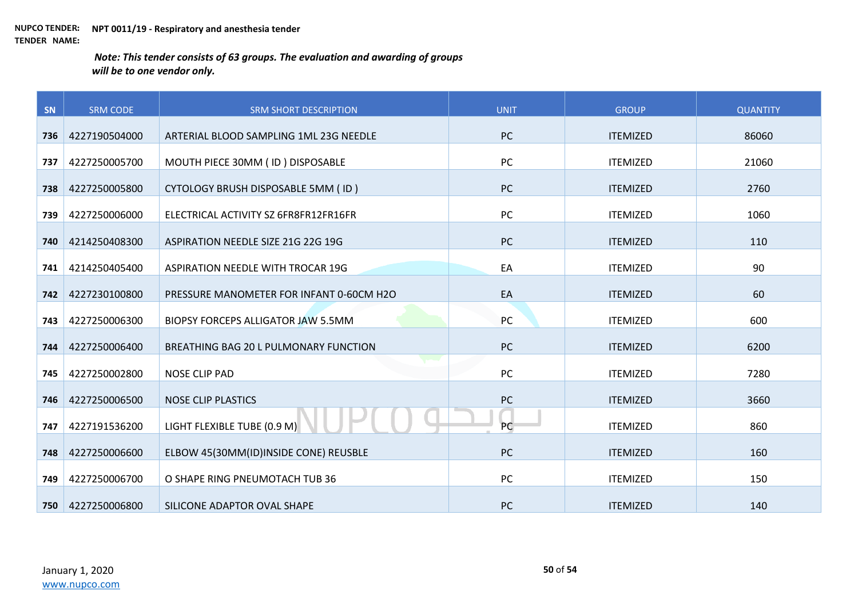| SN  | <b>SRM CODE</b> | <b>SRM SHORT DESCRIPTION</b>              | <b>UNIT</b> | <b>GROUP</b>    | <b>QUANTITY</b> |
|-----|-----------------|-------------------------------------------|-------------|-----------------|-----------------|
| 736 | 4227190504000   | ARTERIAL BLOOD SAMPLING 1ML 23G NEEDLE    | <b>PC</b>   | <b>ITEMIZED</b> | 86060           |
|     |                 |                                           |             |                 |                 |
| 737 | 4227250005700   | MOUTH PIECE 30MM (ID) DISPOSABLE          | PC          | <b>ITEMIZED</b> | 21060           |
| 738 | 4227250005800   | <b>CYTOLOGY BRUSH DISPOSABLE 5MM (ID)</b> | <b>PC</b>   | <b>ITEMIZED</b> | 2760            |
| 739 | 4227250006000   | ELECTRICAL ACTIVITY SZ 6FR8FR12FR16FR     | PC          | <b>ITEMIZED</b> | 1060            |
| 740 | 4214250408300   | ASPIRATION NEEDLE SIZE 21G 22G 19G        | <b>PC</b>   | <b>ITEMIZED</b> | 110             |
| 741 | 4214250405400   | ASPIRATION NEEDLE WITH TROCAR 19G         | EA          | <b>ITEMIZED</b> | 90              |
| 742 | 4227230100800   | PRESSURE MANOMETER FOR INFANT 0-60CM H2O  | EA          | <b>ITEMIZED</b> | 60              |
| 743 | 4227250006300   | <b>BIOPSY FORCEPS ALLIGATOR JAW 5.5MM</b> | PC          | <b>ITEMIZED</b> | 600             |
| 744 | 4227250006400   | BREATHING BAG 20 L PULMONARY FUNCTION     | <b>PC</b>   | <b>ITEMIZED</b> | 6200            |
| 745 | 4227250002800   | <b>NOSE CLIP PAD</b>                      | PC          | <b>ITEMIZED</b> | 7280            |
| 746 | 4227250006500   | <b>NOSE CLIP PLASTICS</b>                 | PC          | <b>ITEMIZED</b> | 3660            |
| 747 | 4227191536200   | LIGHT FLEXIBLE TUBE (0.9 M)               | PC          | <b>ITEMIZED</b> | 860             |
| 748 | 4227250006600   | ELBOW 45(30MM(ID)INSIDE CONE) REUSBLE     | <b>PC</b>   | <b>ITEMIZED</b> | 160             |
| 749 | 4227250006700   | O SHAPE RING PNEUMOTACH TUB 36            | PC          | <b>ITEMIZED</b> | 150             |
| 750 | 4227250006800   | SILICONE ADAPTOR OVAL SHAPE               | <b>PC</b>   | <b>ITEMIZED</b> | 140             |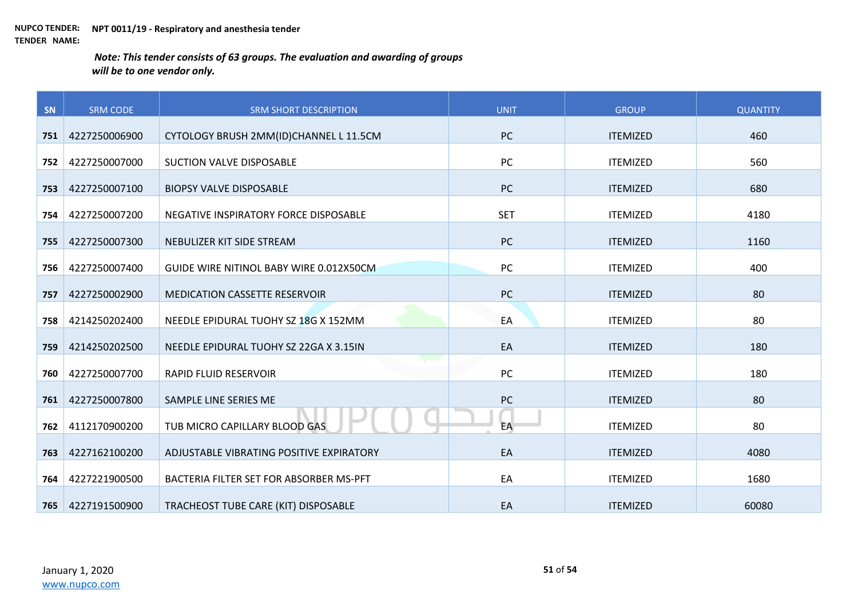| SN  | <b>SRM CODE</b> | <b>SRM SHORT DESCRIPTION</b>             | <b>UNIT</b> | <b>GROUP</b>    | <b>QUANTITY</b> |
|-----|-----------------|------------------------------------------|-------------|-----------------|-----------------|
| 751 | 4227250006900   | CYTOLOGY BRUSH 2MM(ID)CHANNEL L 11.5CM   | <b>PC</b>   | <b>ITEMIZED</b> | 460             |
|     |                 |                                          |             |                 |                 |
| 752 | 4227250007000   | SUCTION VALVE DISPOSABLE                 | PC          | <b>ITEMIZED</b> | 560             |
| 753 | 4227250007100   | <b>BIOPSY VALVE DISPOSABLE</b>           | <b>PC</b>   | <b>ITEMIZED</b> | 680             |
| 754 | 4227250007200   | NEGATIVE INSPIRATORY FORCE DISPOSABLE    | <b>SET</b>  | <b>ITEMIZED</b> | 4180            |
| 755 | 4227250007300   | NEBULIZER KIT SIDE STREAM                | <b>PC</b>   | <b>ITEMIZED</b> | 1160            |
| 756 | 4227250007400   | GUIDE WIRE NITINOL BABY WIRE 0.012X50CM  | PC          | <b>ITEMIZED</b> | 400             |
| 757 | 4227250002900   | <b>MEDICATION CASSETTE RESERVOIR</b>     | PC          | <b>ITEMIZED</b> | 80              |
| 758 | 4214250202400   | NEEDLE EPIDURAL TUOHY SZ 18G X 152MM     | EA          | <b>ITEMIZED</b> | 80              |
| 759 | 4214250202500   | NEEDLE EPIDURAL TUOHY SZ 22GA X 3.15IN   | EA          | <b>ITEMIZED</b> | 180             |
| 760 | 4227250007700   | <b>RAPID FLUID RESERVOIR</b>             | PC          | <b>ITEMIZED</b> | 180             |
| 761 | 4227250007800   | SAMPLE LINE SERIES ME                    | PC          | <b>ITEMIZED</b> | 80              |
| 762 | 4112170900200   | TUB MICRO CAPILLARY BLOOD GAS            | EA          | <b>ITEMIZED</b> | 80              |
| 763 | 4227162100200   | ADJUSTABLE VIBRATING POSITIVE EXPIRATORY | EA          | <b>ITEMIZED</b> | 4080            |
| 764 | 4227221900500   | BACTERIA FILTER SET FOR ABSORBER MS-PFT  | EA          | <b>ITEMIZED</b> | 1680            |
| 765 | 4227191500900   | TRACHEOST TUBE CARE (KIT) DISPOSABLE     | EA          | <b>ITEMIZED</b> | 60080           |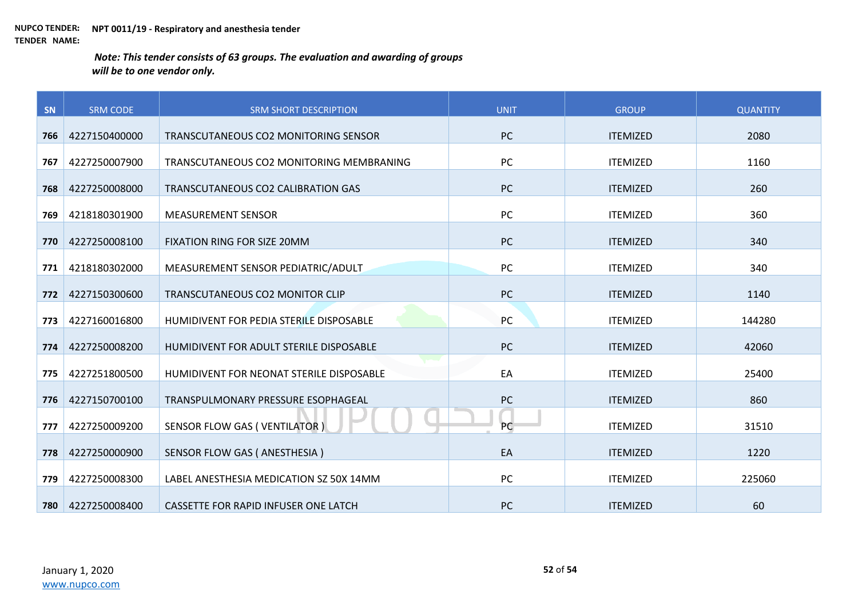| SN  | <b>SRM CODE</b> | <b>SRM SHORT DESCRIPTION</b>             | <b>UNIT</b> | <b>GROUP</b>    | <b>QUANTITY</b> |
|-----|-----------------|------------------------------------------|-------------|-----------------|-----------------|
| 766 | 4227150400000   | TRANSCUTANEOUS CO2 MONITORING SENSOR     | <b>PC</b>   | <b>ITEMIZED</b> | 2080            |
| 767 | 4227250007900   | TRANSCUTANEOUS CO2 MONITORING MEMBRANING | PC          | <b>ITEMIZED</b> | 1160            |
| 768 | 4227250008000   | TRANSCUTANEOUS CO2 CALIBRATION GAS       | PC          | <b>ITEMIZED</b> | 260             |
| 769 | 4218180301900   | <b>MEASUREMENT SENSOR</b>                | PC          | <b>ITEMIZED</b> | 360             |
|     |                 |                                          |             |                 |                 |
| 770 | 4227250008100   | FIXATION RING FOR SIZE 20MM              | PC          | <b>ITEMIZED</b> | 340             |
| 771 | 4218180302000   | MEASUREMENT SENSOR PEDIATRIC/ADULT       | PC          | <b>ITEMIZED</b> | 340             |
| 772 | 4227150300600   | TRANSCUTANEOUS CO2 MONITOR CLIP          | PC          | <b>ITEMIZED</b> | 1140            |
| 773 | 4227160016800   | HUMIDIVENT FOR PEDIA STERILE DISPOSABLE  | PC          | <b>ITEMIZED</b> | 144280          |
| 774 | 4227250008200   | HUMIDIVENT FOR ADULT STERILE DISPOSABLE  | PC          | <b>ITEMIZED</b> | 42060           |
| 775 | 4227251800500   | HUMIDIVENT FOR NEONAT STERILE DISPOSABLE | EA          | <b>ITEMIZED</b> | 25400           |
| 776 | 4227150700100   | TRANSPULMONARY PRESSURE ESOPHAGEAL       | PC          | <b>ITEMIZED</b> | 860             |
| 777 | 4227250009200   | SENSOR FLOW GAS (VENTILATOR)             | PC          | <b>ITEMIZED</b> | 31510           |
| 778 | 4227250000900   | SENSOR FLOW GAS ( ANESTHESIA )           | EA          | <b>ITEMIZED</b> | 1220            |
| 779 | 4227250008300   | LABEL ANESTHESIA MEDICATION SZ 50X 14MM  | PC          | <b>ITEMIZED</b> | 225060          |
| 780 | 4227250008400   | CASSETTE FOR RAPID INFUSER ONE LATCH     | PC          | <b>ITEMIZED</b> | 60              |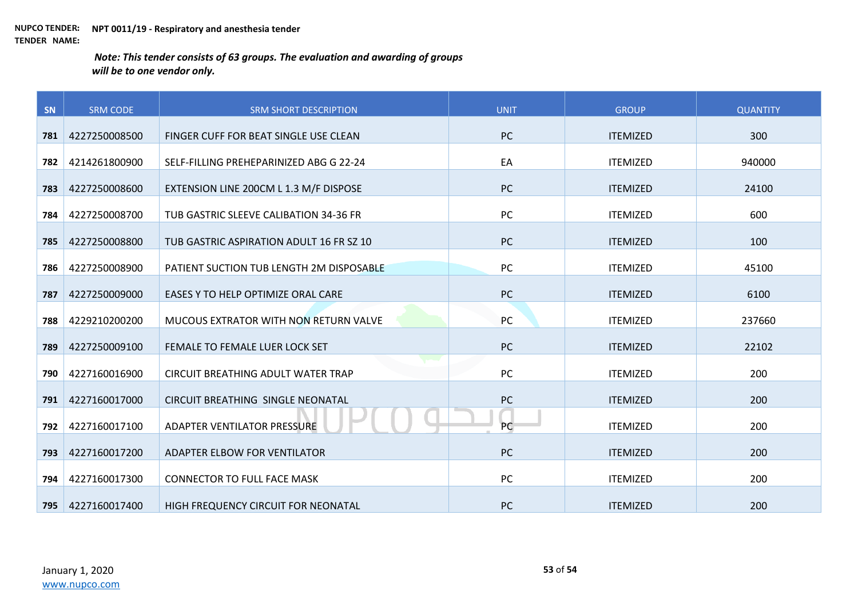| SN  | <b>SRM CODE</b> | <b>SRM SHORT DESCRIPTION</b>              | <b>UNIT</b> | <b>GROUP</b>    | <b>QUANTITY</b> |
|-----|-----------------|-------------------------------------------|-------------|-----------------|-----------------|
| 781 | 4227250008500   | FINGER CUFF FOR BEAT SINGLE USE CLEAN     | <b>PC</b>   | <b>ITEMIZED</b> | 300             |
|     |                 |                                           |             |                 |                 |
| 782 | 4214261800900   | SELF-FILLING PREHEPARINIZED ABG G 22-24   | EA          | <b>ITEMIZED</b> | 940000          |
| 783 | 4227250008600   | EXTENSION LINE 200CM L 1.3 M/F DISPOSE    | <b>PC</b>   | <b>ITEMIZED</b> | 24100           |
| 784 | 4227250008700   | TUB GASTRIC SLEEVE CALIBATION 34-36 FR    | PC          | <b>ITEMIZED</b> | 600             |
| 785 | 4227250008800   | TUB GASTRIC ASPIRATION ADULT 16 FR SZ 10  | <b>PC</b>   | <b>ITEMIZED</b> | 100             |
| 786 | 4227250008900   | PATIENT SUCTION TUB LENGTH 2M DISPOSABLE  | PC          | <b>ITEMIZED</b> | 45100           |
| 787 | 4227250009000   | EASES Y TO HELP OPTIMIZE ORAL CARE        | PC          | <b>ITEMIZED</b> | 6100            |
| 788 | 4229210200200   | MUCOUS EXTRATOR WITH NON RETURN VALVE     | PC          | <b>ITEMIZED</b> | 237660          |
| 789 | 4227250009100   | FEMALE TO FEMALE LUER LOCK SET            | PC          | <b>ITEMIZED</b> | 22102           |
| 790 | 4227160016900   | <b>CIRCUIT BREATHING ADULT WATER TRAP</b> | PC          | <b>ITEMIZED</b> | 200             |
| 791 | 4227160017000   | CIRCUIT BREATHING SINGLE NEONATAL         | PC          | <b>ITEMIZED</b> | 200             |
| 792 | 4227160017100   | ADAPTER VENTILATOR PRESSURE               | PC          | <b>ITEMIZED</b> | 200             |
| 793 | 4227160017200   | ADAPTER ELBOW FOR VENTILATOR              | PC          | <b>ITEMIZED</b> | 200             |
| 794 | 4227160017300   | <b>CONNECTOR TO FULL FACE MASK</b>        | PC          | <b>ITEMIZED</b> | 200             |
| 795 | 4227160017400   | HIGH FREQUENCY CIRCUIT FOR NEONATAL       | <b>PC</b>   | <b>ITEMIZED</b> | 200             |